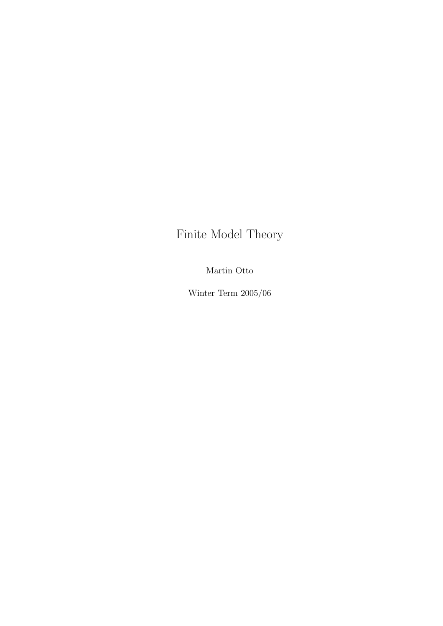# Finite Model Theory

Martin Otto

Winter Term 2005/06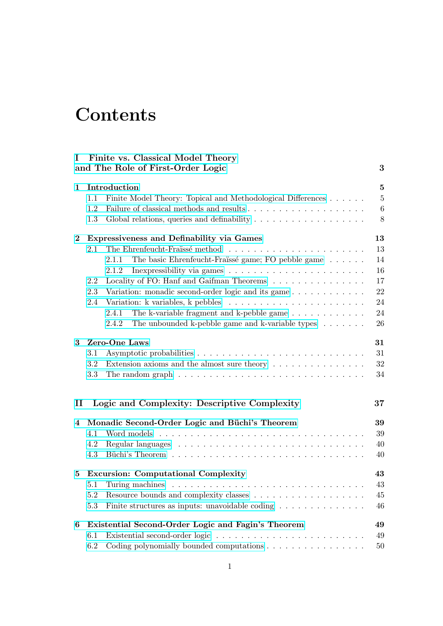# **Contents**

# I Finite vs. Classical Model Theory and The Role of First-Order Logic 3

| $\mathbf{1}$     | $1.1\,$<br>1.2<br>1.3 | Introduction<br>Finite Model Theory: Topical and Methodological Differences                                                                                                                                                                                         | $\mathbf{5}$<br>$\overline{5}$<br>$6\phantom{.}6$<br>8 |
|------------------|-----------------------|---------------------------------------------------------------------------------------------------------------------------------------------------------------------------------------------------------------------------------------------------------------------|--------------------------------------------------------|
| $\bf{2}$         | 2.1                   | <b>Expressiveness and Definability via Games</b><br>The basic Ehrenfeucht-Fraïssé game; FO pebble game<br>2.1.1                                                                                                                                                     | 13<br>13<br>14                                         |
|                  | 2.2<br>2.3<br>2.4     | 2.1.2<br>Locality of FO: Hanf and Gaifman Theorems<br>Variation: monadic second-order logic and its game<br>The k-variable fragment and k-pebble game $\dots \dots \dots \dots$<br>2.4.1<br>The unbounded k-pebble game and k-variable types $\dots \dots$<br>2.4.2 | 16<br>17<br>22<br>24<br>24<br>26                       |
| 3                | 3.1<br>3.2<br>3.3     | Zero-One Laws<br>Extension axioms and the almost sure theory $\dots \dots \dots \dots \dots$<br>The random graph $\dots \dots \dots \dots \dots \dots \dots \dots \dots \dots \dots \dots$                                                                          | 31<br>31<br>32<br>34                                   |
| $\mathbf{I}$     |                       | Logic and Complexity: Descriptive Complexity                                                                                                                                                                                                                        | $37\,$                                                 |
| 4                | 4.1<br>4.2<br>4.3     | Monadic Second-Order Logic and Büchi's Theorem                                                                                                                                                                                                                      | 39<br>39<br>40<br>40                                   |
| $\bf{5}$         | 5.1<br>5.2<br>5.3     | <b>Excursion: Computational Complexity</b><br>Finite structures as inputs: unavoidable coding $\ldots \ldots \ldots \ldots$                                                                                                                                         | 43<br>43<br>45<br>46                                   |
| $\boldsymbol{6}$ | 6.1<br>6.2            | Existential Second-Order Logic and Fagin's Theorem<br>Coding polynomially bounded computations                                                                                                                                                                      | 49<br>49<br>$50\,$                                     |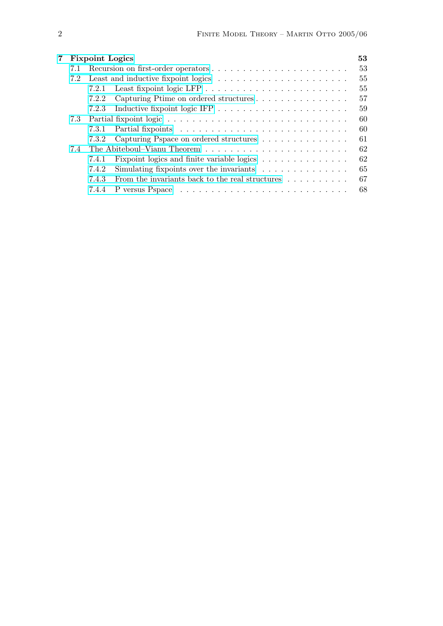| 7 | <b>Fixpoint Logics</b> |       |                                                                        |    |
|---|------------------------|-------|------------------------------------------------------------------------|----|
|   | 7.1                    |       |                                                                        | 53 |
|   | 7.2                    |       |                                                                        | 55 |
|   |                        | 7.2.1 |                                                                        | 55 |
|   |                        | 7.2.2 | Capturing Ptime on ordered structures                                  | 57 |
|   |                        | 7.2.3 |                                                                        | 59 |
|   | 7.3                    |       |                                                                        | 60 |
|   |                        | 7.3.1 |                                                                        | 60 |
|   |                        | 7.3.2 | Capturing Pspace on ordered structures                                 | 61 |
|   | 7.4                    |       |                                                                        | 62 |
|   |                        | 7.4.1 | Fixpoint logics and finite variable logics                             | 62 |
|   |                        | 7.4.2 | Simulating fixpoints over the invariants $\ldots \ldots \ldots \ldots$ | 65 |
|   |                        | 7.4.3 | From the invariants back to the real structures                        | 67 |
|   |                        | 7.4.4 |                                                                        | 68 |

2 Finite Model Theory – Martin Otto 2005/06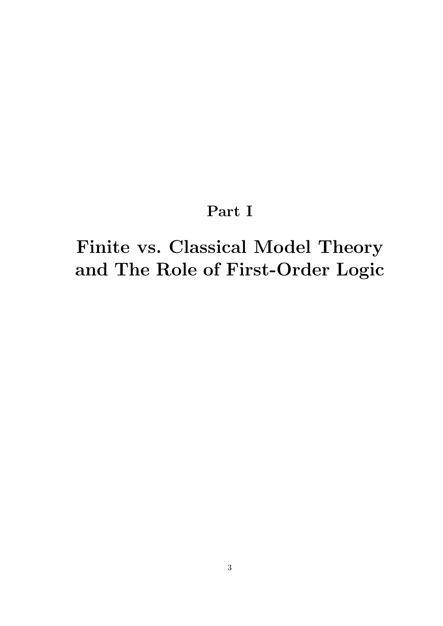# Part I

# <span id="page-4-0"></span>Finite vs. Classical Model Theory and The Role of First-Order Logic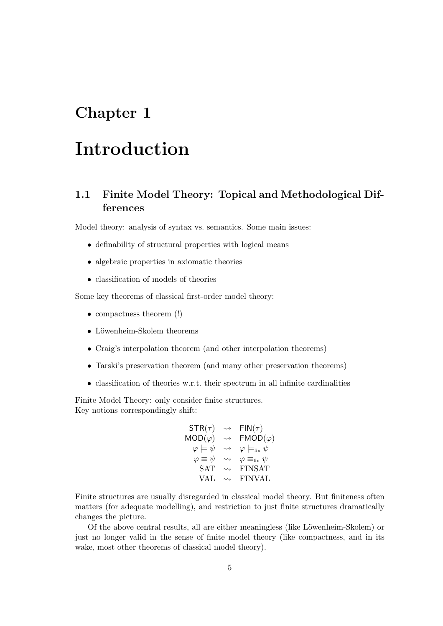# <span id="page-6-0"></span>Chapter 1

# Introduction

# 1.1 Finite Model Theory: Topical and Methodological Differences

Model theory: analysis of syntax vs. semantics. Some main issues:

- definability of structural properties with logical means
- algebraic properties in axiomatic theories
- classification of models of theories

Some key theorems of classical first-order model theory:

- compactness theorem (!)
- Löwenheim-Skolem theorems
- Craig's interpolation theorem (and other interpolation theorems)
- Tarski's preservation theorem (and many other preservation theorems)
- classification of theories w.r.t. their spectrum in all infinite cardinalities

Finite Model Theory: only consider finite structures. Key notions correspondingly shift:

$$
\begin{array}{ccc}\n\text{STR}(\tau) & \rightsquigarrow & \text{FIN}(\tau) \\
\text{MOD}(\varphi) & \rightsquigarrow & \text{FMOD}(\varphi) \\
\varphi \models \psi & \rightsquigarrow & \varphi \models_{\text{fin}} \psi \\
\varphi \equiv \psi & \rightsquigarrow & \varphi \equiv_{\text{fin}} \psi \\
\text{SAT} & \rightsquigarrow & \text{FINSAT} \\
\text{VAL} & \rightsquigarrow & \text{FINVAL}\n\end{array}
$$

Finite structures are usually disregarded in classical model theory. But finiteness often matters (for adequate modelling), and restriction to just finite structures dramatically changes the picture.

Of the above central results, all are either meaningless (like Löwenheim-Skolem) or just no longer valid in the sense of finite model theory (like compactness, and in its wake, most other theorems of classical model theory).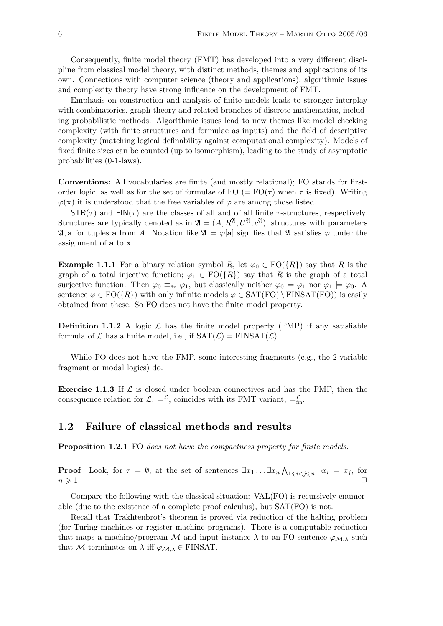<span id="page-7-0"></span>Consequently, finite model theory (FMT) has developed into a very different discipline from classical model theory, with distinct methods, themes and applications of its own. Connections with computer science (theory and applications), algorithmic issues and complexity theory have strong influence on the development of FMT.

Emphasis on construction and analysis of finite models leads to stronger interplay with combinatorics, graph theory and related branches of discrete mathematics, including probabilistic methods. Algorithmic issues lead to new themes like model checking complexity (with finite structures and formulae as inputs) and the field of descriptive complexity (matching logical definability against computational complexity). Models of fixed finite sizes can be counted (up to isomorphism), leading to the study of asymptotic probabilities (0-1-laws).

Conventions: All vocabularies are finite (and mostly relational); FO stands for firstorder logic, as well as for the set of formulae of FO  $(= FO(\tau))$  when  $\tau$  is fixed). Writing  $\varphi(\mathbf{x})$  it is understood that the free variables of  $\varphi$  are among those listed.

 $STR(\tau)$  and  $FIN(\tau)$  are the classes of all and of all finite  $\tau$ -structures, respectively. Structures are typically denoted as in  $\mathfrak{A} = (A, R^{\mathfrak{A}}, U^{\mathfrak{A}}, c^{\mathfrak{A}})$ ; structures with parameters  $\mathfrak{A}, \mathbf{a}$  for tuples a from A. Notation like  $\mathfrak{A} \models \varphi[\mathbf{a}]$  signifies that  $\mathfrak{A}$  satisfies  $\varphi$  under the assignment of a to x.

**Example 1.1.1** For a binary relation symbol R, let  $\varphi_0 \in \text{FO}(\lbrace R \rbrace)$  say that R is the graph of a total injective function;  $\varphi_1 \in \mathrm{FO}(\{R\})$  say that R is the graph of a total surjective function. Then  $\varphi_0 \equiv_{\text{fin}} \varphi_1$ , but classically neither  $\varphi_0 \models \varphi_1$  nor  $\varphi_1 \models \varphi_0$ . A sentence  $\varphi \in FO({R})$  with only infinite models  $\varphi \in SAT(FO) \setminus FINSAT(FO))$  is easily obtained from these. So FO does not have the finite model property.

**Definition 1.1.2** A logic  $\mathcal{L}$  has the finite model property (FMP) if any satisfiable formula of  $\mathcal L$  has a finite model, i.e., if  $SAT(\mathcal L) = FINSAT(\mathcal L)$ .

While FO does not have the FMP, some interesting fragments (e.g., the 2-variable fragment or modal logics) do.

**Exercise 1.1.3** If  $\mathcal{L}$  is closed under boolean connectives and has the FMP, then the consequence relation for  $\mathcal{L}, \models^{\mathcal{L}}$ , coincides with its FMT variant,  $\models^{\mathcal{L}}_{fin}$ .

# 1.2 Failure of classical methods and results

Proposition 1.2.1 FO does not have the compactness property for finite models.

**Proof** Look, for  $\tau = \emptyset$ , at the set of sentences  $\exists x_1 \dots \exists x_n$  $\lambda$  $1\leqslant i < j \leqslant n$   $\neg x_i = x_j$ , for  $n \geqslant 1$ .

Compare the following with the classical situation: VAL(FO) is recursively enumerable (due to the existence of a complete proof calculus), but SAT(FO) is not.

Recall that Trakhtenbrot's theorem is proved via reduction of the halting problem (for Turing machines or register machine programs). There is a computable reduction that maps a machine/program M and input instance  $\lambda$  to an FO-sentence  $\varphi_{\mathcal{M},\lambda}$  such that M terminates on  $\lambda$  iff  $\varphi_{\mathcal{M},\lambda} \in$  FINSAT.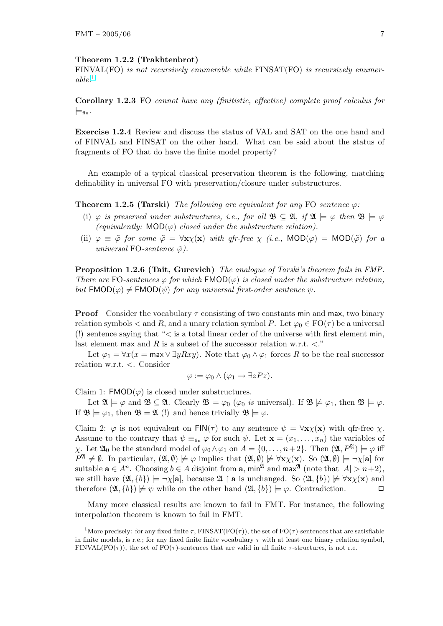### Theorem 1.2.2 (Trakhtenbrot)

FINVAL(FO) is not recursively enumerable while FINSAT(FO) is recursively enumer $able.<sup>1</sup>$ 

 $\mathcal{F}_{\mathcal{A}}$  ,  $\mathcal{F}_{\mathcal{A}}$  ,  $\mathcal{F}_{\mathcal{A}}$  ,  $\mathcal{F}_{\mathcal{A}}$  ,  $\mathcal{F}_{\mathcal{A}}$  ,  $\mathcal{F}_{\mathcal{A}}$  ,  $\mathcal{F}_{\mathcal{A}}$  ,  $\mathcal{F}_{\mathcal{A}}$  ,  $\mathcal{F}_{\mathcal{A}}$  ,  $\mathcal{F}_{\mathcal{A}}$  ,  $\mathcal{F}_{\mathcal{A}}$  ,  $\mathcal{F}_{\mathcal{A}}$  ,  $\mathcal{F}_{\mathcal{A}}$  ,

Corollary 1.2.3 FO cannot have any (finitistic, effective) complete proof calculus for  $\models$ fin.

Exercise 1.2.4 Review and discuss the status of VAL and SAT on the one hand and of FINVAL and FINSAT on the other hand. What can be said about the status of fragments of FO that do have the finite model property?

An example of a typical classical preservation theorem is the following, matching definability in universal FO with preservation/closure under substructures.

**Theorem 1.2.5 (Tarski)** The following are equivalent for any FO sentence  $\varphi$ :

- (i)  $\varphi$  is preserved under substructures, i.e., for all  $\mathfrak{B} \subseteq \mathfrak{A}$ , if  $\mathfrak{A} \models \varphi$  then  $\mathfrak{B} \models \varphi$ (equivalently:  $MOD(\varphi)$  closed under the substructure relation).
- (ii)  $\varphi \equiv \tilde{\varphi}$  for some  $\tilde{\varphi} = \forall x \chi(x)$  with qfr-free  $\chi$  (i.e., MOD( $\varphi$ ) = MOD( $\tilde{\varphi}$ ) for a universal FO-sentence  $\tilde{\varphi}$ ).

Proposition 1.2.6 (Tait, Gurevich) The analogue of Tarski's theorem fails in FMP. There are FO-sentences  $\varphi$  for which  $\mathsf{FMOD}(\varphi)$  is closed under the substructure relation, but  $FMOD(\varphi) \neq FMOD(\psi)$  for any universal first-order sentence  $\psi$ .

**Proof** Consider the vocabulary  $\tau$  consisting of two constants min and max, two binary relation symbols  $\lt$  and R, and a unary relation symbol P. Let  $\varphi_0 \in \mathrm{FO}(\tau)$  be a universal (!) sentence saying that "< is a total linear order of the universe with first element min, last element max and R is a subset of the successor relation w.r.t.  $\langle \cdot \rangle$ ."

Let  $\varphi_1 = \forall x(x = \max \vee \exists y Rxy)$ . Note that  $\varphi_0 \wedge \varphi_1$  forces R to be the real successor relation w.r.t. <. Consider

$$
\varphi := \varphi_0 \wedge (\varphi_1 \to \exists z P z).
$$

Claim 1:  $FMOD(\varphi)$  is closed under substructures.

Let  $\mathfrak{A} \models \varphi$  and  $\mathfrak{B} \subseteq \mathfrak{A}$ . Clearly  $\mathfrak{B} \models \varphi_0$  ( $\varphi_0$  is universal). If  $\mathfrak{B} \not\models \varphi_1$ , then  $\mathfrak{B} \models \varphi$ . If  $\mathfrak{B} \models \varphi_1$ , then  $\mathfrak{B} = \mathfrak{A}$  (!) and hence trivially  $\mathfrak{B} \models \varphi$ .

Claim 2:  $\varphi$  is not equivalent on FIN( $\tau$ ) to any sentence  $\psi = \forall x \chi(x)$  with qfr-free  $\chi$ . Assume to the contrary that  $\psi \equiv_{\text{fin}} \varphi$  for such  $\psi$ . Let  $\mathbf{x} = (x_1, \ldots, x_n)$  the variables of χ. Let  $\mathfrak{A}_0$  be the standard model of  $\varphi_0 \wedge \varphi_1$  on  $A = \{0, ..., n+2\}$ . Then  $(\mathfrak{A}, P^{\mathfrak{A}}) \models \varphi$  iff  $P^{\mathfrak{A}} \neq \emptyset$ . In particular,  $(\mathfrak{A}, \emptyset) \not\models \varphi$  implies that  $(\mathfrak{A}, \emptyset) \not\models \forall \mathbf{x} \chi(\mathbf{x})$ . So  $(\mathfrak{A}, \emptyset) \models \neg \chi[\mathbf{a}]$  for suitable  $\mathbf{a} \in A^n$ . Choosing  $b \in A$  disjoint from  $\mathbf{a}$ , min<sup>21</sup> and max<sup>21</sup> (note that  $|A| > n+2$ ), we still have  $(\mathfrak{A}, \{b\}) \models \neg \chi[\mathbf{a}]$ , because  $\mathfrak{A} \restriction \mathbf{a}$  is unchanged. So  $(\mathfrak{A}, \{b\}) \not\models \forall \mathbf{x} \chi(\mathbf{x})$  and therefore  $(\mathfrak{A}, {\{b\}}) \not\models \psi$  while on the other hand  $(\mathfrak{A}, {\{b\}}) \models \varphi$ . Contradiction.

Many more classical results are known to fail in FMT. For instance, the following interpolation theorem is known to fail in FMT.

<sup>&</sup>lt;sup>1</sup>More precisely: for any fixed finite  $\tau$ , FINSAT(FO( $\tau$ )), the set of FO( $\tau$ )-sentences that are satisfiable in finite models, is r.e.; for any fixed finite finite vocabulary  $\tau$  with at least one binary relation symbol, FINVAL(FO( $\tau$ )), the set of FO( $\tau$ )-sentences that are valid in all finite  $\tau$ -structures, is not r.e.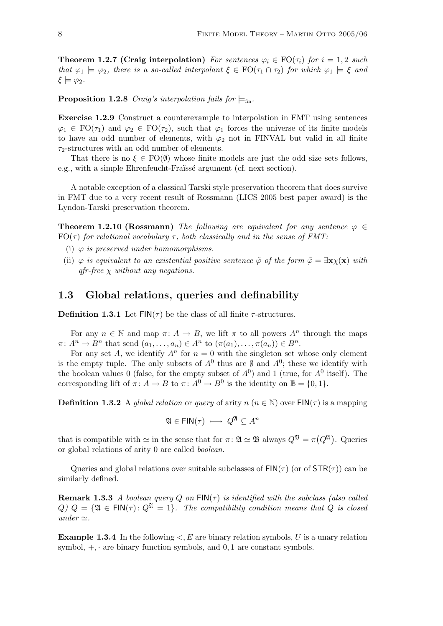<span id="page-9-0"></span>**Theorem 1.2.7 (Craig interpolation)** For sentences  $\varphi_i \in \text{FO}(\tau_i)$  for  $i = 1, 2$  such that  $\varphi_1 \models \varphi_2$ , there is a so-called interpolant  $\xi \in FO(\tau_1 \cap \tau_2)$  for which  $\varphi_1 \models \xi$  and  $\xi \models \varphi_2$ .

**Proposition 1.2.8** Craig's interpolation fails for  $\models$ <sub>fin</sub>.

Exercise 1.2.9 Construct a counterexample to interpolation in FMT using sentences  $\varphi_1 \in \text{FO}(\tau_1)$  and  $\varphi_2 \in \text{FO}(\tau_2)$ , such that  $\varphi_1$  forces the universe of its finite models to have an odd number of elements, with  $\varphi_2$  not in FINVAL but valid in all finite  $\tau_2$ -structures with an odd number of elements.

That there is no  $\xi \in \mathrm{FO}(\emptyset)$  whose finite models are just the odd size sets follows, e.g., with a simple Ehrenfeucht-Fraïssé argument (cf. next section).

A notable exception of a classical Tarski style preservation theorem that does survive in FMT due to a very recent result of Rossmann (LICS 2005 best paper award) is the Lyndon-Tarski preservation theorem.

**Theorem 1.2.10 (Rossmann)** The following are equivalent for any sentence  $\varphi \in$ FO(τ) for relational vocabulary  $\tau$ , both classically and in the sense of FMT:

- (i)  $\varphi$  is preserved under homomorphisms.
- (ii)  $\varphi$  is equivalent to an existential positive sentence  $\tilde{\varphi}$  of the form  $\tilde{\varphi} = \exists \mathbf{x} \chi(\mathbf{x})$  with  $qfr-free \chi$  without any negations.

## 1.3 Global relations, queries and definability

**Definition 1.3.1** Let  $FIN(\tau)$  be the class of all finite  $\tau$ -structures.

For any  $n \in \mathbb{N}$  and map  $\pi: A \to B$ , we lift  $\pi$  to all powers  $A^n$  through the maps  $\pi: A^n \to B^n$  that send  $(a_1, \ldots, a_n) \in A^n$  to  $(\pi(a_1), \ldots, \pi(a_n)) \in B^n$ .

For any set A, we identify  $A^n$  for  $n = 0$  with the singleton set whose only element is the empty tuple. The only subsets of  $A^0$  thus are  $\emptyset$  and  $A^0$ ; these we identify with the boolean values 0 (false, for the empty subset of  $A<sup>0</sup>$ ) and 1 (true, for  $A<sup>0</sup>$  itself). The corresponding lift of  $\pi: A \to B$  to  $\pi: A^0 \to B^0$  is the identity on  $\mathbb{B} = \{0, 1\}.$ 

**Definition 1.3.2** A global relation or query of arity  $n (n \in \mathbb{N})$  over  $\text{FIN}(\tau)$  is a mapping

$$
\mathfrak{A} \in \mathsf{FIN}(\tau) \ \longmapsto \ Q^{\mathfrak{A}} \subseteq A^n
$$

that is compatible with  $\simeq$  in the sense that for  $\pi : \mathfrak{A} \simeq \mathfrak{B}$  always  $Q^{\mathfrak{B}} = \pi$ ¡  $Q^{\mathfrak{A}}$ ¢ . Queries or global relations of arity 0 are called boolean.

Queries and global relations over suitable subclasses of  $FIN(\tau)$  (or of  $STR(\tau)$ ) can be similarly defined.

**Remark 1.3.3** A boolean query Q on  $\text{FIN}(\tau)$  is identified with the subclass (also called Q)  $Q = \{ \mathfrak{A} \in \text{FIN}(\tau) : Q^{\mathfrak{A}} = 1 \}$ . The compatibility condition means that Q is closed under  $\simeq$ .

**Example 1.3.4** In the following  $\lt$ , E are binary relation symbols, U is a unary relation symbol,  $+$ ,  $\cdot$  are binary function symbols, and 0, 1 are constant symbols.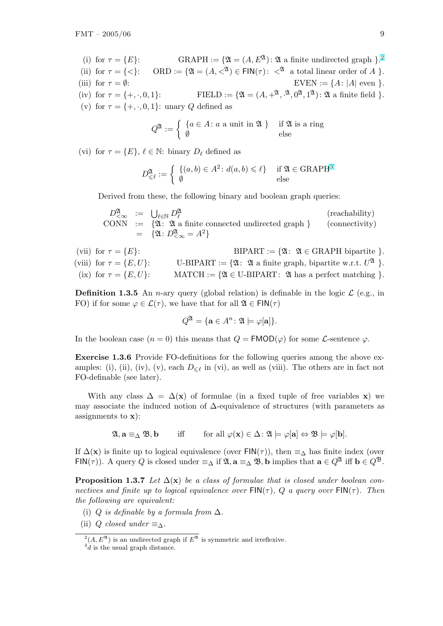<span id="page-10-0"></span> $\mathcal{F}_{\mathcal{A}}$  ,  $\mathcal{F}_{\mathcal{A}}$  ,  $\mathcal{F}_{\mathcal{A}}$  ,  $\mathcal{F}_{\mathcal{A}}$  ,  $\mathcal{F}_{\mathcal{A}}$  ,  $\mathcal{F}_{\mathcal{A}}$  ,  $\mathcal{F}_{\mathcal{A}}$  ,  $\mathcal{F}_{\mathcal{A}}$  ,  $\mathcal{F}_{\mathcal{A}}$  ,  $\mathcal{F}_{\mathcal{A}}$  ,  $\mathcal{F}_{\mathcal{A}}$  ,  $\mathcal{F}_{\mathcal{A}}$  ,  $\mathcal{F}_{\mathcal{A}}$  ,

(iv) for  $\tau = \{+, \cdot, 0, 1\}$ : FIELD := { $\mathfrak{A} = (A, +^{\mathfrak{A}}, 0^{\mathfrak{A}}, 0^{\mathfrak{A}}, 1^{\mathfrak{A}})$  :  $\mathfrak{A}$  a finite field }.

(v) for  $\tau = \{+, \cdot, 0, 1\}$ : unary Q defined as

$$
Q^{\mathfrak{A}} := \begin{cases} \{a \in A \colon a \text{ a unit in } \mathfrak{A} \} & \text{if } \mathfrak{A} \text{ is a ring} \\ \emptyset & \text{else} \end{cases}
$$

(vi) for  $\tau = \{E\}, \ell \in \mathbb{N}$ : binary  $D_{\ell}$  defined as

$$
D_{\leqslant \ell}^{\mathfrak{A}} := \begin{cases} \{ (a,b) \in A^2 \colon d(a,b) \leqslant \ell \} & \text{if } \mathfrak{A} \in \text{GRAPH}^3\\ \emptyset & \text{else} \end{cases}
$$

Derived from these, the following binary and boolean graph queries:

 $D^{\mathfrak{A}}_{\leq \infty}$  :=  $\bigcup_{\ell \in \mathbb{N}} D^{\mathfrak{A}}_{\ell}$ (reachability) CONN :=  $\{ \mathfrak{A} : \mathfrak{A} \text{ finite connected undirected graph } \}$  (connectivity)  $= \{ \mathfrak{A} : D^{\mathfrak{A}}_{< \infty} = A^2 \}$ 

(vii) for  $\tau = \{E\}$ : BIPART :=  $\{\mathfrak{A} : \mathfrak{A} \in \text{GRAPH bipartite }\}.$ (viii) for  $\tau = \{E, U\}$ : U-BIPART :=  $\{\mathfrak{A}: \mathfrak{A} \text{ finite graph, bipartite w.r.t. } U^{\mathfrak{A}} \}.$ (ix) for  $\tau = \{E, U\}$ : MATCH :=  $\{\mathfrak{A} \in \text{U-BIPART}:\mathfrak{A}$  has a perfect matching }.

**Definition 1.3.5** An *n*-ary query (global relation) is definable in the logic  $\mathcal{L}$  (e.g., in FO) if for some  $\varphi \in \mathcal{L}(\tau)$ , we have that for all  $\mathfrak{A} \in \mathsf{FIN}(\tau)$ 

$$
Q^{\mathfrak{A}} = \{ \mathbf{a} \in A^n \colon \mathfrak{A} \models \varphi[\mathbf{a}] \}.
$$

In the boolean case  $(n = 0)$  this means that  $Q = \text{FMOD}(\varphi)$  for some *L*-sentence  $\varphi$ .

Exercise 1.3.6 Provide FO-definitions for the following queries among the above examples: (i), (ii), (iv), (v), each  $D_{\leq \ell}$  in (vi), as well as (viii). The others are in fact not FO-definable (see later).

With any class  $\Delta = \Delta(\mathbf{x})$  of formulae (in a fixed tuple of free variables x) we may associate the induced notion of  $\Delta$ -equivalence of structures (with parameters as assignments to x):

$$
\mathfrak{A}, \mathbf{a} \equiv_{\Delta} \mathfrak{B}, \mathbf{b} \quad \text{iff} \quad \text{for all } \varphi(\mathbf{x}) \in \Delta \colon \mathfrak{A} \models \varphi[\mathbf{a}] \Leftrightarrow \mathfrak{B} \models \varphi[\mathbf{b}].
$$

If  $\Delta(\mathbf{x})$  is finite up to logical equivalence (over  $\text{FIN}(\tau)$ ), then  $\equiv_{\Delta}$  has finite index (over FIN( $\tau$ )). A query Q is closed under  $\equiv_{\Delta}$  if  $\mathfrak{A}, \mathbf{a} \equiv_{\Delta} \mathfrak{B}, \mathbf{b}$  implies that  $\mathbf{a} \in Q^{\mathfrak{A}}$  iff  $\mathbf{b} \in Q^{\mathfrak{B}}$ .

**Proposition 1.3.7** Let  $\Delta(\mathbf{x})$  be a class of formulae that is closed under boolean connectives and finite up to logical equivalence over  $\text{FIN}(\tau)$ , Q a query over  $\text{FIN}(\tau)$ . Then the following are equivalent:

- (i) Q is definable by a formula from  $\Delta$ .
- (ii) Q closed under  $\equiv_{\Delta}$ .

 $2(A, E^{\mathfrak{A}})$  is an undirected graph if  $E^{\mathfrak{A}}$  is symmetric and irreflexive.

 $3d$  is the usual graph distance.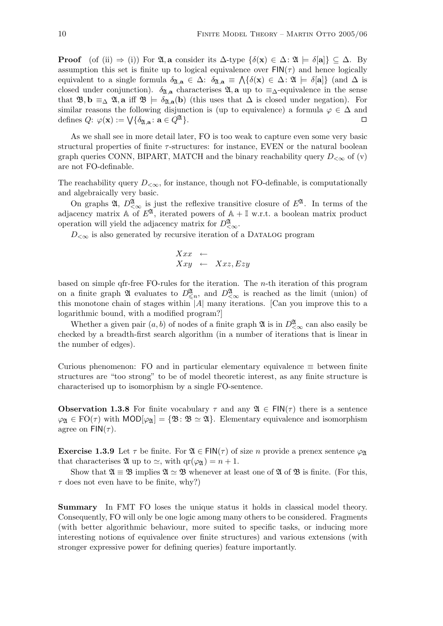**Proof** (of (ii)  $\Rightarrow$  (i)) For  $\mathfrak{A}$ , a consider its  $\Delta$ -type  $\{\delta(\mathbf{x}) \in \Delta : \mathfrak{A} \models \delta[\mathbf{a}] \} \subseteq \Delta$ . By assumption this set is finite up to logical equivalence over  $\mathsf{FIN}(\tau)$  and hence logically equivalent to a single formula  $\delta_{\mathfrak{A},\mathbf{a}} \in \Delta: \ \delta_{\mathfrak{A},\mathbf{a}} \equiv \Lambda\{\delta(\mathbf{x}) \in \Delta: \mathfrak{A} \models \delta[\mathbf{a}]\}\$  (and  $\Delta$  is closed under conjunction).  $\delta_{\mathfrak{A},\mathbf{a}}$  characterises  $\mathfrak{A},\mathbf{a}$  up to  $\equiv_{\Delta}$ -equivalence in the sense that B, b  $\equiv_{\Delta} \mathfrak{A}$ , a iff  $\mathfrak{B} \models \delta_{\mathfrak{A},\mathbf{a}}(\mathbf{b})$  (this uses that  $\Delta$  is closed under negation). For similar reasons the following disjunction is (up to equivalence) a formula  $\varphi \in \Delta$  and  $\Delta$  and defines  $Q: \varphi(\mathbf{x}) := \bigvee \{ \delta_{\mathfrak{A},\mathbf{a}} : \mathbf{a} \in Q^{\mathfrak{A}} \}.$ 

As we shall see in more detail later, FO is too weak to capture even some very basic structural properties of finite  $\tau$ -structures: for instance, EVEN or the natural boolean graph queries CONN, BIPART, MATCH and the binary reachability query  $D_{< \infty}$  of (v) are not FO-definable.

The reachability query  $D_{< \infty}$ , for instance, though not FO-definable, is computationally and algebraically very basic.

On graphs  $\mathfrak{A}, D^{\mathfrak{A}}_{\leq \infty}$  is just the reflexive transitive closure of  $E^{\mathfrak{A}}$ . In terms of the adjacency matrix A of  $E^{\mathfrak{A}}$ , iterated powers of  $A + \mathbb{I}$  w.r.t. a boolean matrix product operation will yield the adjacency matrix for  $D_{\leq\infty}^{\mathfrak{A}}$ .

 $D_{< \infty}$  is also generated by recursive iteration of a DATALOG program

$$
\begin{array}{rcl}\nXxx & \leftarrow & \\
Xxy & \leftarrow & Xxz, Ezy\n\end{array}
$$

based on simple qfr-free FO-rules for the iteration. The  $n$ -th iteration of this program on a finite graph  $\mathfrak{A}$  evaluates to  $D^{\mathfrak{A}}_{\leq n}$ , and  $D^{\mathfrak{A}}_{\leq \infty}$  is reached as the limit (union) of this monotone chain of stages within  $|A|$  many iterations. [Can you improve this to a logarithmic bound, with a modified program?]

Whether a given pair  $(a, b)$  of nodes of a finite graph  $\mathfrak{A}$  is in  $D_{<\infty}^{\mathfrak{A}}$  can also easily be checked by a breadth-first search algorithm (in a number of iterations that is linear in the number of edges).

Curious phenomenon: FO and in particular elementary equivalence  $\equiv$  between finite structures are "too strong" to be of model theoretic interest, as any finite structure is characterised up to isomorphism by a single FO-sentence.

**Observation 1.3.8** For finite vocabulary  $\tau$  and any  $\mathfrak{A} \in \mathsf{FIN}(\tau)$  there is a sentence  $\varphi_{\mathfrak{A}} \in \mathrm{FO}(\tau)$  with  $\mathsf{MOD}[\varphi_{\mathfrak{A}}] = {\mathfrak{B}} : \mathfrak{B} \simeq {\mathfrak{A}}$ . Elementary equivalence and isomorphism agree on  $FIN(\tau)$ .

**Exercise 1.3.9** Let  $\tau$  be finite. For  $\mathfrak{A} \in \text{FIN}(\tau)$  of size n provide a prenex sentence  $\varphi_{\mathfrak{A}}$ that characterises  $\mathfrak{A}$  up to  $\simeq$ , with  $\text{qr}(\varphi_{\mathfrak{A}}) = n + 1$ .

Show that  $\mathfrak{A} \equiv \mathfrak{B}$  implies  $\mathfrak{A} \simeq \mathfrak{B}$  whenever at least one of  $\mathfrak{A}$  of  $\mathfrak{B}$  is finite. (For this,  $\tau$  does not even have to be finite, why?)

Summary In FMT FO loses the unique status it holds in classical model theory. Consequently, FO will only be one logic among many others to be considered. Fragments (with better algorithmic behaviour, more suited to specific tasks, or inducing more interesting notions of equivalence over finite structures) and various extensions (with stronger expressive power for defining queries) feature importantly.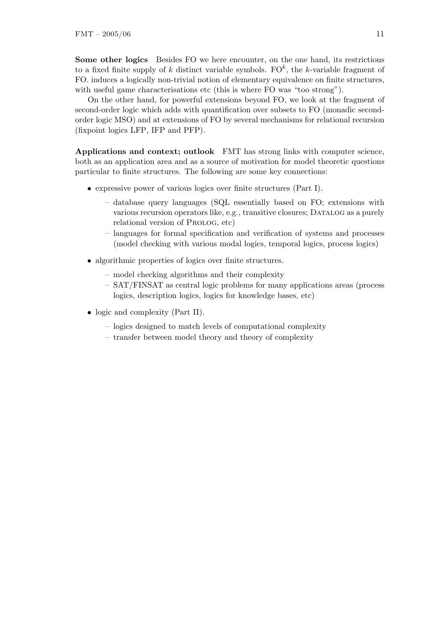Some other logics Besides FO we here encounter, on the one hand, its restrictions to a fixed finite supply of k distinct variable symbols.  $FO<sup>k</sup>$ , the k-variable fragment of FO. induces a logically non-trivial notion of elementary equivalence on finite structures, with useful game characterisations etc (this is where FO was "too strong").

On the other hand, for powerful extensions beyond FO, we look at the fragment of second-order logic which adds with quantification over subsets to FO (monadic secondorder logic MSO) and at extensions of FO by several mechanisms for relational recursion (fixpoint logics LFP, IFP and PFP).

Applications and context; outlook FMT has strong links with computer science, both as an application area and as a source of motivation for model theoretic questions particular to finite structures. The following are some key connections:

- expressive power of various logics over finite structures (Part I).
	- database query languages (SQL essentially based on FO; extensions with various recursion operators like, e.g., transitive closures; Datalog as a purely relational version of PROLOG, etc)
	- languages for formal specification and verification of systems and processes (model checking with various modal logics, temporal logics, process logics)
- algorithmic properties of logics over finite structures.
	- model checking algorithms and their complexity
	- SAT/FINSAT as central logic problems for many applications areas (process logics, description logics, logics for knowledge bases, etc)
- logic and complexity (Part II).
	- logics designed to match levels of computational complexity
	- transfer between model theory and theory of complexity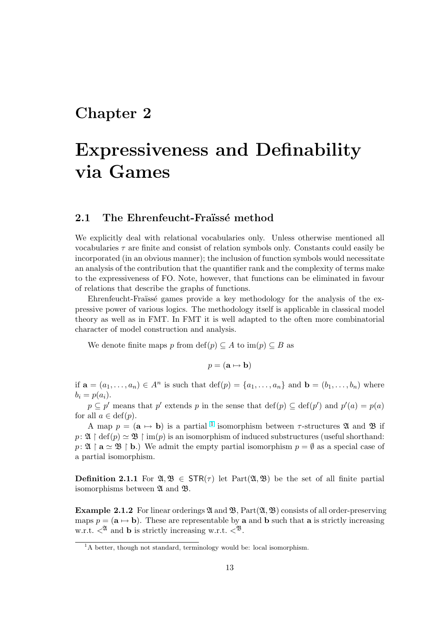# <span id="page-14-0"></span>Chapter 2

# Expressiveness and Definability via Games

# 2.1 The Ehrenfeucht-Fraïssé method

We explicitly deal with relational vocabularies only. Unless otherwise mentioned all vocabularies  $\tau$  are finite and consist of relation symbols only. Constants could easily be incorporated (in an obvious manner); the inclusion of function symbols would necessitate an analysis of the contribution that the quantifier rank and the complexity of terms make to the expressiveness of FO. Note, however, that functions can be eliminated in favour of relations that describe the graphs of functions.

Ehrenfeucht-Fraïssé games provide a key methodology for the analysis of the expressive power of various logics. The methodology itself is applicable in classical model theory as well as in FMT. In FMT it is well adapted to the often more combinatorial character of model construction and analysis.

We denote finite maps p from  $\text{def}(p) \subseteq A$  to  $\text{im}(p) \subseteq B$  as

$$
p = (\mathbf{a} \mapsto \mathbf{b})
$$

if  $\mathbf{a} = (a_1, \ldots, a_n) \in A^n$  is such that  $\text{def}(p) = \{a_1, \ldots, a_n\}$  and  $\mathbf{b} = (b_1, \ldots, b_n)$  where  $b_i = p(a_i).$ 

 $p \subseteq p'$  means that  $p'$  extends p in the sense that  $\text{def}(p) \subseteq \text{def}(p')$  and  $p'(a) = p(a)$ for all  $a \in \text{def}(p)$ .

A map  $p = (\mathbf{a} \mapsto \mathbf{b})$  is a partial <sup>1</sup> isomorphism between  $\tau$ -structures  $\mathfrak{A}$  and  $\mathfrak{B}$  if  $p: \mathfrak{A} \restriction \text{def}(p) \simeq \mathfrak{B} \restriction \text{im}(p)$  is an isomorphism of induced substructures (useful shorthand:  $p: \mathfrak{A} \restriction a \simeq \mathfrak{B} \restriction b$ .) We admit the empty partial isomorphism  $p = \emptyset$  as a special case of a partial isomorphism.

**Definition 2.1.1** For  $\mathfrak{A}, \mathfrak{B} \in \text{STR}(\tau)$  let Part $(\mathfrak{A}, \mathfrak{B})$  be the set of all finite partial isomorphisms between  $\mathfrak{A}$  and  $\mathfrak{B}$ .

**Example 2.1.2** For linear orderings  $\mathfrak{A}$  and  $\mathfrak{B}$ , Part $(\mathfrak{A}, \mathfrak{B})$  consists of all order-preserving maps  $p = (\mathbf{a} \mapsto \mathbf{b})$ . These are representable by **a** and **b** such that **a** is strictly increasing w.r.t.  $\langle \mathcal{A} \rangle$  and **b** is strictly increasing w.r.t.  $\langle \mathcal{B} \rangle$ .

 ${}^{1}$ A better, though not standard, terminology would be: local isomorphism.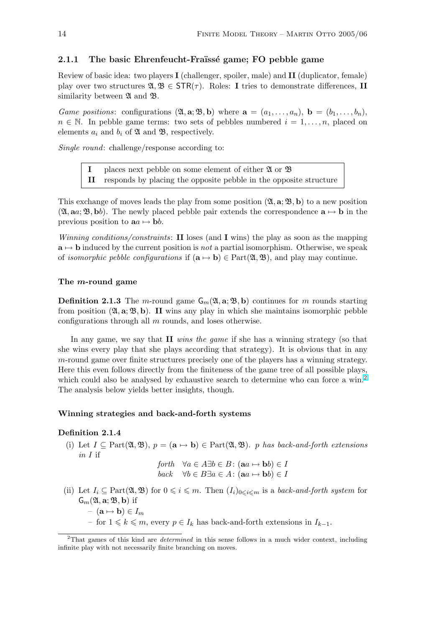### 2.1.1 The basic Ehrenfeucht-Fraïssé game; FO pebble game

Review of basic idea: two players I (challenger, spoiler, male) and II (duplicator, female) play over two structures  $\mathfrak{A}, \mathfrak{B} \in \mathsf{STR}(\tau)$ . Roles: **I** tries to demonstrate differences, **II** similarity between  $\mathfrak{A}$  and  $\mathfrak{B}$ .

<span id="page-15-0"></span>14 Finite Model Theory – Martin Otto 2005/06

Game positions: configurations  $(\mathfrak{A}, \mathbf{a}; \mathfrak{B}, \mathbf{b})$  where  $\mathbf{a} = (a_1, \ldots, a_n)$ ,  $\mathbf{b} = (b_1, \ldots, b_n)$ ,  $n \in \mathbb{N}$ . In pebble game terms: two sets of pebbles numbered  $i = 1, \ldots, n$ , placed on elements  $a_i$  and  $b_i$  of  $\mathfrak A$  and  $\mathfrak B$ , respectively.

Single round: challenge/response according to:

- I places next pebble on some element of either  $\mathfrak A$  or  $\mathfrak B$
- II responds by placing the opposite pebble in the opposite structure

This exchange of moves leads the play from some position  $(\mathfrak{A}, \mathbf{a}; \mathfrak{B}, \mathbf{b})$  to a new position  $(\mathfrak{A}, aa; \mathfrak{B}, bb)$ . The newly placed pebble pair extends the correspondence  $\mathbf{a} \mapsto \mathbf{b}$  in the previous position to  $aa \mapsto bb$ .

Winning conditions/constraints: **II** loses (and **I** wins) the play as soon as the mapping  $\mathbf{a} \mapsto \mathbf{b}$  induced by the current position is not a partial isomorphism. Otherwise, we speak of *isomorphic pebble configurations* if  $(\mathbf{a} \mapsto \mathbf{b}) \in Part(\mathfrak{A}, \mathfrak{B})$ , and play may continue.

#### The m-round game

**Definition 2.1.3** The m-round game  $\mathsf{G}_m(\mathfrak{A}, \mathbf{a}; \mathfrak{B}, \mathbf{b})$  continues for m rounds starting from position  $(\mathfrak{A}, \mathbf{a}; \mathfrak{B}, \mathbf{b})$ . II wins any play in which she maintains isomorphic pebble configurations through all  $m$  rounds, and loses otherwise.

In any game, we say that II wins the game if she has a winning strategy (so that she wins every play that she plays according that strategy). It is obvious that in any m-round game over finite structures precisely one of the players has a winning strategy. Here this even follows directly from the finiteness of the game tree of all possible plays, which could also be analysed by exhaustive search to determine who can force a win.<sup>2</sup> The analysis below yields better insights, though.

#### Winning strategies and back-and-forth systems

#### Definition 2.1.4

(i) Let  $I \subseteq Part(2\mathcal{A}, \mathfrak{B}), p = (\mathbf{a} \mapsto \mathbf{b}) \in Part(2\mathcal{A}, \mathfrak{B}).$  p has back-and-forth extensions  $in I$  if

forth 
$$
\forall a \in A \exists b \in B : (aa \mapsto bb) \in I
$$
  
back  $\forall b \in B \exists a \in A : (aa \mapsto bb) \in I$ 

(ii) Let  $I_i \subseteq Part(\mathfrak{A}, \mathfrak{B})$  for  $0 \leq i \leq m$ . Then  $(I_i)_{0 \leq i \leq m}$  is a back-and-forth system for  $G_m(\mathfrak{A}, \mathbf{a}; \mathfrak{B}, \mathbf{b})$  if

$$
- \ (\mathbf{a} \mapsto \mathbf{b}) \in I_m
$$

– for  $1 \leq k \leq m$ , every  $p \in I_k$  has back-and-forth extensions in  $I_{k-1}$ .

<sup>&</sup>lt;sup>2</sup>That games of this kind are *determined* in this sense follows in a much wider context, including infinite play with not necessarily finite branching on moves.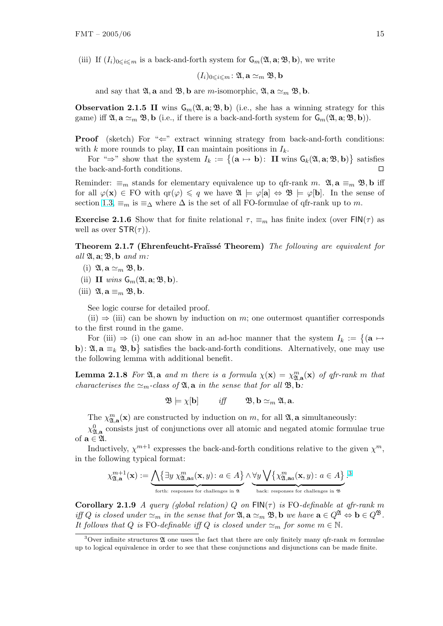(iii) If  $(I_i)_{0\leq i\leq m}$  is a back-and-forth system for  $\mathsf{G}_m(\mathfrak{A}, \mathbf{a}; \mathfrak{B}, \mathbf{b})$ , we write

$$
(I_i)_{0\leqslant i\leqslant m}\colon {\mathfrak{A}},\mathbf{a}\simeq_m {\mathfrak{B}},\mathbf{b}
$$

and say that  $\mathfrak{A}, \mathbf{a}$  and  $\mathfrak{B}, \mathbf{b}$  are m-isomorphic,  $\mathfrak{A}, \mathbf{a} \simeq_m \mathfrak{B}, \mathbf{b}$ .

**Observation 2.1.5 II** wins  $G_m(\mathfrak{A}, \mathfrak{a}; \mathfrak{B}, \mathfrak{b})$  (i.e., she has a winning strategy for this game) iff  $\mathfrak{A}, \mathbf{a} \simeq_m \mathfrak{B}, \mathbf{b}$  (i.e., if there is a back-and-forth system for  $\mathsf{G}_m(\mathfrak{A}, \mathbf{a}; \mathfrak{B}, \mathbf{b})$ ).

 $\mathcal{F}_{\mathcal{A}}$  ,  $\mathcal{F}_{\mathcal{A}}$  ,  $\mathcal{F}_{\mathcal{A}}$  ,  $\mathcal{F}_{\mathcal{A}}$  ,  $\mathcal{F}_{\mathcal{A}}$  ,  $\mathcal{F}_{\mathcal{A}}$  ,  $\mathcal{F}_{\mathcal{A}}$  ,  $\mathcal{F}_{\mathcal{A}}$  ,  $\mathcal{F}_{\mathcal{A}}$  ,  $\mathcal{F}_{\mathcal{A}}$  ,  $\mathcal{F}_{\mathcal{A}}$  ,  $\mathcal{F}_{\mathcal{A}}$  ,  $\mathcal{F}_{\mathcal{A}}$  ,

Proof (sketch) For "⇐" extract winning strategy from back-and-forth conditions: with k more rounds to play, **II** can maintain positions in  $I_k$ . ª

 $\mathbb{F}$  For " $\Rightarrow$ " show that the system  $I_k := \{(\mathbf{a} \mapsto \mathbf{b}) : \mathbf{II} \text{ wins } \mathsf{G}_k(\mathfrak{A}, \mathbf{a}; \mathfrak{B}, \mathbf{b})\}$ satisfies the back-and-forth conditions.  $\Box$ 

Reminder:  $\equiv_m$  stands for elementary equivalence up to qfr-rank m.  $\mathfrak{A}, \mathbf{a} \equiv_m \mathfrak{B}, \mathbf{b}$  iff for all  $\varphi(\mathbf{x}) \in \text{FO}$  with  $\text{qr}(\varphi) \leq q$  we have  $\mathfrak{A} \models \varphi[\mathbf{a}] \Leftrightarrow \mathfrak{B} \models \varphi[\mathbf{b}]$ . In the sense of section 1.3,  $\equiv_m$  is  $\equiv_\Delta$  where  $\Delta$  is the set of all FO-formulae of qfr-rank up to m.

**Exercise 2.1.6** Show that for finite relational  $\tau$ ,  $\equiv_m$  has finite index (over FIN( $\tau$ ) as well as over  $STR(\tau)$ ).

Theor[em](#page-9-0) 2.1.7 (Ehrenfeucht-Fraüssé Theorem) The following are equivalent for all  $\mathfrak{A}, \mathbf{a}; \mathfrak{B}, \mathbf{b}$  and m:

- (i)  $\mathfrak{A}, \mathbf{a} \simeq_m \mathfrak{B}, \mathbf{b}$ .
- (ii) II wins  $\mathsf{G}_m(\mathfrak{A}, \mathbf{a}; \mathfrak{B}, \mathbf{b})$ .
- (iii)  $\mathfrak{A}, \mathbf{a} \equiv_m \mathfrak{B}, \mathbf{b}$ .

See logic course for detailed proof.

 $(ii) \Rightarrow (iii)$  can be shown by induction on m; one outermost quantifier corresponds to the first round in the game.

For (iii)  $\Rightarrow$  (i) one can show in an ad-hoc manner that the system  $I_k := \{(\mathbf{a} \mapsto$ b):  $\mathfrak{A}, \mathbf{a} \equiv_k \mathfrak{B}, \mathbf{b}$  satisfies the back-and-forth conditions. Alternatively, one may use the following lemma with additional benefit.

**Lemma 2.1.8** For  $\mathfrak{A}$ , a and m there is a formula  $\chi(\mathbf{x}) = \chi^m_{\mathfrak{A},\mathbf{a}}(\mathbf{x})$  of gfr-rank m that characterises the  $\simeq_m$ -class of **2**, a in the sense that for all **2**, b:

$$
\mathfrak{B}\models \chi[\mathbf{b}]\qquad \text{iff}\qquad \mathfrak{B},\mathbf{b}\simeq_m \mathfrak{A},\mathbf{a}.
$$

The  $\chi^m_{\mathfrak{A},\mathbf{a}}(\mathbf{x})$  are constructed by induction on m, for all  $\mathfrak{A},\mathbf{a}$  simultaneously:

 $\chi^0_{\mathfrak{A},\mathbf{a}}$  consists just of conjunctions over all atomic and negated atomic formulae true of  $\mathbf{a} \in \mathfrak{A}$ .

Inductively,  $\chi^{m+1}$  expresses the back-and-forth conditions relative to the given  $\chi^m$ , in the following typical format:

$$
\chi^{m+1}_{\mathfrak{A},\mathbf{a}}(\mathbf{x}) := \underbrace{\bigwedge_{\text{forth: responses for challenges in }\mathfrak{A}} \{\exists y \; \chi^m_{\mathfrak{A},\mathbf{a}a}(\mathbf{x},y) : a \in A\}}_{\text{back: responses for challenges in }\mathfrak{A}} \wedge \underbrace{\forall y \bigvee \{\chi^m_{\mathfrak{A},\mathbf{a}a}(\mathbf{x},y) : a \in A\}}_{\text{back: responses for challenges in }\mathfrak{B}}}.^{3}
$$

Corollary 2.1.9 A query (global relation) Q on  $\text{FIN}(\tau)$  is FO-definable at qfr-rank m iff Q is closed under  $\simeq_m$  in the sense that for  $\mathfrak{A}, \mathbf{a} \simeq_m \mathfrak{B}, \mathbf{b}$  we have  $\mathbf{a} \in Q^{\mathfrak{A}} \Leftrightarrow \mathbf{b} \in Q^{\mathfrak{B}}$ . It follows that Q is FO-definable iff Q is closed under  $\simeq_m$  for some  $m \in \mathbb{N}$ .

<sup>&</sup>lt;sup>3</sup>Over infinite structures  $\mathfrak A$  one uses the fact that there are only finitely many qfr-rank m formulae up to logical equivalence in order to see that these conjunctions and disjunctions can be made finite.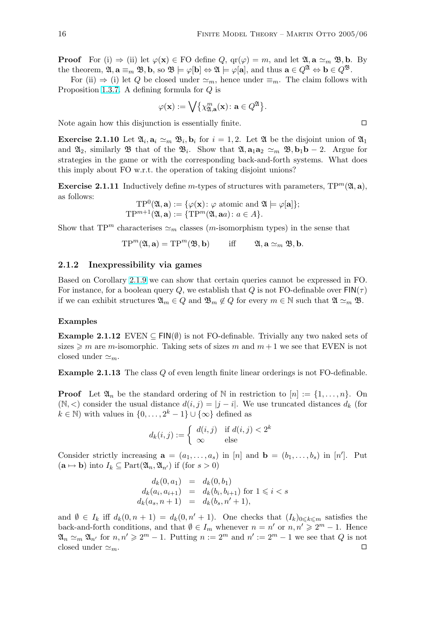<span id="page-17-0"></span>For (ii)  $\Rightarrow$  (i) let Q be closed under  $\simeq_m$ , hence under  $\equiv_m$ . The claim follows with Proposition 1.3.7. A defining formula for Q is

$$
\varphi(\mathbf{x}) := \bigvee \{ \chi^m_{\mathfrak{A}, \mathbf{a}}(\mathbf{x}) : \mathbf{a} \in Q^{\mathfrak{A}} \}.
$$

Note again [how t](#page-10-0)his disjunction is essentially finite.  $\Box$ 

**Exercise 2.1.10** Let  $\mathfrak{A}_i$ ,  $\mathfrak{a}_i \simeq_m \mathfrak{B}_i$ ,  $\mathfrak{b}_i$  for  $i = 1, 2$ . Let  $\mathfrak{A}$  be the disjoint union of  $\mathfrak{A}_1$ and  $\mathfrak{A}_2$ , similarly  $\mathfrak{B}$  that of the  $\mathfrak{B}_i$ . Show that  $\mathfrak{A}, \mathbf{a}_1 \mathbf{a}_2 \simeq_m \mathfrak{B}, \mathbf{b}_1 \mathbf{b} - 2$ . Argue for strategies in the game or with the corresponding back-and-forth systems. What does this imply about FO w.r.t. the operation of taking disjoint unions?

**Exercise 2.1.11** Inductively define m-types of structures with parameters,  $TP^m(\mathfrak{A}, \mathbf{a})$ , as follows:

$$
\mathrm{TP}^0(\mathfrak{A}, \mathbf{a}) := \{ \varphi(\mathbf{x}) : \varphi \text{ atomic and } \mathfrak{A} \models \varphi[\mathbf{a}]\};
$$
  

$$
\mathrm{TP}^{m+1}(\mathfrak{A}, \mathbf{a}) := \{ \mathrm{TP}^m(\mathfrak{A}, \mathbf{a}a) : a \in A \}.
$$

Show that  $TP^m$  characterises  $\simeq_m$  classes (*m*-isomorphism types) in the sense that

$$
TP^m(\mathfrak{A}, \mathbf{a}) = TP^m(\mathfrak{B}, \mathbf{b})
$$
 iff  $\mathfrak{A}, \mathbf{a} \simeq_m \mathfrak{B}, \mathbf{b}$ .

#### 2.1.2 Inexpressibility via games

Based on Corollary 2.1.9 we can show that certain queries cannot be expressed in FO. For instance, for a boolean query Q, we establish that Q is not FO-definable over  $FIN(\tau)$ if we can exhibit structures  $\mathfrak{A}_m \in Q$  and  $\mathfrak{B}_m \notin Q$  for every  $m \in \mathbb{N}$  such that  $\mathfrak{A} \simeq_m \mathfrak{B}$ .

#### Examples

**Example 2.1.12** EVEN  $\subseteq$  FIN( $\emptyset$ ) is not FO-definable. Trivially any two naked sets of sizes  $\geqslant m$  are m-isomorphic. Taking sets of sizes m and  $m+1$  we see that EVEN is not closed under  $\simeq_m$ .

Example 2.1.13 The class Q of even length finite linear orderings is not FO-definable.

**Proof** Let  $\mathfrak{A}_n$  be the standard ordering of N in restriction to  $[n] := \{1, \ldots, n\}$ . On  $(N, <)$  consider the usual distance  $d(i, j) = |j - i|$ . We use truncated distances  $d_k$  (for  $k \in \mathbb{N}$ ) with values in  $\{0, \ldots, 2^k - 1\} \cup \{\infty\}$  defined as

$$
d_k(i,j) := \begin{cases} d(i,j) & \text{if } d(i,j) < 2^k \\ \infty & \text{else} \end{cases}
$$

Consider strictly increasing  $\mathbf{a} = (a_1, \ldots, a_s)$  in [n] and  $\mathbf{b} = (b_1, \ldots, b_s)$  in [n']. Put  $(\mathbf{a} \mapsto \mathbf{b})$  into  $I_k \subseteq \text{Part}(\mathfrak{A}_n, \mathfrak{A}_{n'})$  if (for  $s > 0$ )

$$
d_k(0, a_1) = d_k(0, b_1)
$$
  
\n
$$
d_k(a_i, a_{i+1}) = d_k(b_i, b_{i+1}) \text{ for } 1 \le i < s
$$
  
\n
$$
d_k(a_s, n+1) = d_k(b_s, n'+1),
$$

and  $\emptyset \in I_k$  iff  $d_k(0, n+1) = d_k(0, n'+1)$ . One checks that  $(I_k)_{0 \leq k \leq m}$  satisfies the back-and-forth conditions, and that  $\emptyset \in I_m$  whenever  $n = n'$  or  $n, n' \geq 2^m - 1$ . Hence  $\mathfrak{A}_n \simeq_m \mathfrak{A}_{n'}$  for  $n, n' \geqslant 2^m - 1$ . Putting  $n := 2^m$  and  $n' := 2^m - 1$  we see that Q is not closed under  $\simeq_m$ .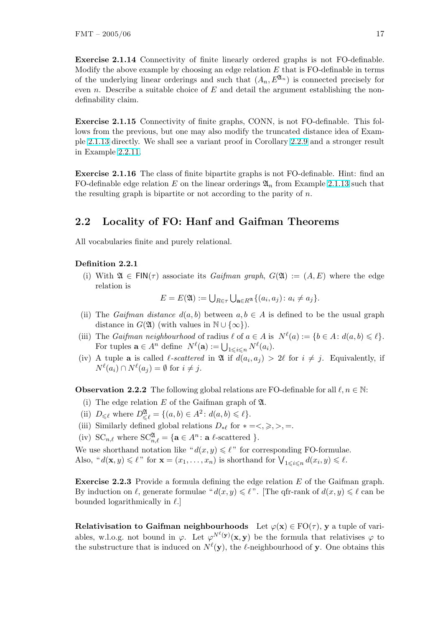Exercise 2.1.14 Connectivity of finite linearly ordered graphs is not FO-definable. Modify the above example by choosing an edge relation  $E$  that is FO-definable in terms of the underlying linear orderings and such that  $(A_n, E^{2(n)})$  is connected precisely for even n. Describe a suitable choice of  $E$  and detail the argument establishing the nondefinability claim.

<span id="page-18-0"></span> $\mathcal{F}_{\mathcal{A}}$  ,  $\mathcal{F}_{\mathcal{A}}$  ,  $\mathcal{F}_{\mathcal{A}}$  ,  $\mathcal{F}_{\mathcal{A}}$  ,  $\mathcal{F}_{\mathcal{A}}$  ,  $\mathcal{F}_{\mathcal{A}}$  ,  $\mathcal{F}_{\mathcal{A}}$  ,  $\mathcal{F}_{\mathcal{A}}$  ,  $\mathcal{F}_{\mathcal{A}}$  ,  $\mathcal{F}_{\mathcal{A}}$  ,  $\mathcal{F}_{\mathcal{A}}$  ,  $\mathcal{F}_{\mathcal{A}}$  ,  $\mathcal{F}_{\mathcal{A}}$  ,

Exercise 2.1.15 Connectivity of finite graphs, CONN, is not FO-definable. This follows from the previous, but one may also modify the truncated distance idea of Example 2.1.13 directly. We shall see a variant proof in Corollary 2.2.9 and a stronger result in Example 2.2.11.

Exercise 2.1.16 The class of finite bipartite graphs is not FO-definable. Hint: find an FO[-defina](#page-17-0)ble edge relation E on the linear orderings  $\mathfrak{A}_n$  fro[m Exa](#page-20-0)mple 2.1.13 such that the resultin[g graph](#page-21-0) is bipartite or not according to the parity of  $n$ .

# 2.2 Locality of FO: Hanf and Gaifman Theore[ms](#page-17-0)

All vocabularies finite and purely relational.

#### Definition 2.2.1

(i) With  $\mathfrak{A} \in \mathsf{FIN}(\tau)$  associate its *Gaifman graph*,  $G(\mathfrak{A}) := (A, E)$  where the edge relation is S

$$
E = E(\mathfrak{A}) := \bigcup_{R \in \tau} \bigcup_{\mathbf{a} \in R^{\mathfrak{A}}} \{ (a_i, a_j) \colon a_i \neq a_j \}.
$$

- (ii) The *Gaifman distance*  $d(a, b)$  between  $a, b \in A$  is defined to be the usual graph distance in  $G(\mathfrak{A})$  (with values in  $\mathbb{N} \cup \{\infty\}$ ).
- (iii) The *Gaifman neighbourhood* of radius  $\ell$  of  $a \in A$  is  $N^{\ell}(a) := \{b \in A : d(a, b) \leq \ell\}.$ The Gayman neghbourhood of radius  $\ell$  or  $a \in A$  is<br>For tuples  $\mathbf{a} \in A^n$  define  $N^{\ell}(\mathbf{a}) := \bigcup_{1 \leq i \leq n} N^{\ell}(a_i)$ .
- (iv) A tuple **a** is called *l*-scattered in  $\mathfrak{A}$  if  $d(a_i, a_j) > 2\ell$  for  $i \neq j$ . Equivalently, if  $N^{\ell}(a_i) \cap N^{\ell}(a_j) = \emptyset$  for  $i \neq j$ .

**Observation 2.2.2** The following global relations are FO-definable for all  $\ell, n \in \mathbb{N}$ :

- (i) The edge relation  $E$  of the Gaifman graph of  $\mathfrak{A}$ .
- (ii)  $D_{\leq \ell}$  where  $D^{\mathfrak{A}}_{\leq \ell} = \{(a, b) \in A^2 : d(a, b) \leq \ell\}.$
- (iii) Similarly defined global relations  $D_{*l}$  for  $* = <, \geq, >, =$ .
- (iv)  $SC_{n,\ell}$  where  $SC_{n,\ell}^{\mathfrak{A}} = {\mathbf{a} \in A^n : \mathbf{a} \ell\text{-scattered}}.$

We use shorthand notation like " $d(x, y) \leq \ell$ " for corresponding FO-formulae. We use shorthand notation like  $u(x, y) \leq \ell$  for corresponding FO-formulate Also, " $d(\mathbf{x}, y) \leq \ell$ " for  $\mathbf{x} = (x_1, \dots, x_n)$  is shorthand for  $\bigvee_{1 \leq i \leq n} d(x_i, y) \leq \ell$ .

Exercise 2.2.3 Provide a formula defining the edge relation E of the Gaifman graph. By induction on  $\ell$ , generate formulae "  $d(x, y) \leq \ell$ ". [The qfr-rank of  $d(x, y) \leq \ell$  can be bounded logarithmically in  $\ell$ .]

Relativisation to Gaifman neighbourhoods Let  $\varphi(\mathbf{x}) \in \mathrm{FO}(\tau)$ , y a tuple of variables, w.l.o.g. not bound in  $\varphi$ . Let  $\varphi^{N^{\ell}(\mathbf{y})}(\mathbf{x}, \mathbf{y})$  be the formula that relativises  $\varphi$  to the substructure that is induced on  $N^{\ell}(\mathbf{y})$ , the  $\ell$ -neighbourhood of y. One obtains this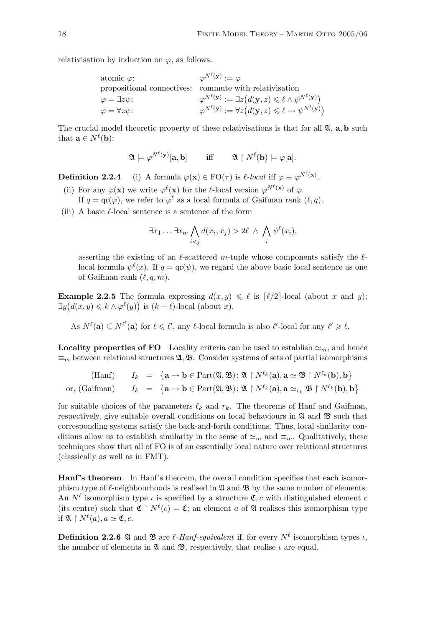relativisation by induction on  $\varphi$ , as follows.

atomic 
$$
\varphi
$$
:  
\n
$$
\varphi^{N^{\ell}(\mathbf{y})} := \varphi
$$
\npropositional connectives: commute with relativisation  
\n
$$
\varphi = \exists z \psi:
$$
\n
$$
\varphi^{N^{\ell}(\mathbf{y})} := \exists z (d(\mathbf{y}, z) \leq \ell \wedge \psi^{N^{\ell}(\mathbf{y})})
$$
\n
$$
\varphi = \forall z \psi:
$$
\n
$$
\varphi^{N^{\ell}(\mathbf{y})} := \forall z (d(\mathbf{y}, z) \leq \ell \rightarrow \psi^{N^{\ell}(\mathbf{y})})
$$

The crucial model theoretic property of these relativisations is that for all  $\mathfrak{A}$ , a, b such that  $\mathbf{a} \in N^{\ell}(\mathbf{b})$ :

$$
\mathfrak{A} \models \varphi^{N^{\ell}(\mathbf{y})}[\mathbf{a}, \mathbf{b}]
$$
 iff  $\mathfrak{A} \restriction N^{\ell}(\mathbf{b}) \models \varphi[\mathbf{a}].$ 

**Definition 2.2.4** (i) A formula  $\varphi(\mathbf{x}) \in \text{FO}(\tau)$  is  $\ell\text{-}local$  iff  $\varphi \equiv \varphi^{N^{\ell}(\mathbf{x})}$ .

- (ii) For any  $\varphi(\mathbf{x})$  we write  $\varphi^{\ell}(\mathbf{x})$  for the  $\ell$ -local version  $\varphi^{N^{\ell}(\mathbf{x})}$  of  $\varphi$ . If  $q = \text{qr}(\varphi)$ , we refer to  $\varphi^{\ell}$  as a local formula of Gaifman rank  $(\ell, q)$ .
- (iii) A basic  $\ell$ -local sentence is a sentence of the form

$$
\exists x_1 \ldots \exists x_m \bigwedge_{i < j} d(x_i, x_j) > 2\ell \ \land \ \bigwedge_i \psi^{\ell}(x_i),
$$

asserting the existing of an  $\ell$ -scattered m-tuple whose components satisfy the  $\ell$ local formula  $\psi^{\ell}(x)$ . If  $q = \text{qr}(\psi)$ , we regard the above basic local sentence as one of Gaifman rank  $(\ell, q, m)$ .

**Example 2.2.5** The formula expressing  $d(x, y) \le \ell$  is  $\lceil \ell/2 \rceil$ -local (about x and y);  $\exists y (d(x, y) \leq k \wedge \varphi^{\ell}(y))$  is  $(k + \ell)$ -local (about x).

As  $N^{\ell}(\mathbf{a}) \subseteq N^{\ell'}(\mathbf{a})$  for  $\ell \leq \ell'$ , any  $\ell$ -local formula is also  $\ell'$ -local for any  $\ell' \geq \ell$ .

**Locality properties of FO** Locality criteria can be used to establish  $\approx_m$ , and hence  $\equiv_m$  between relational structures  $\mathfrak{A}, \mathfrak{B}$ . Consider systems of sets of partial isomorphisms

(Hanf) 
$$
I_k = {\mathbf{a} \mapsto \mathbf{b} \in \text{Part}(\mathfrak{A}, \mathfrak{B}) : \mathfrak{A} \upharpoonright N^{\ell_k}(\mathbf{a}), \mathbf{a} \simeq \mathfrak{B} \upharpoonright N^{\ell_k}(\mathbf{b}), \mathbf{b}}
$$
  
or, (Gairfman)  $I_k = {\mathbf{a} \mapsto \mathbf{b} \in \text{Part}(\mathfrak{A}, \mathfrak{B}) : \mathfrak{A} \upharpoonright N^{\ell_k}(\mathbf{a}), \mathbf{a} \simeq_{r_k} \mathfrak{B} \upharpoonright N^{\ell_k}(\mathbf{b}), \mathbf{b}}$ 

for suitable choices of the parameters  $\ell_k$  and  $r_k$ . The theorems of Hanf and Gaifman, respectively, give suitable overall conditions on local behaviours in  $\mathfrak A$  and  $\mathfrak B$  such that corresponding systems satisfy the back-and-forth conditions. Thus, local similarity conditions allow us to establish similarity in the sense of  $\simeq_m$  and  $\equiv_m$ . Qualitatively, these techniques show that all of FO is of an essentially local nature over relational structures (classically as well as in FMT).

**Hanf's theorem** In Hanf's theorem, the overall condition specifies that each isomorphism type of  $\ell$ -neighbourhoods is realised in  $\mathfrak A$  and  $\mathfrak B$  by the same number of elements. An  $N^{\ell}$  isomorphism type  $\iota$  is specified by a structure  $\mathfrak{C}, c$  with distinguished element c (its centre) such that  $\mathfrak{C} \restriction N^{\ell}(c) = \mathfrak{C}$ ; an element a of  $\mathfrak A$  realises this isomorphism type if  $\mathfrak{A} \restriction N^{\ell}(a), a \simeq \mathfrak{C}, c$ .

**Definition 2.2.6**  $\mathfrak A$  and  $\mathfrak B$  are  $\ell$ -Hanf-equivalent if, for every  $N^{\ell}$  isomorphism types  $\iota$ , the number of elements in  $\mathfrak A$  and  $\mathfrak B$ , respectively, that realise  $\iota$  are equal.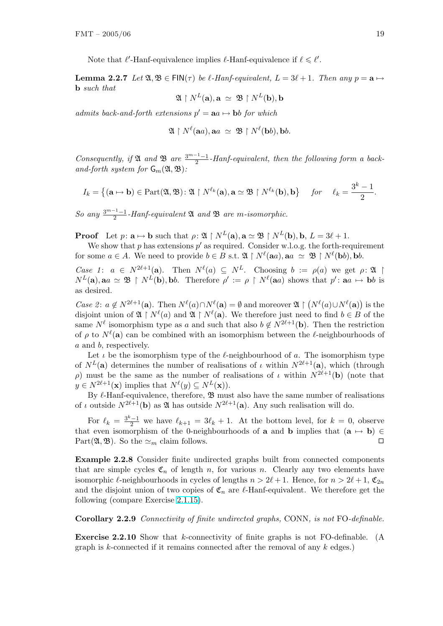Note that  $\ell'$ -Hanf-equivalence implies  $\ell$ -Hanf-equivalence if  $\ell \leq \ell'$ .

**Lemma 2.2.7** Let  $\mathfrak{A}, \mathfrak{B} \in \text{FIN}(\tau)$  be  $\ell$ -Hanf-equivalent,  $L = 3\ell + 1$ . Then any  $p = \mathbf{a} \mapsto$ b such that

<span id="page-20-0"></span> $\mathcal{F}_{\mathcal{A}}$  ,  $\mathcal{F}_{\mathcal{A}}$  ,  $\mathcal{F}_{\mathcal{A}}$  ,  $\mathcal{F}_{\mathcal{A}}$  ,  $\mathcal{F}_{\mathcal{A}}$  ,  $\mathcal{F}_{\mathcal{A}}$  ,  $\mathcal{F}_{\mathcal{A}}$  ,  $\mathcal{F}_{\mathcal{A}}$  ,  $\mathcal{F}_{\mathcal{A}}$  ,  $\mathcal{F}_{\mathcal{A}}$  ,  $\mathcal{F}_{\mathcal{A}}$  ,  $\mathcal{F}_{\mathcal{A}}$  ,  $\mathcal{F}_{\mathcal{A}}$  ,

 $\mathfrak{A}\restriction N^L(\mathbf{a}), \mathbf{a}\ \simeq\ \mathfrak{B}\restriction N^L(\mathbf{b}), \mathbf{b}$ 

admits back-and-forth extensions  $p' = aa \mapsto bb$  for which

$$
\mathfrak{A} \restriction N^{\ell}(\mathbf{a}a), \mathbf{a}a \simeq \mathfrak{B} \restriction N^{\ell}(\mathbf{b}b), \mathbf{b}b.
$$

Consequently, if  $\mathfrak A$  and  $\mathfrak B$  are  $\frac{3^{m-1}-1}{2}$ -Hanf-equivalent, then the following form a backand-forth system for  $G_m(\mathfrak{A}, \mathfrak{B})$ :

$$
I_k = \left\{ (\mathbf{a} \mapsto \mathbf{b}) \in \mathrm{Part}(\mathfrak{A}, \mathfrak{B}) \colon \mathfrak{A} \upharpoonright N^{\ell_k}(\mathbf{a}), \mathbf{a} \simeq \mathfrak{B} \upharpoonright N^{\ell_k}(\mathbf{b}), \mathbf{b} \right\} \quad \textit{for} \quad \ell_k = \frac{3^k - 1}{2}.
$$

So any  $\frac{3^{m-1}-1}{2}$ -Hanf-equivalent  $\mathfrak A$  and  $\mathfrak B$  are m-isomorphic.

**Proof** Let  $p: \mathbf{a} \mapsto \mathbf{b}$  such that  $\rho: \mathfrak{A} \upharpoonright N^L(\mathbf{a}), \mathbf{a} \simeq \mathfrak{B} \upharpoonright N^L(\mathbf{b}), \mathbf{b}, L = 3\ell + 1$ .

We show that p has extensions  $p'$  as required. Consider w.l.o.g. the forth-requirement for some  $a \in A$ . We need to provide  $b \in B$  s.t.  $\mathfrak{A} \restriction N^{\ell}(\mathbf{a}a)$ ,  $\mathbf{a}a \simeq \mathfrak{B} \restriction N^{\ell}(\mathbf{b}b)$ ,  $\mathbf{b}b$ .

Case 1:  $a \in N^{2\ell+1}(\mathbf{a})$ . Then  $N^{\ell}(a) \subseteq N^{L}$ . Choosing  $b := \rho(a)$  we get  $\rho : \mathfrak{A} \restriction$  $N^L(\mathbf{a}), \mathbf{a} \simeq \mathfrak{B} \restriction N^L(\mathbf{b}), \mathbf{b}$ b. Therefore  $\rho' := \rho \restriction N^{\ell}(\mathbf{a}a)$  shows that  $p' : \mathbf{a}a \mapsto \mathbf{b}b$  is as desired.

*Case 2*:  $a \notin N^{2\ell+1}(\mathbf{a})$ . Then  $N^{\ell}(a) \cap N^{\ell}(\mathbf{a}) = \emptyset$  and moreover  $\mathfrak{A} \upharpoonright$  $(N^{\ell}(a) \cup N^{\ell}(\mathbf{a}))$ ¢ is the disjoint union of  $\mathfrak{A} \restriction N^{\ell}(a)$  and  $\mathfrak{A} \restriction N^{\ell}(a)$ . We therefore just need to find  $b \in B$  of the same  $N^{\ell}$  isomorphism type as a and such that also  $b \notin N^{2\ell+1}(\mathbf{b})$ . Then the restriction of  $\rho$  to  $N^{\ell}(\mathbf{a})$  can be combined with an isomorphism between the  $\ell$ -neighbourhoods of a and b, respectively.

Let  $\iota$  be the isomorphism type of the  $\ell$ -neighbourhood of a. The isomorphism type of  $N^L(\mathbf{a})$  determines the number of realisations of  $\iota$  within  $N^{2\ell+1}(\mathbf{a})$ , which (through ρ) must be the same as the number of realisations of  $ι$  within  $N^{2ℓ+1}(\mathbf{b})$  (note that  $y \in N^{2\ell+1}(\mathbf{x})$  implies that  $N^{\ell}(y) \subseteq N^{L}(\mathbf{x})$ .

By  $\ell$ -Hanf-equivalence, therefore,  $\mathfrak B$  must also have the same number of realisations of  $\iota$  outside  $N^{2\ell+1}(\mathbf{b})$  as  $\mathfrak A$  has outside  $N^{2\ell+1}(\mathbf{a})$ . Any such realisation will do.

For  $\ell_k = \frac{3^k-1}{2}$  we have  $\ell_{k+1} = 3\ell_k + 1$ . At the bottom level, for  $k = 0$ , observe that even isomorphism of the 0-neighbourhoods of a and b implies that  $(a \mapsto b) \in$ Part( $\mathfrak{A}, \mathfrak{B}$ ). So the  $\simeq_m$  claim follows.

Example 2.2.8 Consider finite undirected graphs built from connected components that are simple cycles  $\mathfrak{C}_n$  of length n, for various n. Clearly any two elements have isomorphic  $\ell$ -neighbourhoods in cycles of lengths  $n > 2\ell + 1$ . Hence, for  $n > 2\ell + 1$ ,  $\mathfrak{C}_{2n}$ and the disjoint union of two copies of  $\mathfrak{C}_n$  are  $\ell$ -Hanf-equivalent. We therefore get the following (compare Exercise 2.1.15).

Corollary 2.2.9 Connectivity of finite undirected graphs, CONN, is not FO-definable.

Exercise 2.2.10 Show that k[-con](#page-18-0)nectivity of finite graphs is not FO-definable. (A graph is k-connected if it remains connected after the removal of any k edges.)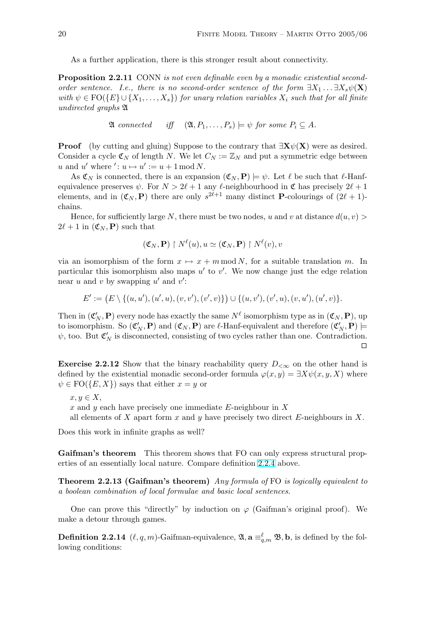As a further application, there is this stronger result about connectivity.

**Proposition 2.2.11** CONN is not even definable even by a monadic existential secondorder sentence. I.e., there is no second-order sentence of the form  $\exists X_1 \dots \exists X_s \psi(\mathbf{X})$ with  $\psi \in FO({E} \cup {X_1, \ldots, X_s})$  for unary relation variables  $X_i$  such that for all finite undirected graphs A

<span id="page-21-0"></span>20 Finite Model Theory – Martin Otto 2005/06

 $\mathfrak A$  connected iff  $(\mathfrak A, P_1, \ldots, P_s) \models \psi$  for some  $P_i \subseteq A$ .

**Proof** (by cutting and gluing) Suppose to the contrary that  $\exists \mathbf{X} \psi(\mathbf{X})$  were as desired. Consider a cycle  $\mathfrak{C}_N$  of length N. We let  $C_N := \mathbb{Z}_N$  and put a symmetric edge between u and u' where ':  $u \mapsto u' := u + 1 \bmod N$ .

As  $\mathfrak{C}_N$  is connected, there is an expansion  $(\mathfrak{C}_N, \mathbf{P}) \models \psi$ . Let  $\ell$  be such that  $\ell$ -Hanfequivalence preserves  $\psi$ . For  $N > 2\ell + 1$  any  $\ell$ -neighbourhood in  $\mathfrak{C}$  has precisely  $2\ell + 1$ elements, and in  $(\mathfrak{C}_N, \mathbf{P})$  there are only  $s^{2\ell+1}$  many distinct **P**-colourings of  $(2\ell + 1)$ chains.

Hence, for sufficiently large N, there must be two nodes, u and v at distance  $d(u, v)$  $2\ell + 1$  in  $(\mathfrak{C}_N, \mathbf{P})$  such that

$$
(\mathfrak{C}_N, \mathbf{P}) \restriction N^{\ell}(u), u \simeq (\mathfrak{C}_N, \mathbf{P}) \restriction N^{\ell}(v), v
$$

via an isomorphism of the form  $x \mapsto x + m \mod N$ , for a suitable translation m. In particular this isomorphism also maps  $u'$  to  $v'$ . We now change just the edge relation near u and v by swapping  $u'$  and  $v'$ :

$$
E' := (E \setminus \{(u, u'), (u', u), (v, v'), (v', v)\}) \cup \{(u, v'), (v', u), (v, u'), (u', v)\}.
$$

Then in  $(\mathfrak{C}'_N, \mathbf{P})$  every node has exactly the same  $N^{\ell}$  isomorphism type as in  $(\mathfrak{C}_N, \mathbf{P})$ , up to isomorphism. So  $(\mathfrak{C}_N', \mathbf{P})$  and  $(\mathfrak{C}_N, \mathbf{P})$  are  $\ell$ -Hanf-equivalent and therefore  $(\mathfrak{C}_N', \mathbf{P})$   $\models$  $\psi$ , too. But  $\mathfrak{C}'_N$  is disconnected, consisting of two cycles rather than one. Contradiction. ✷

**Exercise 2.2.12** Show that the binary reachability query  $D_{< \infty}$  on the other hand is defined by the existential monadic second-order formula  $\varphi(x, y) = \exists X \psi(x, y, X)$  where  $\psi \in \text{FO}(\{E, X\})$  says that either  $x = y$  or

 $x, y \in X$ 

x and y each have precisely one immediate E-neighbour in  $X$ 

all elements of X apart form x and y have precisely two direct E-neighbours in X.

Does this work in infinite graphs as well?

Gaifman's theorem This theorem shows that FO can only express structural properties of an essentially local nature. Compare definition 2.2.4 above.

**Theorem 2.2.13 (Gaifman's theorem)** Any formula of FO is logically equivalent to a boolean combination of local formulae and basic local sentences.

One can prove this "directly" by induction on  $\varphi$  (Gaifman's original proof). We make a detour through games.

**Definition 2.2.14**  $(\ell, q, m)$ -Gaifman-equivalence,  $\mathfrak{A}, \mathbf{a} \equiv^{\ell}_{q,m} \mathfrak{B}, \mathbf{b}$ , is defined by the following conditions: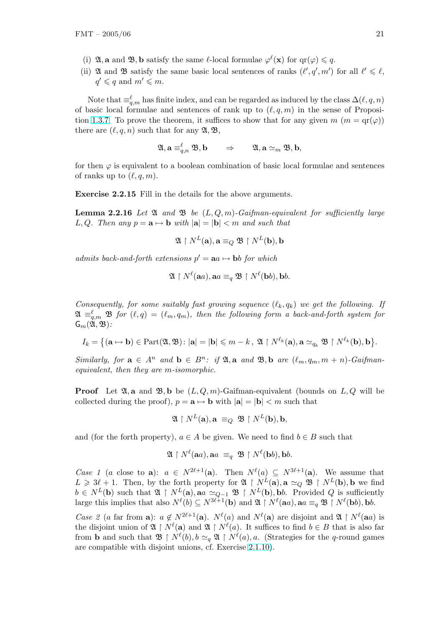- (i)  $\mathfrak{A}, \mathbf{a}$  and  $\mathfrak{B}, \mathbf{b}$  satisfy the same  $\ell$ -local formulae  $\varphi^{\ell}(\mathbf{x})$  for  $\text{qr}(\varphi) \leqslant q$ .
- (ii) **2** and **2** satisfy the same basic local sentences of ranks  $(\ell', q', m')$  for all  $\ell' \leq \ell$ ,  $q' \leqslant q$  and  $m' \leqslant m$ .

 $\mathcal{F}_{\mathcal{A}}$  ,  $\mathcal{F}_{\mathcal{A}}$  ,  $\mathcal{F}_{\mathcal{A}}$  ,  $\mathcal{F}_{\mathcal{A}}$  ,  $\mathcal{F}_{\mathcal{A}}$  ,  $\mathcal{F}_{\mathcal{A}}$  ,  $\mathcal{F}_{\mathcal{A}}$  ,  $\mathcal{F}_{\mathcal{A}}$  ,  $\mathcal{F}_{\mathcal{A}}$  ,  $\mathcal{F}_{\mathcal{A}}$  ,  $\mathcal{F}_{\mathcal{A}}$  ,  $\mathcal{F}_{\mathcal{A}}$  ,  $\mathcal{F}_{\mathcal{A}}$  ,

Note that  $\equiv_{q,m}^{\ell}$  has finite index, and can be regarded as induced by the class  $\Delta(\ell, q, n)$ of basic local formulae and sentences of rank up to  $(\ell, q, m)$  in the sense of Proposition 1.3.7. To prove the theorem, it suffices to show that for any given m  $(m = \text{qr}(\varphi))$ there are  $(\ell, q, n)$  such that for any  $\mathfrak{A}, \mathfrak{B},$ 

$$
\mathfrak{A},\mathbf{a} \equiv^{\ell}_{q,n} \mathfrak{B},\mathbf{b}\qquad \Rightarrow \qquad \mathfrak{A},\mathbf{a} \simeq_{m} \mathfrak{B},\mathbf{b},
$$

for then  $\varphi$  is equivalent to a boolean combination of basic local formulae and sentences of ranks up to  $(\ell, q, m)$ .

Exercise 2.2.15 Fill in the details for the above arguments.

**Lemma 2.2.16** Let  $\mathfrak{A}$  and  $\mathfrak{B}$  be  $(L, Q, m)$ -Gaifman-equivalent for sufficiently large L, Q. Then any  $p = \mathbf{a} \mapsto \mathbf{b}$  with  $|\mathbf{a}| = |\mathbf{b}| < m$  and such that

$$
\mathfrak{A}\restriction N^L({\bf a}), {\bf a}\equiv_Q\mathfrak{B}\restriction N^L({\bf b}), {\bf b}
$$

admits back-and-forth extensions  $p' = aa \mapsto bb$  for which

$$
\mathfrak{A}\restriction N^{\ell}(\mathbf{a} a), \mathbf{a} a\equiv_q \mathfrak{B}\restriction N^{\ell}(\mathbf{b} b), \mathbf{b} b.
$$

Consequently, for some suitably fast growing sequence  $(\ell_k, q_k)$  we get the following. If  $\mathfrak{A} \equiv_{q,m}^\ell \mathfrak{B}$  for  $(\ell,q) = (\ell_m,q_m)$ , then the following form a back-and-forth system for  $G_m(\mathfrak{A}, \mathfrak{B})$ :

$$
I_k = \big\{(\mathbf{a} \mapsto \mathbf{b}) \in \text{Part}(\mathfrak{A}, \mathfrak{B}) : |\mathbf{a}| = |\mathbf{b}| \leqslant m - k \,,\ \mathfrak{A} \upharpoonright N^{\ell_k}(\mathbf{a}), \mathbf{a} \simeq_{q_k} \mathfrak{B} \upharpoonright N^{\ell_k}(\mathbf{b}), \mathbf{b} \big\}.
$$

Similarly, for  $\mathbf{a} \in A^n$  and  $\mathbf{b} \in B^n$ : if  $\mathfrak{A}, \mathbf{a}$  and  $\mathfrak{B}, \mathbf{b}$  are  $(\ell_m, q_m, m+n)$ -Gaifmanequivalent, then they are m-isomorphic.

**Proof** Let  $\mathfrak{A}, \mathbf{a}$  and  $\mathfrak{B}, \mathbf{b}$  be  $(L, Q, m)$ -Gaifman-equivalent (bounds on L, Q will be collected during the proof),  $p = \mathbf{a} \mapsto \mathbf{b}$  with  $|\mathbf{a}| = |\mathbf{b}| < m$  such that

$$
\mathfrak{A} \restriction N^L(\mathbf{a}), \mathbf{a} \equiv_Q \mathfrak{B} \restriction N^L(\mathbf{b}), \mathbf{b},
$$

and (for the forth property),  $a \in A$  be given. We need to find  $b \in B$  such that

$$
\mathfrak{A} \restriction N^{\ell}(\mathbf{a}a), \mathbf{a}a \equiv_q \mathfrak{B} \restriction N^{\ell}(\mathbf{b}b), \mathbf{b}b.
$$

Case 1 (a close to a):  $a \in N^{2\ell+1}(\mathbf{a})$ . Then  $N^{\ell}(a) \subseteq N^{3\ell+1}(\mathbf{a})$ . We assume that  $L \geq 3\ell + 1$ . Then, by the forth property for  $\mathfrak{A} \restriction N^L(\mathbf{a}), \mathbf{a} \simeq_Q \mathfrak{B} \restriction N^L(\mathbf{b}), \mathbf{b}$  we find  $b \in N^{L}(\mathbf{b})$  such that  $\mathfrak{A} \restriction N^{L}(\mathbf{a}), \mathbf{a} \simeq_{Q-1} \mathfrak{B} \restriction N^{L}(\mathbf{b}), \mathbf{b}$ b. Provided Q is sufficiently large this implies that also  $N^{\ell}(b) \subseteq N^{3\ell+1}(\mathbf{b})$  and  $\mathfrak{A} \restriction N^{\ell}(\mathbf{a}a), \mathbf{a} \equiv_q \mathfrak{B} \restriction N^{\ell}(\mathbf{b}b), \mathbf{b}b.$ 

*Case 2* (*a* far from **a**):  $a \notin N^{2\ell+1}(\mathbf{a})$ .  $N^{\ell}(a)$  and  $N^{\ell}(\mathbf{a})$  are disjoint and  $\mathfrak{A} \restriction N^{\ell}(\mathbf{a}a)$  is the disjoint union of  $\mathfrak{A} \restriction N^{\ell}(\mathbf{a})$  and  $\mathfrak{A} \restriction N^{\ell}(a)$ . It suffices to find  $b \in B$  that is also far from **b** and such that  $\mathfrak{B} \restriction N^{\ell}(b)$ ,  $b \simeq_q \mathfrak{A} \restriction N^{\ell}(a)$ , a. (Strategies for the q-round games are compatible with disjoint unions, cf. Exercise 2.1.10).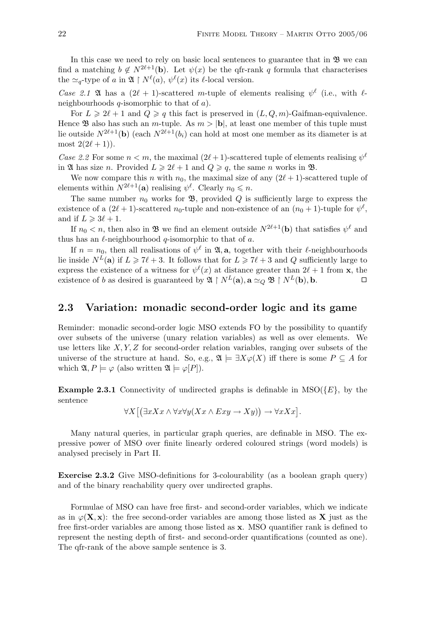<span id="page-23-0"></span>In this case we need to rely on basic local sentences to guarantee that in  $\mathfrak{B}$  we can find a matching  $b \notin N^{2\ell+1}(\mathbf{b})$ . Let  $\psi(x)$  be the qfr-rank q formula that characterises the  $\simeq_q$ -type of a in  $\mathfrak{A} \restriction N^{\ell}(a)$ ,  $\psi^{\ell}(x)$  its  $\ell$ -local version.

Case 2.1  $\mathfrak A$  has a  $(2\ell + 1)$ -scattered m-tuple of elements realising  $\psi^{\ell}$  (i.e., with  $\ell$ neighbourhoods  $q$ -isomorphic to that of  $a$ ).

For  $L \geq 2\ell + 1$  and  $Q \geq q$  this fact is preserved in  $(L, Q, m)$ -Gaifman-equivalence. Hence **B** also has such an m-tuple. As  $m > |b|$ , at least one member of this tuple must lie outside  $N^{2\ell+1}(\mathbf{b})$  (each  $N^{2\ell+1}(b_i)$  can hold at most one member as its diameter is at most  $2(2\ell + 1)$ ).

Case 2.2 For some  $n < m$ , the maximal  $(2\ell + 1)$ -scattered tuple of elements realising  $\psi^{\ell}$ in  $\mathfrak A$  has size *n*. Provided  $L \geq 2\ell + 1$  and  $Q \geq q$ , the same *n* works in  $\mathfrak B$ .

We now compare this n with  $n_0$ , the maximal size of any  $(2\ell + 1)$ -scattered tuple of elements within  $N^{2\ell+1}(\mathbf{a})$  realising  $\psi^{\ell}$ . Clearly  $n_0 \leq n$ .

The same number  $n_0$  works for  $\mathfrak{B}$ , provided Q is sufficiently large to express the existence of a  $(2\ell + 1)$ -scattered  $n_0$ -tuple and non-existence of an  $(n_0 + 1)$ -tuple for  $\psi^{\ell}$ , and if  $L \geqslant 3\ell + 1$ .

If  $n_0 < n$ , then also in **B** we find an element outside  $N^{2\ell+1}(\mathbf{b})$  that satisfies  $\psi^{\ell}$  and thus has an  $\ell$ -neighbourhood q-isomorphic to that of a.

If  $n = n_0$ , then all realisations of  $\psi^{\ell}$  in  $\mathfrak{A}, \mathbf{a}$ , together with their  $\ell$ -neighbourhoods lie inside  $N^L(\mathbf{a})$  if  $L \geq 7\ell + 3$ . It follows that for  $L \geq 7\ell + 3$  and Q sufficiently large to express the existence of a witness for  $\psi^{\ell}(x)$  at distance greater than  $2\ell + 1$  from **x**, the existence of b as desired is guaranteed by  $\mathfrak{A} \restriction N^L(\mathbf{a}), \mathbf{a} \simeq_Q \mathfrak{B} \restriction N^L(\mathbf{b}), \mathbf{b}.$ 

### 2.3 Variation: monadic second-order logic and its game

Reminder: monadic second-order logic MSO extends FO by the possibility to quantify over subsets of the universe (unary relation variables) as well as over elements. We use letters like  $X, Y, Z$  for second-order relation variables, ranging over subsets of the universe of the structure at hand. So, e.g.,  $\mathfrak{A} \models \exists X \varphi(X)$  iff there is some  $P \subseteq A$  for which  $\mathfrak{A}, P \models \varphi$  (also written  $\mathfrak{A} \models \varphi[P]$ ).

**Example 2.3.1** Connectivity of undirected graphs is definable in MSO( $\{E\}$ , by the sentence ¢

$$
\forall X \big[ \big( \exists x X x \land \forall x \forall y (X x \land Exy \to Xy) \big) \to \forall x X x \big].
$$

Many natural queries, in particular graph queries, are definable in MSO. The expressive power of MSO over finite linearly ordered coloured strings (word models) is analysed precisely in Part II.

Exercise 2.3.2 Give MSO-definitions for 3-colourability (as a boolean graph query) and of the binary reachability query over undirected graphs.

Formulae of MSO can have free first- and second-order variables, which we indicate as in  $\varphi(\mathbf{X}, \mathbf{x})$ : the free second-order variables are among those listed as **X** just as the free first-order variables are among those listed as x. MSO quantifier rank is defined to represent the nesting depth of first- and second-order quantifications (counted as one). The qfr-rank of the above sample sentence is 3.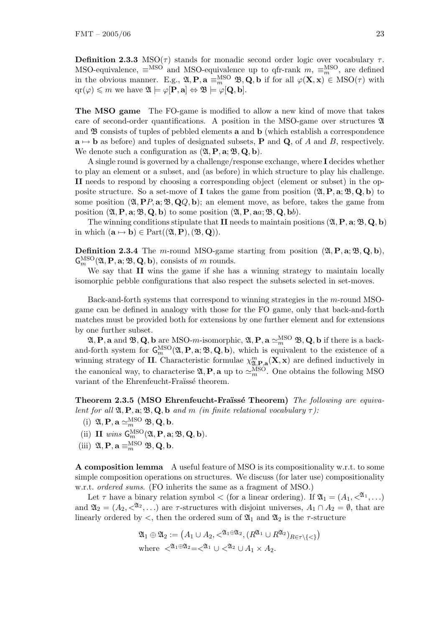**Definition 2.3.3** MSO( $\tau$ ) stands for monadic second order logic over vocabulary  $\tau$ . MSO-equivalence,  $\equiv^{\text{MSO}}$  and MSO-equivalence up to qfr-rank  $m, \equiv^{\text{MSO}}_m$ , are defined in the obvious manner. E.g.,  $\mathfrak{A}, \mathbf{P}, \mathbf{a} \equiv_m^{\text{MSO}} \mathfrak{B}, \mathbf{Q}, \mathbf{b}$  if for all  $\varphi(\mathbf{X}, \mathbf{x}) \in \text{MSO}(\tau)$  with  $\text{qr}(\varphi) \leq m$  we have  $\mathfrak{A} \models \varphi[\mathbf{P}, \mathbf{a}] \Leftrightarrow \mathfrak{B} \models \varphi[\mathbf{Q}, \mathbf{b}].$ 

The MSO game The FO-game is modified to allow a new kind of move that takes care of second-order quantifications. A position in the MSO-game over structures  $\mathfrak A$ and  $\mathfrak B$  consists of tuples of pebbled elements **a** and **b** (which establish a correspondence  $\mathbf{a} \mapsto \mathbf{b}$  as before) and tuples of designated subsets, **P** and **Q**, of A and B, respectively. We denote such a configuration as  $(\mathfrak{A}, P, a; \mathfrak{B}, Q, b)$ .

A single round is governed by a challenge/response exchange, where I decides whether to play an element or a subset, and (as before) in which structure to play his challenge. II needs to respond by choosing a corresponding object (element or subset) in the opposite structure. So a set-move of I takes the game from position  $(\mathfrak{A}, P, a; \mathfrak{B}, Q, b)$  to some position  $(\mathfrak{A}, \mathbf{P}P, \mathbf{a}; \mathfrak{B}, \mathbf{Q}Q, \mathbf{b})$ ; an element move, as before, takes the game from position  $(\mathfrak{A}, P, \mathbf{a}; \mathfrak{B}, \mathbf{Q}, \mathbf{b})$  to some position  $(\mathfrak{A}, P, \mathbf{a}a; \mathfrak{B}, \mathbf{Q}, \mathbf{b}b)$ .

The winning conditions stipulate that **II** needs to maintain positions  $(\mathfrak{A}, P, \mathbf{a}; \mathfrak{B}, \mathbf{Q}, \mathbf{b})$ in which  $(\mathbf{a} \mapsto \mathbf{b}) \in Part((\mathfrak{A}, \mathbf{P}),(\mathfrak{B}, \mathbf{Q})).$ 

Definition 2.3.4 The m-round MSO-game starting from position  $(2\mathbf{I}, P, \mathbf{a}; \mathcal{B}, \mathbf{Q}, \mathbf{b})$ ,  $\mathsf{G}_m^{\rm MSO}(\mathfrak{A},\mathbf{P},\mathbf{a};\mathfrak{B},\mathbf{Q},\mathbf{b}),$  consists of m rounds.

We say that II wins the game if she has a winning strategy to maintain locally isomorphic pebble configurations that also respect the subsets selected in set-moves.

Back-and-forth systems that correspond to winning strategies in the m-round MSOgame can be defined in analogy with those for the FO game, only that back-and-forth matches must be provided both for extensions by one further element and for extensions by one further subset.

 $\mathfrak{A},\mathbf{P},\mathbf{a} \text{ and } \mathfrak{B},\mathbf{Q},\mathbf{b} \text{ are MSO-}m\text{-isomorphic}, \mathfrak{A},\mathbf{P},\mathbf{a} \simeq^{\text{MSO}}_{m} \mathfrak{B},\mathbf{Q},\mathbf{b} \text{ if there is a back--}$ and-forth system for  $\mathsf{G}_m^{\text{MSO}}(\mathfrak{A},\mathbf{P},\mathbf{a};\mathfrak{B},\mathbf{Q},\mathbf{b}),$  which is equivalent to the existence of a winning strategy of II. Characteristic formulae  $\chi^m_{\mathfrak{A},\mathbf{P},\mathbf{a}}(\mathbf{X},\mathbf{x})$  are defined inductively in the canonical way, to characterise  $\mathfrak{A}, \mathbf{P}, \mathbf{a}$  up to  $\simeq_m^{\text{MSO}}$ . One obtains the following MSO variant of the Ehrenfeucht-Fraïssé theorem.

Theorem 2.3.5 (MSO Ehrenfeucht-Fraüssé Theorem) The following are equivalent for all  $\mathfrak{A}, \mathbf{P}, \mathbf{a}; \mathfrak{B}, \mathbf{Q}, \mathbf{b}$  and m (in finite relational vocabulary  $\tau$ ):

- (i)  $\mathfrak{A}, \mathbf{P}, \mathbf{a} \simeq_m^{\text{MSO}} \mathfrak{B}, \mathbf{Q}, \mathbf{b}.$
- (ii) II wins  $\mathsf{G}_m^{\text{MSO}}(\mathfrak{A},\mathbf{P},\mathbf{a};\mathfrak{B},\mathbf{Q},\mathbf{b}).$
- (iii)  $\mathfrak{A}, \mathbf{P}, \mathbf{a} \equiv_m^{\text{MSO}} \mathfrak{B}, \mathbf{Q}, \mathbf{b}.$

A composition lemma A useful feature of MSO is its compositionality w.r.t. to some simple composition operations on structures. We discuss (for later use) compositionality w.r.t. *ordered sums.* (FO inherits the same as a fragment of MSO.)

Let  $\tau$  have a binary relation symbol  $\lt$  (for a linear ordering). If  $\mathfrak{A}_1 = (A_1, \lt^{\mathfrak{A}_1}, \ldots)$ and  $\mathfrak{A}_2 = (A_2, \langle^{\mathfrak{A}_2}, \ldots)$  are  $\tau$ -structures with disjoint universes,  $A_1 \cap A_2 = \emptyset$ , that are linearly ordered by  $\lt$ , then the ordered sum of  $\mathfrak{A}_1$  and  $\mathfrak{A}_2$  is the  $\tau$ -structure

$$
\mathfrak{A}_1 \oplus \mathfrak{A}_2 := (A_1 \cup A_2, \langle \mathfrak{A}_1 \oplus \mathfrak{A}_2, (R^{\mathfrak{A}_1} \cup R^{\mathfrak{A}_2})_{R \in \tau \setminus \{ \langle \rangle \}})
$$
  
where  $\langle \mathfrak{A}_1 \oplus \mathfrak{A}_2 \rangle = \langle \mathfrak{A}_1 \cup \langle \mathfrak{A}_2 \cup A_1 \times A_2 \rangle$ .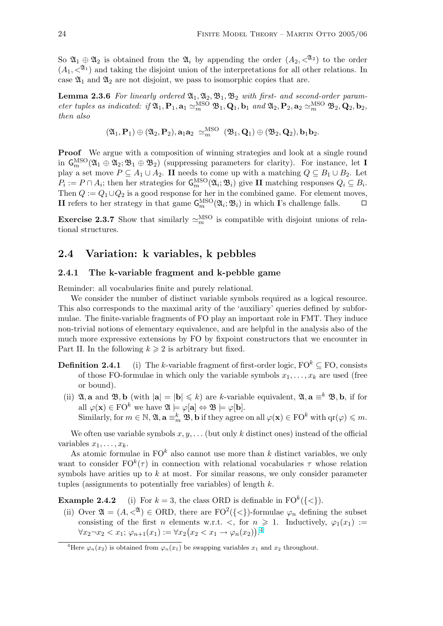<span id="page-25-0"></span>So  $\mathfrak{A}_1 \oplus \mathfrak{A}_2$  is obtained from the  $\mathfrak{A}_i$  by appending the order  $(A_2, \langle^{\mathfrak{A}_2} \rangle)$  to the order  $(A_1, \langle 2^{a_1} \rangle)$  and taking the disjoint union of the interpretations for all other relations. In case  $\mathfrak{A}_1$  and  $\mathfrak{A}_2$  are not disjoint, we pass to isomorphic copies that are.

**Lemma 2.3.6** For linearly ordered  $\mathfrak{A}_1, \mathfrak{A}_2, \mathfrak{B}_1, \mathfrak{B}_2$  with first- and second-order parameter tuples as indicated: if  $\mathfrak{A}_1, \mathbf{P}_1, \mathbf{a}_1 \simeq_m^{\text{MSO}} \mathfrak{B}_1, \mathbf{Q}_1, \mathbf{b}_1$  and  $\mathfrak{A}_2, \mathbf{P}_2, \mathbf{a}_2 \simeq_m^{\text{MSO}} \mathfrak{B}_2, \mathbf{Q}_2, \mathbf{b}_2,$ then also

$$
(\mathfrak{A}_1,\mathbf{P}_1)\oplus (\mathfrak{A}_2,\mathbf{P}_2),\mathbf{a}_1\mathbf{a}_2\ \simeq^{MSO}_{m}\ (\mathfrak{B}_1,\mathbf{Q}_1)\oplus (\mathfrak{B}_2,\mathbf{Q}_2),\mathbf{b}_1\mathbf{b}_2.
$$

Proof We argue with a composition of winning strategies and look at a single round in  $\mathsf{G}_{m}^{\text{MSO}}(\mathfrak{A}_{1}\oplus\mathfrak{A}_{2};\mathfrak{B}_{1}\oplus\mathfrak{B}_{2})$  (suppressing parameters for clarity). For instance, let **I** play a set move  $P \subseteq A_1 \cup A_2$ . II needs to come up with a matching  $Q \subseteq B_1 \cup B_2$ . Let  $P_i := P \cap A_i$ ; then her strategies for  $\mathsf{G}_m^{\text{MSO}}(\mathfrak{A}_i; \mathfrak{B}_i)$  give II matching responses  $Q_i \subseteq B_i$ . Then  $Q := Q_1 \cup Q_2$  is a good response for her in the combined game. For element moves, **II** refers to her strategy in that game  $\mathsf{G}_m^{\text{MSO}}(\mathfrak{A}_i; \mathfrak{B}_i)$  in which **I**'s challenge falls.  $\Box$ 

**Exercise 2.3.7** Show that similarly  $\sim_m^{MSO}$  is compatible with disjoint unions of relational structures.

## 2.4 Variation: k variables, k pebbles

#### 2.4.1 The k-variable fragment and k-pebble game

Reminder: all vocabularies finite and purely relational.

We consider the number of distinct variable symbols required as a logical resource. This also corresponds to the maximal arity of the 'auxiliary' queries defined by subformulae. The finite-variable fragments of FO play an important role in FMT. They induce non-trivial notions of elementary equivalence, and are helpful in the analysis also of the much more expressive extensions by FO by fixpoint constructors that we encounter in Part II. In the following  $k \geqslant 2$  is arbitrary but fixed.

- **Definition 2.4.1** (i) The k-variable fragment of first-order logic,  $FO^k \subseteq FO$ , consists of those FO-formulae in which only the variable symbols  $x_1, \ldots, x_k$  are used (free or bound).
	- (ii)  $\mathfrak{A}, \mathbf{a} \text{ and } \mathfrak{B}, \mathbf{b}$  (with  $|\mathbf{a}| = |\mathbf{b}| \leq k$ ) are k-variable equivalent,  $\mathfrak{A}, \mathbf{a} \equiv^k \mathfrak{B}, \mathbf{b}$ , if for all  $\varphi(\mathbf{x}) \in \mathrm{FO}^k$  we have  $\mathfrak{A} \models \varphi[\mathbf{a}] \Leftrightarrow \mathfrak{B} \models \varphi[\mathbf{b}].$ Similarly, for  $m \in \mathbb{N}$ ,  $\mathfrak{A}, \mathbf{a} \equiv_m^k \mathfrak{B}, \mathbf{b}$  if they agree on all  $\varphi(\mathbf{x}) \in \mathrm{FO}^k$  with  $\mathrm{qr}(\varphi) \leqslant m$ .

We often use variable symbols  $x, y, \ldots$  (but only k distinct ones) instead of the official variables  $x_1, \ldots, x_k$ .

As atomic formulae in FO<sup>k</sup> also cannot use more than k distinct variables, we only want to consider  $\text{FO}^k(\tau)$  in connection with relational vocabularies  $\tau$  whose relation symbols have arities up to  $k$  at most. For similar reasons, we only consider parameter tuples (assignments to potentially free variables) of length  $k$ .

**Example 2.4.2** (i) For  $k = 3$ , the class ORD is definable in  $\text{FO}^k({\{\textless}\})$ .

(ii) Over  $\mathfrak{A} = (A, \langle \mathfrak{A} \rangle) \in \text{ORD}$ , there are FO<sup>2</sup>({ $\langle \rangle$ }-formulae  $\varphi_n$  defining the subset consisting of the first *n* elements w.r.t. <, for  $n \ge 1$ . Inductively,  $\varphi_1(x_1) :=$  $\forall x_2 \neg x_2 < x_1; \, \varphi_{n+1}(x_1) := \forall x_2 (x_2 < x_1 \rightarrow \varphi_n(x_2)).^4$ 

<sup>&</sup>lt;sup>4</sup>Here  $\varphi_n(x_2)$  is obtained from  $\varphi_n(x_1)$  be swapping variables  $x_1$  and  $x_2$  throughout.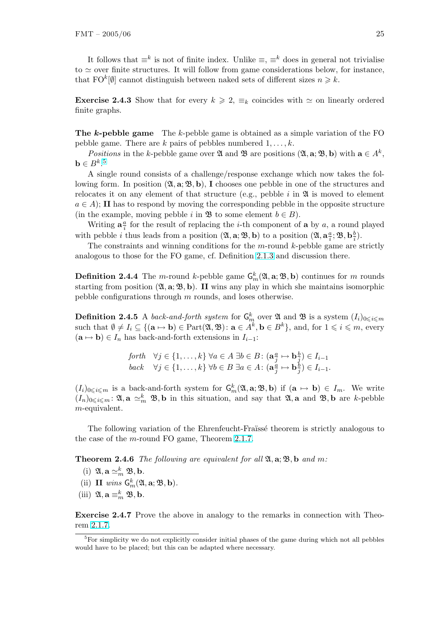It follows that  $\equiv^k$  is not of finite index. Unlike  $\equiv, \equiv^k$  does in general not trivialise to  $\simeq$  over finite structures. It will follow from game considerations below, for instance, that FO<sup>k</sup>[0] cannot distinguish between naked sets of different sizes  $n \geq k$ .

<span id="page-26-0"></span> $\mathcal{F}_{\mathcal{A}}$  ,  $\mathcal{F}_{\mathcal{A}}$  ,  $\mathcal{F}_{\mathcal{A}}$  ,  $\mathcal{F}_{\mathcal{A}}$  ,  $\mathcal{F}_{\mathcal{A}}$  ,  $\mathcal{F}_{\mathcal{A}}$  ,  $\mathcal{F}_{\mathcal{A}}$  ,  $\mathcal{F}_{\mathcal{A}}$  ,  $\mathcal{F}_{\mathcal{A}}$  ,  $\mathcal{F}_{\mathcal{A}}$  ,  $\mathcal{F}_{\mathcal{A}}$  ,  $\mathcal{F}_{\mathcal{A}}$  ,  $\mathcal{F}_{\mathcal{A}}$  ,

**Exercise 2.4.3** Show that for every  $k \geq 2$ ,  $\equiv_k$  coincides with  $\sim$  on linearly ordered finite graphs.

The k-pebble game The k-pebble game is obtained as a simple variation of the FO pebble game. There are k pairs of pebbles numbered  $1, \ldots, k$ .

Positions in the k-pebble game over  $\mathfrak A$  and  $\mathfrak B$  are positions  $(\mathfrak A, \mathbf a; \mathfrak B, \mathbf b)$  with  $\mathbf a \in A^k$ ,  $\mathbf{b} \in B^{k}, \varepsilon^5$ 

A single round consists of a challenge/response exchange which now takes the following form. In position  $(\mathfrak{A}, \mathbf{a}; \mathfrak{B}, \mathbf{b})$ , I chooses one pebble in one of the structures and relocates it on any element of that structure (e.g., pebble i in  $\mathfrak{A}$  is moved to element  $a \in A$ ); II has to respond by moving the corresponding pebble in the opposite structure (in the example, moving pebble *i* in  $\mathfrak{B}$  to some element  $b \in B$ ).

Writing  $a_i^{\underline{a}}$  $\frac{a}{i}$  for the result of replacing the *i*-th component of **a** by a, a round played with pebble *i* thus leads from a position  $(\mathfrak{A}, \mathbf{a}; \mathfrak{B}, \mathbf{b})$  to a position  $(\mathfrak{A}, \mathbf{a}_{\overline{i}})$  $\frac{a}{i}; \mathfrak{B}, \mathbf{b} \frac{b}{i}$  $\frac{b}{i}$ .

The constraints and winning conditions for the  $m$ -round  $k$ -pebble game are strictly analogous to those for the FO game, cf. Definition 2.1.3 and discussion there.

**Definition 2.4.4** The *m*-round *k*-pebble game  $G_m^k(\mathfrak{A}, \mathbf{a}; \mathfrak{B}, \mathbf{b})$  continues for *m* rounds starting from position  $(\mathfrak{A}, \mathbf{a}; \mathfrak{B}, \mathbf{b})$ . II wins any play in which she maintains isomorphic pebble configurations through m rounds, and loses [other](#page-15-0)wise.

**Definition 2.4.5** A back-and-forth system for  $\mathsf{G}_m^k$  over  $\mathfrak{A}$  and  $\mathfrak{B}$  is a system  $(I_i)_{0\leqslant i\leqslant m}$ such that  $\emptyset \neq I_i \subseteq \{(\mathbf{a} \mapsto \mathbf{b}) \in \text{Part}(\mathfrak{A}, \mathfrak{B}) : \mathbf{a} \in A^k, \mathbf{b} \in B^k\},\$  and, for  $1 \leqslant i \leqslant m$ , every  $(a \mapsto b) \in I_n$  has back-and-forth extensions in  $I_{i-1}$ :

$$
\begin{array}{ll}\nforth & \forall j \in \{1, \dots, k\} \; \forall a \in A \; \exists b \in B \colon (\mathbf{a}_{\overline{j}}^a \mapsto \mathbf{b}_{\overline{j}}^b) \in I_{i-1} \\
back & \forall j \in \{1, \dots, k\} \; \forall b \in B \; \exists a \in A \colon (\mathbf{a}_{\overline{j}}^a \mapsto \mathbf{b}_{\overline{j}}^b) \in I_{i-1}.\n\end{array}
$$

 $(I_i)_{0\leqslant i\leqslant m}$  is a back-and-forth system for  $G_m^k(\mathfrak{A}, \mathbf{a}; \mathfrak{B}, \mathbf{b})$  if  $(\mathbf{a} \mapsto \mathbf{b}) \in I_m$ . We write  $(I_n)_{0\leqslant i\leqslant m}$ :  $\mathfrak{A}, \mathbf{a} \simeq_m^k \mathfrak{B}, \mathbf{b}$  in this situation, and say that  $\mathfrak{A}, \mathbf{a}$  and  $\mathfrak{B}, \mathbf{b}$  are k-pebble m-equivalent.

The following variation of the Ehrenfeucht-Fraïssé theorem is strictly analogous to the case of the m-round FO game, Theorem 2.1.7.

**Theorem 2.4.6** The following are equivalent for all  $\mathfrak{A}, \mathbf{a}; \mathfrak{B}, \mathbf{b}$  and m:

- (i)  $\mathfrak{A}, \mathbf{a} \simeq_m^k \mathfrak{B}, \mathbf{b}.$
- (ii) II wins  $G_m^k(\mathfrak{A}, \mathbf{a}; \mathfrak{B}, \mathbf{b})$ .
- (iii)  $\mathfrak{A}, \mathbf{a} \equiv_m^k \mathfrak{B}, \mathbf{b}$ .

Exercise 2.4.7 Prove the above in analogy to the remarks in connection with Theorem 2.1.7.

<sup>5</sup>For simplicity we do not explicitly consider initial phases of the game during which not all pebbles would have to be placed; but this can be adapted where necessary.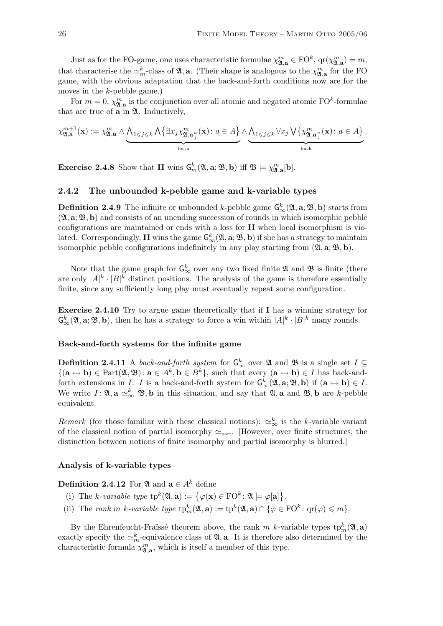<span id="page-27-0"></span>Just as for the FO-game, one uses characteristic formulae  $\chi_{\mathfrak{A},\mathbf{a}}^m \in \mathrm{FO}^k$ ,  $\mathrm{qr}(\chi_{\mathfrak{A},\mathbf{a}}^m) = m$ , that characterise the  $\sim_m^k$ -class of  $\mathfrak{A}, \mathbf{a}$ . (Their shape is analogous to the  $\chi^m_{\mathfrak{A}, \mathbf{a}}$  for the FO game, with the obvious adaptation that the back-and-forth conditions now are for the moves in the k-pebble game.)

For  $m = 0$ ,  $\chi^m_{\mathfrak{A}, \mathbf{a}}$  is the conjunction over all atomic and negated atomic FO<sup>k</sup>-formulae that are true of  $\mathbf{a}$  in  $\mathfrak{A}$ . Inductively,

$$
\chi^{m+1}_{\mathfrak{A},\mathbf{a}}(\mathbf{x}) := \chi^{m}_{\mathfrak{A},\mathbf{a}} \wedge \underbrace{\bigwedge_{1 \leqslant j \leqslant k} \bigwedge \{\exists x_j \chi^{m}_{\mathfrak{A},\mathbf{a}\frac{a}{j}}(\mathbf{x}) : a \in A\}}_{\text{forth}} \wedge \underbrace{\bigwedge_{1 \leqslant j \leqslant k} \forall x_j \bigvee \{\chi^{m}_{\mathfrak{A},\mathbf{a}\frac{a}{j}}(\mathbf{x}) : a \in A\}}_{\text{back}}.
$$

**Exercise 2.4.8** Show that **II** wins  $G_m^k(\mathfrak{A}, \mathbf{a}; \mathfrak{B}, \mathbf{b})$  iff  $\mathfrak{B} \models \chi^m_{\mathfrak{A}, \mathbf{a}}[\mathbf{b}].$ 

### 2.4.2 The unbounded k-pebble game and k-variable types

**Definition 2.4.9** The infinite or unbounded k-pebble game  $\mathsf{G}_{\infty}^{k}(\mathfrak{A}, \mathbf{a}; \mathfrak{B}, \mathbf{b})$  starts from  $(\mathfrak{A}, \mathbf{a}; \mathfrak{B}, \mathbf{b})$  and consists of an unending succession of rounds in which isomorphic pebble configurations are maintained or ends with a loss for II when local isomorphism is violated. Correspondingly,  $\bf{II}$  wins the game  $\mathsf{G}^k_\infty(\mathfrak{A},\mathbf{a};\mathfrak{B},\mathbf{b})$  if she has a strategy to maintain isomorphic pebble configurations indefinitely in any play starting from  $(\mathfrak{A}, \mathbf{a}; \mathfrak{B}, \mathbf{b})$ .

Note that the game graph for  $\mathsf{G}^k_\infty$  over any two fixed finite  $\mathfrak A$  and  $\mathfrak B$  is finite (there are only  $|A|^k \cdot |B|^k$  distinct positions. The analysis of the game is therefore essentially finite, since any sufficiently long play must eventually repeat some configuration.

Exercise 2.4.10 Try to argue game theoretically that if I has a winning strategy for  $\mathsf{G}^k_\infty(\mathfrak{A}, \mathbf{a}; \mathfrak{B}, \mathbf{b})$ , then he has a strategy to force a win within  $|A|^k \cdot |B|^k$  many rounds.

#### Back-and-forth systems for the infinite game

**Definition 2.4.11** A back-and-forth system for  $\mathsf{G}_{\infty}^k$  over  $\mathfrak{A}$  and  $\mathfrak{B}$  is a single set  $I \subseteq$  $\{(\mathbf{a} \mapsto \mathbf{b}) \in Part(\mathfrak{A}, \mathfrak{B}) : \mathbf{a} \in A^k, \mathbf{b} \in B^k\},\$  such that every  $(\mathbf{a} \mapsto \mathbf{b}) \in I$  has back-andforth extensions in I. I is a back-and-forth system for  $\mathsf{G}^k_\infty(\mathfrak{A}, \mathbf{a}; \mathfrak{B}, \mathbf{b})$  if  $(\mathbf{a} \mapsto \mathbf{b}) \in I$ . We write  $I: \mathfrak{A}, \mathbf{a} \simeq_{\infty}^{k} \mathfrak{B}, \mathbf{b}$  in this situation, and say that  $\mathfrak{A}, \mathbf{a}$  and  $\mathfrak{B}, \mathbf{b}$  are k-pebble equivalent.

Remark (for those familiar with these classical notions):  $\sim_{\infty}^{k}$  is the k-variable variant of the classical notion of partial isomorphy  $\simeq_{part}$ . [However, over finite structures, the distinction between notions of finite isomorphy and partial isomorphy is blurred.]

#### Analysis of k-variable types

**Definition 2.4.12** For  $\mathfrak{A}$  and  $\mathbf{a} \in A^k$  define

- (i) The k-variable type  $\text{tp}^k(\mathfrak{A}, \mathbf{a}) := \{ \varphi(\mathbf{x}) \in \text{FO}^k \colon \mathfrak{A} \models \varphi[\mathbf{a}] \}$ ª
- (ii) The rank m k-variable type  $tp_m^k(\mathfrak{A}, \mathbf{a}) := tp^k(\mathfrak{A}, \mathbf{a}) \cap \{ \varphi \in \mathrm{FO}^k \colon qr(\varphi) \leqslant m \}.$

.

By the Ehrenfeucht-Fraïssé theorem above, the rank  $m$  k-variable types  $\text{tp}_m^k(\mathfrak{A}, \mathbf{a})$ exactly specify the  $\sim_m^k$ -equivalence class of  $\mathfrak{A}, \mathbf{a}$ . It is therefore also determined by the characteristic formula  $\chi^m_{\mathfrak{A},\mathbf{a}}$ , which is itself a member of this type.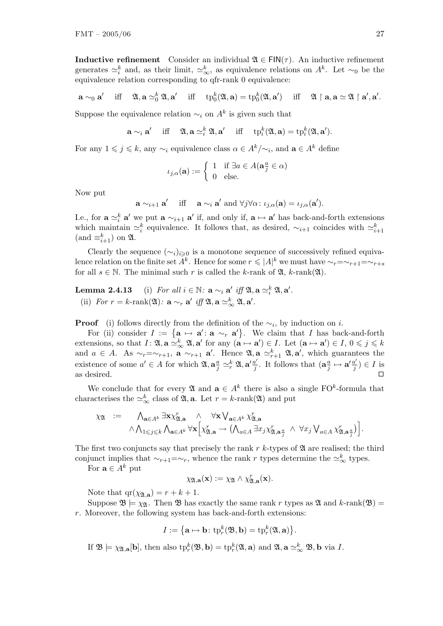**Inductive refinement** Consider an individual  $\mathfrak{A} \in \text{FIN}(\tau)$ . An inductive refinement generates  $\sim_i^k$  and, as their limit,  $\sim_{\infty}^k$ , as equivalence relations on  $A^k$ . Let  $\sim_0$  be the equivalence relation corresponding to qfr-rank 0 equivalence:

$$
\mathbf{a} \sim_0 \mathbf{a}' \quad \text{iff} \quad \mathfrak{A}, \mathbf{a} \simeq_0^k \mathfrak{A}, \mathbf{a}' \quad \text{iff} \quad \mathrm{tp}_0^k(\mathfrak{A}, \mathbf{a}) = \mathrm{tp}_0^k(\mathfrak{A}, \mathbf{a}') \quad \text{iff} \quad \mathfrak{A} \upharpoonright \mathbf{a}, \mathbf{a} \simeq \mathfrak{A} \upharpoonright \mathbf{a}', \mathbf{a}'.
$$

Suppose the equivalence relation  $\sim_i$  on  $A^k$  is given such that

$$
\mathbf{a} \sim_i \mathbf{a}' \quad \text{ iff } \quad \mathfrak{A}, \mathbf{a} \simeq_i^k \mathfrak{A}, \mathbf{a}' \quad \text{ iff } \quad \mathrm{tp}_i^k(\mathfrak{A}, \mathbf{a}) = \mathrm{tp}_i^k(\mathfrak{A}, \mathbf{a}').
$$

For any  $1 \leq i \leq k$ , any  $\sim_i$  equivalence class  $\alpha \in A^k/\sim_i$ , and  $\mathbf{a} \in A^k$  define

$$
\iota_{j,\alpha}(\mathbf{a}) := \begin{cases} 1 & \text{if } \exists a \in A(\mathbf{a}_{\overline{j}}^a \in \alpha) \\ 0 & \text{else.} \end{cases}
$$

Now put

$$
\mathbf{a} \sim_{i+1} \mathbf{a}' \quad \text{iff} \quad \mathbf{a} \sim_i \mathbf{a}' \text{ and } \forall j \forall \alpha \colon \iota_{j,\alpha}(\mathbf{a}) = \iota_{j,\alpha}(\mathbf{a}').
$$

I.e., for  $\mathbf{a} \simeq_i^k \mathbf{a}'$  we put  $\mathbf{a} \sim_{i+1} \mathbf{a}'$  if, and only if,  $\mathbf{a} \mapsto \mathbf{a}'$  has back-and-forth extensions which maintain  $\sim_i^k$  equivalence. It follows that, as desired,  $\sim_{i+1}$  coincides with  $\sim_{i+1}^k$  $(\text{and } \equiv_{i+1}^k)$  on  $\mathfrak{A}$ .

Clearly the sequence  $(\sim_i)_{i\geqslant 0}$  is a monotone sequence of successively refined equivalence relation on the finite set  $A^k$ . Hence for some  $r \leqslant |A|^k$  we must have  $\sim_r=\sim_{r+1}=\sim_{r+s}$ for all  $s \in \mathbb{N}$ . The minimal such r is called the k-rank of  $\mathfrak{A}$ , k-rank( $\mathfrak{A}$ ).

**Lemma 2.4.13** (i) For all  $i \in \mathbb{N}$ :  $\mathbf{a} \sim_i \mathbf{a}'$  iff  $\mathfrak{A}, \mathbf{a} \simeq_i^k \mathfrak{A}, \mathbf{a}'$ . (ii) For  $r = k$ -rank $(\mathfrak{A})$ : **a**  $\sim_r$  **a'** iff  $\mathfrak{A}, \mathbf{a} \simeq_{\infty}^k \mathfrak{A}, \mathbf{a}'$ .

**Proof** (i) follows directly from the definition of the  $\sim_i$ , by induction on *i*.

For (ii) ionows directly from the definition of the  $\sim_i$ , by induction on  $i$ .<br>For (ii) consider  $I := {\mathbf{a} \mapsto \mathbf{a'} : \mathbf{a} \sim_r \mathbf{a'}}$ . We claim that I has back-and-forth extensions, so that  $I: \mathfrak{A}, \mathbf{a} \simeq_{\infty}^{k} \mathfrak{A}, \mathbf{a}'$  for any  $(\mathbf{a} \mapsto \mathbf{a}') \in I$ . Let  $(\mathbf{a} \mapsto \mathbf{a}') \in I$ ,  $0 \leqslant j \leqslant k$ and  $a \in A$ . As  $\sim_r = \sim_{r+1}$ ,  $a \sim_{r+1} a'$ . Hence  $\mathfrak{A}, a \sim_{r+1}^k \mathfrak{A}, a'$ , which guarantees the existence of some  $a' \in A$  for which  $\mathfrak{A}, \mathbf{a}_{\overline{j}}^{\underline{a}} \simeq_r^k \mathfrak{A}, \mathbf{a}' \frac{a'}{j}$  $\frac{a'}{j}$ . It follows that  $(\mathbf{a}^{\underline{a}}_{\underline{j}})$  $\frac{a}{j} \mapsto \mathbf{a}' \frac{a'}{j}$  $\frac{a'}{j}$ )  $\in I$  is as desired.  $\Box$ 

We conclude that for every  $\mathfrak A$  and  $\mathbf a \in A^k$  there is also a single FO<sup>k</sup>-formula that characterises the  $\sim_{\infty}^{k}$  class of  $\mathfrak{A}, \mathbf{a}$ . Let  $r = k$ -rank $(\mathfrak{A})$  and put

$$
\chi_{\mathfrak{A}} := \Lambda_{\mathbf{a} \in A^k} \exists \mathbf{x} \chi_{\mathfrak{A}, \mathbf{a}}^r \wedge \forall \mathbf{x} \bigvee_{\mathbf{a} \in A^k} \chi_{\mathfrak{A}, \mathbf{a}}^r \wedge \Lambda_{1 \leqslant j \leqslant k} \Lambda_{\mathbf{a} \in A^k} \forall \mathbf{x} \Big[ \chi_{\mathfrak{A}, \mathbf{a}}^r \rightarrow \left( \Lambda_{a \in A} \exists x_j \chi_{\mathfrak{A}, \mathbf{a}}^r_{\overline{A}, \overline{A}} \wedge \forall x_j \bigvee_{a \in A} \chi_{\mathfrak{A}, \mathbf{a}}^r_{\overline{A}, \overline{A}} \right) \Big].
$$

The first two conjuncts say that precisely the rank  $r$  k-types of  $\mathfrak A$  are realised; the third conjunct implies that  $\sim_{r+1} = \sim_r$ , whence the rank r types determine the  $\sim_{\infty}^k$  types.

For  $\mathbf{a} \in A^k$  put

$$
\chi_{\mathfrak{A},\mathbf{a}}(\mathbf{x}):=\chi_{\mathfrak{A}}\wedge\chi_{\mathfrak{A},\mathbf{a}}^{r}(\mathbf{x}).
$$

Note that  $\text{qr}(\chi_{\mathfrak{A},\mathbf{a}}) = r + k + 1$ .

Suppose  $\mathfrak{B} \models \chi_{\mathfrak{A}}$ . Then  $\mathfrak{B}$  has exactly the same rank r types as  $\mathfrak{A}$  and k-rank( $\mathfrak{B}$ ) = r. Moreover, the following system has back-and-forth extensions:

$$
I := \big\{ \mathbf{a} \mapsto \mathbf{b} \colon \mathrm{tp}_r^k(\mathfrak{B}, \mathbf{b}) = \mathrm{tp}_r^k(\mathfrak{A}, \mathbf{a}) \big\}.
$$

If  $\mathfrak{B} \models \chi_{\mathfrak{A},\mathbf{a}}[\mathbf{b}]$ , then also  $\text{tp}_r^k(\mathfrak{B},\mathbf{b}) = \text{tp}_r^k(\mathfrak{A},\mathbf{a})$  and  $\mathfrak{A},\mathbf{a} \simeq_{\infty}^k \mathfrak{B},\mathbf{b}$  via I.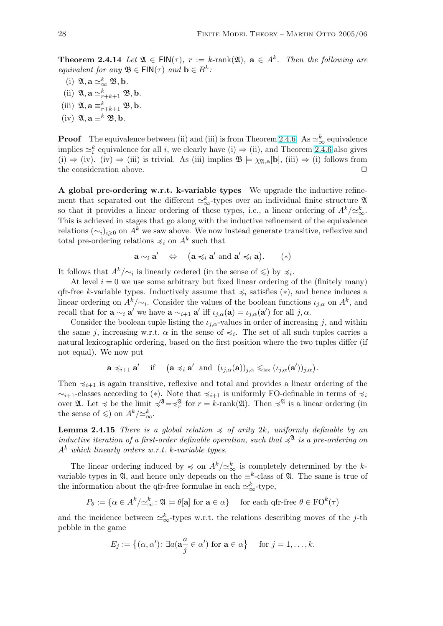28 Finite Model Theory – Martin Otto 2005/06

- (i)  $\mathfrak{A}, \mathbf{a} \simeq_{\infty}^{k} \mathfrak{B}, \mathbf{b}.$
- (ii)  $\mathfrak{A}, \mathbf{a} \simeq_{r+k+1}^{k} \mathfrak{B}, \mathbf{b}.$
- (iii)  $\mathfrak{A}, \mathbf{a} \equiv^k_{r+k+1} \mathfrak{B}, \mathbf{b}.$
- (iv)  $\mathfrak{A}, \mathbf{a} \equiv^k \mathfrak{B}, \mathbf{b}.$

**Proof** The equivalence between (ii) and (iii) is from Theorem 2.4.6. As  $\sim_{\infty}^{k}$  equivalence implies  $\sim_i^k$  equivalence for all i, we clearly have (i)  $\Rightarrow$  (ii), and Theorem 2.4.6 also gives (i)  $\Rightarrow$  (iv). (iv)  $\Rightarrow$  (iii) is trivial. As (iii) implies  $\mathfrak{B} \models \chi_{\mathfrak{A},\mathbf{a}}[\mathbf{b}],$  (iii)  $\Rightarrow$  (i) follows from the consideration above.  $\Box$ 

A global pre-ordering w.r.t. k-variable types We upgrade the i[nduct](#page-26-0)ive refinement that separated out the different  $\simeq^k_{\infty}$ -types over an individual finite structure  $\mathfrak A$ so that it provides a linear ordering of these types, i.e., a linear ordering of  $A^k/\simeq^k_{\infty}$ . This is achieved in stages that go along with the inductive refinement of the equivalence relations  $(\sim_i)_{i\geq 0}$  on  $A^k$  we saw above. We now instead generate transitive, reflexive and total pre-ordering relations  $\preccurlyeq_i$  on  $A^k$  such that

$$
\mathbf{a} \sim_i \mathbf{a}' \quad \Leftrightarrow \quad (\mathbf{a} \preccurlyeq_i \mathbf{a}' \text{ and } \mathbf{a}' \preccurlyeq_i \mathbf{a}). \qquad (*)
$$

It follows that  $A^k/\sim_i$  is linearly ordered (in the sense of  $\leqslant$ ) by  $\preccurlyeq_i$ .

At level  $i = 0$  we use some arbitrary but fixed linear ordering of the (finitely many) qfr-free k-variable types. Inductively assume that  $\preccurlyeq_i$  satisfies (\*), and hence induces a linear ordering on  $A^k/\sim_i$ . Consider the values of the boolean functions  $\iota_{j,\alpha}$  on  $A^k$ , and recall that for  $\mathbf{a} \sim_i \mathbf{a}'$  we have  $\mathbf{a} \sim_{i+1} \mathbf{a}'$  iff  $\iota_{j,\alpha}(\mathbf{a}) = \iota_{j,\alpha}(\mathbf{a}')$  for all  $j,\alpha$ .

Consider the boolean tuple listing the  $\iota_{i,\alpha}$ -values in order of increasing j, and within the same j, increasing w.r.t.  $\alpha$  in the sense of  $\preccurlyeq_i$ . The set of all such tuples carries a natural lexicographic ordering, based on the first position where the two tuples differ (if not equal). We now put

$$
\mathbf{a} \preccurlyeq_{i+1} \mathbf{a}' \quad \text{if} \quad (\mathbf{a} \preccurlyeq_i \mathbf{a}' \text{ and } (\iota_{j,\alpha}(\mathbf{a}))_{j,\alpha} \leq_{\text{lex}} (\iota_{j,\alpha}(\mathbf{a}'))_{j,\alpha}).
$$

Then  $\preccurlyeq_{i+1}$  is again transitive, reflexive and total and provides a linear ordering of the  $\sim_{i+1}$ -classes according to (\*). Note that  $\preccurlyeq_{i+1}$  is uniformly FO-definable in terms of  $\preccurlyeq_i$ over  $\mathfrak{A}$ . Let  $\preccurlyeq$  be the limit  $\preccurlyeq^{\mathfrak{A}}=\preccurlyeq^{\mathfrak{A}}_{r}$  for  $r=k\text{-rank}(\mathfrak{A})$ . Then  $\preccurlyeq^{\mathfrak{A}}$  is a linear ordering (in the sense of  $\leqslant$ ) on  $A^k/\simeq^k_{\infty}$ .

**Lemma 2.4.15** There is a global relation  $\preccurlyeq$  of arity 2k, uniformly definable by an inductive iteration of a first-order definable operation, such that  $\preccurlyeq^{\mathfrak{A}}$  is a pre-ordering on  $A<sup>k</sup>$  which linearly orders w.r.t. k-variable types.

The linear ordering induced by  $\preccurlyeq$  on  $A^k/\simeq_{\infty}^k$  is completely determined by the kvariable types in  $\mathfrak{A}$ , and hence only depends on the  $\equiv$ <sup>k</sup>-class of  $\mathfrak{A}$ . The same is true of the information about the qfr-free formulae in each  $\approx_{\infty}^{k}$ -type,

$$
P_{\theta} := \{ \alpha \in A^k / \simeq_{\infty}^k : \mathfrak{A} \models \theta[\mathbf{a}] \text{ for } \mathbf{a} \in \alpha \} \quad \text{ for each qfr-free } \theta \in \mathrm{FO}^k(\tau)
$$

and the incidence between  $\sim_{\infty}^{k}$ -types w.r.t. the relations describing moves of the j-th pebble in the game

$$
E_j := \left\{ (\alpha, \alpha') \colon \exists a (\mathbf{a}_{\overline{j}}^a \in \alpha') \text{ for } \mathbf{a} \in \alpha \right\} \quad \text{ for } j = 1, \dots, k.
$$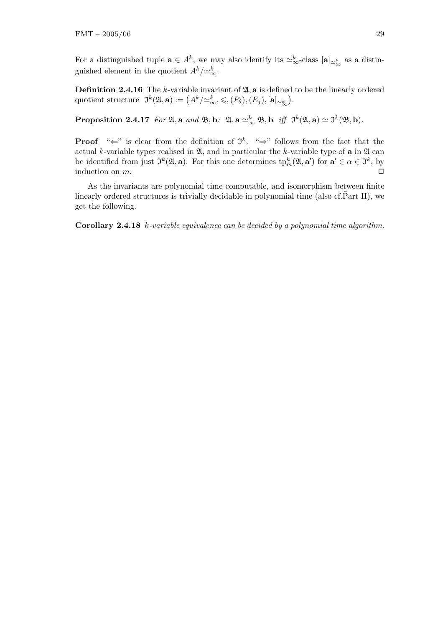<span id="page-30-0"></span>For a distinguished tuple  $\mathbf{a} \in A^k$ , we may also identify its  $\approx_{\infty}^k$ -class  $[\mathbf{a}]_{\approx_{\infty}^k}$  as a distinguished element in the quotient  $A^k/\simeq^k_{\infty}$ .

**Definition 2.4.16** The k-variable invariant of  $\mathfrak{A}$ , a is defined to be the linearly ordered **Definition 2.4.16** The *k*-variable invariant of 2, **a** is defined<br>quotient structure  $\mathfrak{I}^k(\mathfrak{A}, \mathbf{a}) := (A^k / \simeq_{\infty}^k, \leq, (P_\theta), (E_j), [\mathbf{a}]_{\simeq_{\infty}^k}).$ 

Proposition 2.4.17 For  $\mathfrak{A}, \mathbf{a}$  and  $\mathfrak{B}, \mathbf{b}$ :  $\mathfrak{A}, \mathbf{a} \simeq_{\infty}^{k} \mathfrak{B}, \mathbf{b}$  iff  $\mathfrak{I}^{k}(\mathfrak{A}, \mathbf{a}) \simeq \mathfrak{I}^{k}(\mathfrak{B}, \mathbf{b})$ .

**Proof** " $\Leftarrow$ " is clear from the definition of  $\mathfrak{I}^k$ . " $\Rightarrow$ " follows from the fact that the actual k-variable types realised in  $\mathfrak{A}$ , and in particular the k-variable type of **a** in  $\mathfrak{A}$  can be identified from just  $\mathfrak{I}^k(\mathfrak{A}, \mathbf{a})$ . For this one determines  $\mathrm{tp}_m^k(\mathfrak{A}, \mathbf{a}')$  for  $\mathbf{a}' \in \alpha \in \mathfrak{I}^k$ , by induction on  $m$ .

As the invariants are polynomial time computable, and isomorphism between finite linearly ordered structures is trivially decidable in polynomial time (also cf. Part II), we get the following.

Corollary 2.4.18 k-variable equivalence can be decided by a polynomial time algorithm.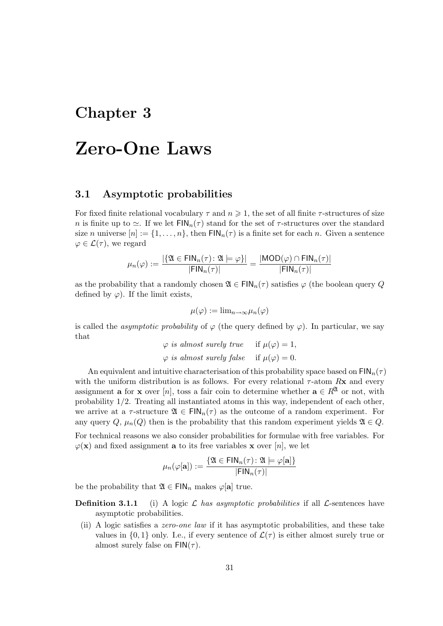# <span id="page-32-0"></span>Chapter 3

# Zero-One Laws

## 3.1 Asymptotic probabilities

For fixed finite relational vocabulary  $\tau$  and  $n \geq 1$ , the set of all finite  $\tau$ -structures of size n is finite up to  $\approx$ . If we let  $\text{FIN}_n(\tau)$  stand for the set of  $\tau$ -structures over the standard size n universe  $[n] := \{1, \ldots, n\}$ , then  $\text{FIN}_n(\tau)$  is a finite set for each n. Given a sentence  $\varphi \in \mathcal{L}(\tau)$ , we regard

$$
\mu_n(\varphi) := \frac{|\{\mathfrak{A} \in \mathsf{FIN}_n(\tau) \colon \mathfrak{A} \models \varphi\}|}{|\mathsf{FIN}_n(\tau)|} = \frac{|\mathsf{MOD}(\varphi) \cap \mathsf{FIN}_n(\tau)|}{|\mathsf{FIN}_n(\tau)|}
$$

as the probability that a randomly chosen  $\mathfrak{A} \in \mathsf{FIN}_n(\tau)$  satisfies  $\varphi$  (the boolean query Q defined by  $\varphi$ ). If the limit exists,

$$
\mu(\varphi) := \lim_{n \to \infty} \mu_n(\varphi)
$$

is called the *asymptotic probability* of  $\varphi$  (the query defined by  $\varphi$ ). In particular, we say that

$$
\varphi
$$
 is almost surely true if  $\mu(\varphi) = 1$ ,  
\n $\varphi$  is almost surely false if  $\mu(\varphi) = 0$ .

An equivalent and intuitive characterisation of this probability space based on  $FIN_n(\tau)$ with the uniform distribution is as follows. For every relational  $\tau$ -atom  $R$ **x** and every assignment **a** for **x** over [n], toss a fair coin to determine whether  $\mathbf{a} \in \mathbb{R}^{\mathfrak{A}}$  or not, with probability 1/2. Treating all instantiated atoms in this way, independent of each other, we arrive at a  $\tau$ -structure  $\mathfrak{A} \in \operatorname{FIN}_n(\tau)$  as the outcome of a random experiment. For any query  $Q$ ,  $\mu_n(Q)$  then is the probability that this random experiment yields  $\mathfrak{A} \in Q$ .

For technical reasons we also consider probabilities for formulae with free variables. For  $\varphi(\mathbf{x})$  and fixed assignment **a** to its free variables **x** over [n], we let

$$
\mu_n(\varphi[\mathbf{a}]) := \frac{\{\mathfrak{A} \in \mathsf{FIN}_n(\tau) \colon \mathfrak{A} \models \varphi[\mathbf{a}]\}}{|\mathsf{FIN}_n(\tau)|}
$$

be the probability that  $\mathfrak{A} \in \mathsf{FIN}_n$  makes  $\varphi[\mathbf{a}]$  true.

**Definition 3.1.1** (i) A logic  $\mathcal{L}$  has asymptotic probabilities if all  $\mathcal{L}$ -sentences have asymptotic probabilities.

(ii) A logic satisfies a zero-one law if it has asymptotic probabilities, and these take values in  $\{0,1\}$  only. I.e., if every sentence of  $\mathcal{L}(\tau)$  is either almost surely true or almost surely false on  $FIN(\tau)$ .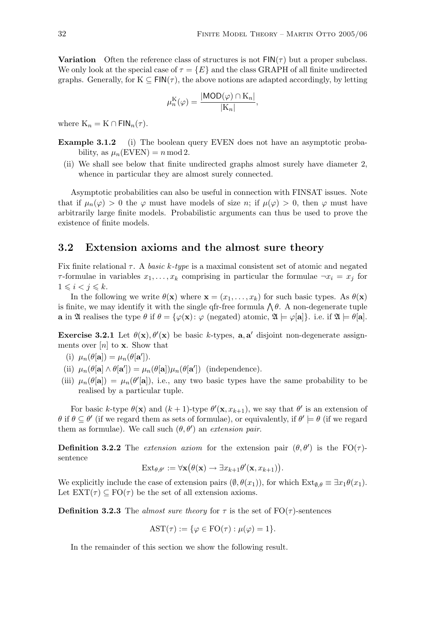<span id="page-33-0"></span>**Variation** Often the reference class of structures is not  $\text{FIN}(\tau)$  but a proper subclass. We only look at the special case of  $\tau = \{E\}$  and the class GRAPH of all finite undirected graphs. Generally, for  $K \subseteq FIN(\tau)$ , the above notions are adapted accordingly, by letting

$$
\mu_n^{\mathcal{K}}(\varphi) = \frac{|\mathsf{MOD}(\varphi) \cap \mathcal{K}_n|}{|\mathcal{K}_n|},
$$

where  $K_n = K \cap FIN_n(\tau)$ .

- Example 3.1.2 (i) The boolean query EVEN does not have an asymptotic probability, as  $\mu_n(\text{EVEN}) = n \mod 2$ .
	- (ii) We shall see below that finite undirected graphs almost surely have diameter 2, whence in particular they are almost surely connected.

Asymptotic probabilities can also be useful in connection with FINSAT issues. Note that if  $\mu_n(\varphi) > 0$  the  $\varphi$  must have models of size n; if  $\mu(\varphi) > 0$ , then  $\varphi$  must have arbitrarily large finite models. Probabilistic arguments can thus be used to prove the existence of finite models.

## 3.2 Extension axioms and the almost sure theory

Fix finite relational  $\tau$ . A basic k-type is a maximal consistent set of atomic and negated  $\tau$ -formulae in variables  $x_1, \ldots, x_k$  comprising in particular the formulae  $\neg x_i = x_j$  for  $1 \leq i < j \leq k$ .

In the following we write  $\theta(\mathbf{x})$  where  $\mathbf{x} = (x_1, \dots, x_k)$  for such basic types. As  $\theta(\mathbf{x})$ in the following we write  $\sigma(\mathbf{x})$  where  $\mathbf{x} = (x_1, \dots, x_k)$  for such basic types. As  $\sigma(\mathbf{x})$  is finite, we may identify it with the single qfr-free formula  $\Lambda \theta$ . A non-degenerate tuple **a** in  $\mathfrak{A}$  realises the type  $\theta$  if  $\theta = {\varphi(\mathbf{x}) : \varphi \text{ (negated) atomic, } \mathfrak{A} \models \varphi[\mathbf{a}]}$ . i.e. if  $\mathfrak{A} \models \theta[\mathbf{a}]$ .

Exercise 3.2.1 Let  $\theta(x)$ ,  $\theta'(x)$  be basic k-types, a, a' disjoint non-degenerate assignments over  $[n]$  to **x**. Show that

- (i)  $\mu_n(\theta[\mathbf{a}]) = \mu_n(\theta[\mathbf{a}']).$
- (ii)  $\mu_n(\theta[\mathbf{a}] \wedge \theta[\mathbf{a}']) = \mu_n(\theta[\mathbf{a}]) \mu_n(\theta[\mathbf{a}'])$  (independence).
- (iii)  $\mu_n(\theta[\mathbf{a}]) = \mu_n(\theta'[\mathbf{a}])$ , i.e., any two basic types have the same probability to be realised by a particular tuple.

For basic k-type  $\theta(\mathbf{x})$  and  $(k+1)$ -type  $\theta'(\mathbf{x}, x_{k+1})$ , we say that  $\theta'$  is an extension of  $\theta$  if  $\theta \subseteq \theta'$  (if we regard them as sets of formulae), or equivalently, if  $\theta' \models \theta$  (if we regard them as formulae). We call such  $(\theta, \theta')$  an *extension pair*.

**Definition 3.2.2** The extension axiom for the extension pair  $(\theta, \theta')$  is the FO( $\tau$ )sentence ¡ ¢

$$
\mathrm{Ext}_{\theta,\theta'} := \forall \mathbf{x} \big( \theta(\mathbf{x}) \to \exists x_{k+1} \theta'(\mathbf{x}, x_{k+1}) \big).
$$

We explicitly include the case of extension pairs  $(\emptyset, \theta(x_1))$ , for which  $Ext_{\emptyset, \theta} \equiv \exists x_1 \theta(x_1)$ . Let  $EXT(\tau) \subseteq FO(\tau)$  be the set of all extension axioms.

**Definition 3.2.3** The almost sure theory for  $\tau$  is the set of  $FO(\tau)$ -sentences

$$
AST(\tau) := \{ \varphi \in FO(\tau) : \mu(\varphi) = 1 \}.
$$

In the remainder of this section we show the following result.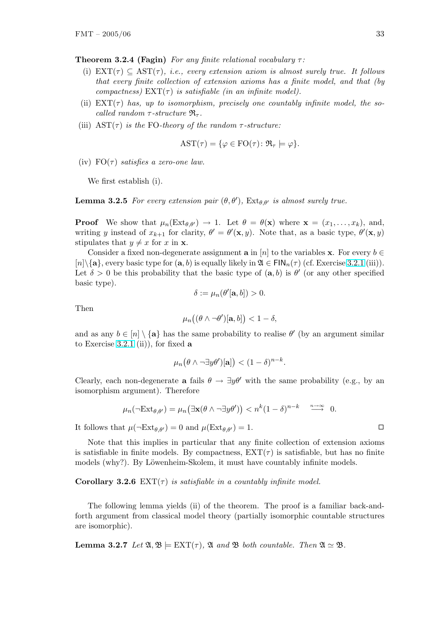**Theorem 3.2.4 (Fagin)** For any finite relational vocabulary  $\tau$ :

(i)  $\text{EXT}(\tau) \subseteq \text{AST}(\tau)$ , i.e., every extension axiom is almost surely true. It follows that every finite collection of extension axioms has a finite model, and that (by compactness)  $\text{EXT}(\tau)$  is satisfiable (in an infinite model).

 $\mathcal{F}_{\mathcal{A}}$  ,  $\mathcal{F}_{\mathcal{A}}$  ,  $\mathcal{F}_{\mathcal{A}}$  ,  $\mathcal{F}_{\mathcal{A}}$  ,  $\mathcal{F}_{\mathcal{A}}$  ,  $\mathcal{F}_{\mathcal{A}}$  ,  $\mathcal{F}_{\mathcal{A}}$  ,  $\mathcal{F}_{\mathcal{A}}$  ,  $\mathcal{F}_{\mathcal{A}}$  ,  $\mathcal{F}_{\mathcal{A}}$  ,  $\mathcal{F}_{\mathcal{A}}$  ,  $\mathcal{F}_{\mathcal{A}}$  ,  $\mathcal{F}_{\mathcal{A}}$  ,

- (ii)  $\operatorname{EXT}(\tau)$  has, up to isomorphism, precisely one countably infinite model, the socalled random  $\tau$ -structure  $\mathfrak{R}_{\tau}$ .
- (iii)  $AST(\tau)$  is the FO-theory of the random  $\tau$ -structure:

$$
AST(\tau) = \{ \varphi \in FO(\tau) \colon \mathfrak{R}_\tau \models \varphi \}.
$$

(iv)  $FO(\tau)$  satisfies a zero-one law.

We first establish (i).

**Lemma 3.2.5** For every extension pair  $(\theta, \theta')$ ,  $Ext_{\theta, \theta'}$  is almost surely true.

**Proof** We show that  $\mu_n(\text{Ext}_{\theta,\theta'}) \to 1$ . Let  $\theta = \theta(\mathbf{x})$  where  $\mathbf{x} = (x_1, \dots, x_k)$ , and, writing y instead of  $x_{k+1}$  for clarity,  $\theta' = \theta'(\mathbf{x}, y)$ . Note that, as a basic type,  $\theta'(\mathbf{x}, y)$ stipulates that  $y \neq x$  for x in **x**.

Consider a fixed non-degenerate assignment **a** in [n] to the variables **x**. For every  $b \in$  $[n]\setminus\{a\}$ , every basic type for  $(a, b)$  is equally likely in  $\mathfrak{A} \in \mathsf{FIN}_n(\tau)$  (cf. Exercise 3.2.1 (iii)). Let  $\delta > 0$  be this probability that the basic type of  $(a, b)$  is  $\theta'$  (or any other specified basic type).

$$
\delta := \mu_n(\theta'[\mathbf{a},b]) > 0.
$$

Then

$$
\mu_n\big((\theta\wedge\neg\theta')[\mathbf{a},b]\big)<1-\delta,
$$

and as any  $b \in [n] \setminus \{a\}$  has the same probability to realise  $\theta'$  (by an argument similar to Exercise 3.2.1 (ii)), for fixed  $a$ 

$$
\mu_n(\theta \wedge \neg \exists y \theta')[\mathbf{a}]) < (1-\delta)^{n-k}.
$$

Clearly, ea[ch non](#page-33-0)-degenerate a fails  $\theta \to \exists y \theta'$  with the same probability (e.g., by an isomorphism argument). Therefore

$$
\mu_n(\neg \text{Ext}_{\theta,\theta'}) = \mu_n\big(\exists \mathbf{x}(\theta \wedge \neg \exists y\theta')\big) < n^k (1-\delta)^{n-k} \quad \stackrel{n\to\infty}{\longrightarrow} \quad 0.
$$

It follows that  $\mu(\neg \text{Ext}_{\theta,\theta'}) = 0$  and  $\mu(\text{Ext}_{\theta,\theta'}) = 1$ .

Note that this implies in particular that any finite collection of extension axioms is satisfiable in finite models. By compactness,  $\operatorname{EXT}(\tau)$  is satisfiable, but has no finite models (why?). By Löwenheim-Skolem, it must have countably infinite models.

**Corollary 3.2.6** EXT( $\tau$ ) is satisfiable in a countably infinite model.

The following lemma yields (ii) of the theorem. The proof is a familiar back-andforth argument from classical model theory (partially isomorphic countable structures are isomorphic).

**Lemma 3.2.7** Let  $\mathfrak{A}, \mathfrak{B} \models \text{EXT}(\tau)$ ,  $\mathfrak{A}$  and  $\mathfrak{B}$  both countable. Then  $\mathfrak{A} \simeq \mathfrak{B}$ .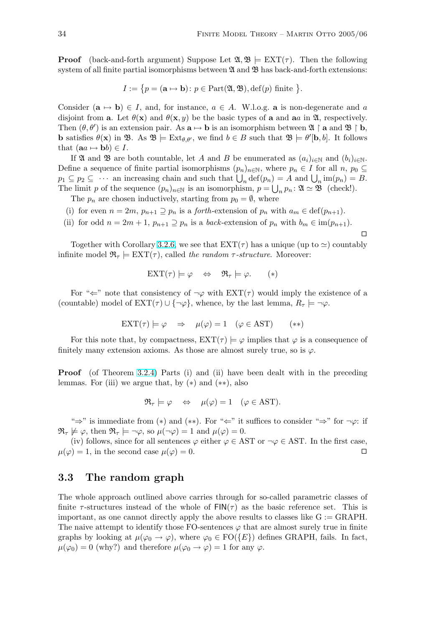34 Finite Model Theory – Martin Otto 2005/06

$$
I := \{ p = (\mathbf{a} \mapsto \mathbf{b}) : p \in Part(\mathfrak{A}, \mathfrak{B}), \text{def}(p) \text{ finite } \}.
$$

Consider  $(a \mapsto b) \in I$ , and, for instance,  $a \in A$ . W.l.o.g. a is non-degenerate and a disjoint from **a**. Let  $\theta(\mathbf{x})$  and  $\theta(\mathbf{x}, y)$  be the basic types of **a** and **a** in  $\mathfrak{A}$ , respectively. Then  $(\theta, \theta')$  is an extension pair. As  $\mathbf{a} \mapsto \mathbf{b}$  is an isomorphism between  $\mathfrak{A} \upharpoonright \mathbf{a}$  and  $\mathfrak{B} \upharpoonright \mathbf{b}$ , **b** satisfies  $\theta(\mathbf{x})$  in  $\mathfrak{B}$ . As  $\mathfrak{B} \models \text{Ext}_{\theta,\theta}$ , we find  $b \in B$  such that  $\mathfrak{B} \models \theta'[\mathbf{b},b]$ . It follows that  $(aa \mapsto bb) \in I$ .

If  $\mathfrak A$  and  $\mathfrak B$  are both countable, let A and B be enumerated as  $(a_i)_{i\in\mathbb N}$  and  $(b_i)_{i\in\mathbb N}$ . Define a sequence of finite partial isomorphisms  $(p_n)_{n\in\mathbb{N}}$ , where  $p_n \in I$  for all  $n, p_0 \subseteq$ Define a sequence of finite partial isomorphisms  $(p_n)_{n \in \mathbb{N}}$ , where  $p_n \in I$  for an  $n$ ,  $p_0 \subseteq p_1 \subseteq p_2 \subseteq \cdots$  an increasing chain and such that  $\bigcup_n \text{def}(p_n) = A$  and  $\bigcup_n \text{im}(p_n) = B$ . The limit p of the sequence  $(p_n)_{n \in \mathbb{N}}$  is an isomorphism,  $p = \bigcup_n p_n : \mathfrak{A} \simeq \mathfrak{B}$  (check!).

The  $p_n$  are chosen inductively, starting from  $p_0 = \emptyset$ , where

- (i) for even  $n = 2m$ ,  $p_{n+1} \supseteq p_n$  is a *forth*-extension of  $p_n$  with  $a_m \in \text{def}(p_{n+1})$ .
- (ii) for odd  $n = 2m + 1$ ,  $p_{n+1} \supseteq p_n$  is a back-extension of  $p_n$  with  $b_m \in \text{im}(p_{n+1})$ .

Together with Corollary 3.2.6, we see that  $\operatorname{EXT}(\tau)$  has a unique (up to  $\simeq$ ) countably infinite model  $\mathfrak{R}_{\tau} \models \text{EXT}(\tau)$ , called the random  $\tau$ -structure. Moreover:

 $\Box$ 

$$
\operatorname{EXT}(\tau)\models\varphi\quad\Leftrightarrow\quad\mathfrak{R}_\tau\models\varphi.\qquad(*)
$$

For " $\Leftarrow$ " note that consistency of  $\neg \varphi$  with  $\operatorname{EXT}(\tau)$  would imply the existence of a (countable) model of  $EXT(\tau) \cup {\neg \varphi}$ , whence, by the last lemma,  $R_{\tau} \models \neg \varphi$ .

$$
EXT(\tau) \models \varphi \Rightarrow \mu(\varphi) = 1 \quad (\varphi \in AST) \quad (*)
$$

For this note that, by compactness,  $\operatorname{EXT}(\tau) \models \varphi$  implies that  $\varphi$  is a consequence of finitely many extension axioms. As those are almost surely true, so is  $\varphi$ .

Proof (of Theorem 3.2.4) Parts (i) and (ii) have been dealt with in the preceding lemmas. For (iii) we argue that, by  $(*)$  and  $(**)$ , also

$$
\mathfrak{R}_{\tau} \models \varphi \quad \Leftrightarrow \quad \mu(\varphi) = 1 \quad (\varphi \in \text{AST}).
$$

"⇒" is immediate from (\*) and (\*\*). For "∈" it suffices to consider "⇒" for  $\neg \varphi$ : if  $\mathfrak{R}_{\tau} \not\models \varphi$ , then  $\mathfrak{R}_{\tau} \models \neg \varphi$ , so  $\mu(\neg \varphi) = 1$  and  $\mu(\varphi) = 0$ .

(iv) follows, since for all sentences  $\varphi$  either  $\varphi \in \text{AST}$  or  $\neg \varphi \in \text{AST}$ . In the first case,  $\mu(\varphi) = 1$ , in the second case  $\mu(\varphi) = 0$ .

# 3.3 The random graph

The whole approach outlined above carries through for so-called parametric classes of finite  $\tau$ -structures instead of the whole of  $FIN(\tau)$  as the basic reference set. This is important, as one cannot directly apply the above results to classes like  $G := \text{GRAPH}$ . The naive attempt to identify those FO-sentences  $\varphi$  that are almost surely true in finite graphs by looking at  $\mu(\varphi_0 \to \varphi)$ , where  $\varphi_0 \in FO({E})$  defines GRAPH, fails. In fact,  $\mu(\varphi_0) = 0$  (why?) and therefore  $\mu(\varphi_0 \to \varphi) = 1$  for any  $\varphi$ .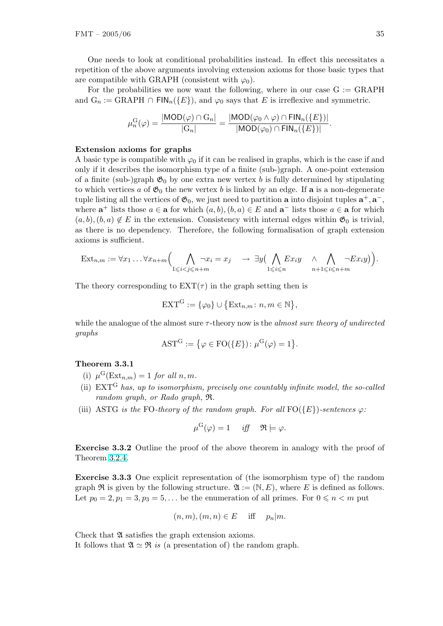One needs to look at conditional probabilities instead. In effect this necessitates a repetition of the above arguments involving extension axioms for those basic types that are compatible with GRAPH (consistent with  $\varphi_0$ ).

 $\mathcal{F}_{\mathcal{A}}$  ,  $\mathcal{F}_{\mathcal{A}}$  ,  $\mathcal{F}_{\mathcal{A}}$  ,  $\mathcal{F}_{\mathcal{A}}$  ,  $\mathcal{F}_{\mathcal{A}}$  ,  $\mathcal{F}_{\mathcal{A}}$  ,  $\mathcal{F}_{\mathcal{A}}$  ,  $\mathcal{F}_{\mathcal{A}}$  ,  $\mathcal{F}_{\mathcal{A}}$  ,  $\mathcal{F}_{\mathcal{A}}$  ,  $\mathcal{F}_{\mathcal{A}}$  ,  $\mathcal{F}_{\mathcal{A}}$  ,  $\mathcal{F}_{\mathcal{A}}$  ,

For the probabilities we now want the following, where in our case  $G := \text{GRAPH}$ and  $G_n := \text{GRAPH} \cap \text{FIN}_n({E})$ , and  $\varphi_0$  says that E is irreflexive and symmetric.

$$
\mu_n^{\mathrm{G}}(\varphi) = \frac{|\mathrm{MOD}(\varphi) \cap \mathrm{G}_n|}{|\mathrm{G}_n|} = \frac{|\mathrm{MOD}(\varphi_0 \land \varphi) \cap \mathrm{FIN}_n(\{E\})|}{|\mathrm{MOD}(\varphi_0) \cap \mathrm{FIN}_n(\{E\})|}.
$$

#### Extension axioms for graphs

A basic type is compatible with  $\varphi_0$  if it can be realised in graphs, which is the case if and only if it describes the isomorphism type of a finite (sub-)graph. A one-point extension of a finite (sub-)graph  $\mathfrak{G}_0$  by one extra new vertex b is fully determined by stipulating to which vertices a of  $\mathfrak{G}_0$  the new vertex b is linked by an edge. If a is a non-degenerate tuple listing all the vertices of  $\mathfrak{G}_0$ , we just need to partition **a** into disjoint tuples  $\mathbf{a}^+$ ,  $\mathbf{a}^-$ , where  $\mathbf{a}^+$  lists those  $a \in \mathbf{a}$  for which  $(a, b), (b, a) \in E$  and  $\mathbf{a}^-$  lists those  $a \in \mathbf{a}$  for which  $(a, b), (b, a) \notin E$  in the extension. Consistency with internal edges within  $\mathfrak{G}_0$  is trivial, as there is no dependency. Therefore, the following formalisation of graph extension axioms is sufficient.

$$
\text{Ext}_{n,m} := \forall x_1 \ldots \forall x_{n+m} \Big( \bigwedge_{1 \leq i < j \leq n+m} \neg x_i = x_j \quad \rightarrow \exists y \Big( \bigwedge_{1 \leq i \leq n} Ex_i y \ \wedge \bigwedge_{n+1 \leq i \leq n+m} \neg Ex_i y \Big) \Big).
$$

The theory corresponding to  $\operatorname{EXT}(\tau)$  in the graph setting then is

$$
\operatorname{EXT}^{\mathcal{G}} := \{\varphi_0\} \cup \{\operatorname{Ext}_{n,m} : n, m \in \mathbb{N}\},\
$$

while the analogue of the almost sure  $\tau$ -theory now is the *almost sure theory of undirected* graphs

$$
AST^{G} := \{ \varphi \in FO(\{E\}) \colon \mu^{G}(\varphi) = 1 \}.
$$

### Theorem 3.3.1

- (i)  $\mu^{\mathcal{G}}(\text{Ext}_{n,m}) = 1$  for all n, m.
- (ii)  $EXT^G$  has, up to isomorphism, precisely one countably infinite model, the so-called random graph, or Rado graph, R.
- (iii) ASTG is the FO-theory of the random graph. For all  $FO({E})$ -sentences  $\varphi$ :

$$
\mu^G(\varphi) = 1 \quad \text{iff} \quad \mathfrak{R} \models \varphi.
$$

Exercise 3.3.2 Outline the proof of the above theorem in analogy with the proof of Theorem 3.2.4.

Exercise 3.3.3 One explicit representation of (the isomorphism type of) the random graph  $\mathfrak{R}$  is given by the following structure.  $\mathfrak{A} := (\mathbb{N}, E)$ , where E is defined as follows. Let  $p_0 = 2, p_1 = 3, p_3 = 5, \ldots$  $p_0 = 2, p_1 = 3, p_3 = 5, \ldots$  $p_0 = 2, p_1 = 3, p_3 = 5, \ldots$  be the enumeration of all primes. For  $0 \le n \le m$  put

$$
(n, m), (m, n) \in E \quad \text{iff} \quad p_n | m.
$$

Check that  $\mathfrak A$  satisfies the graph extension axioms.

It follows that  $\mathfrak{A} \simeq \mathfrak{R}$  is (a presentation of) the random graph.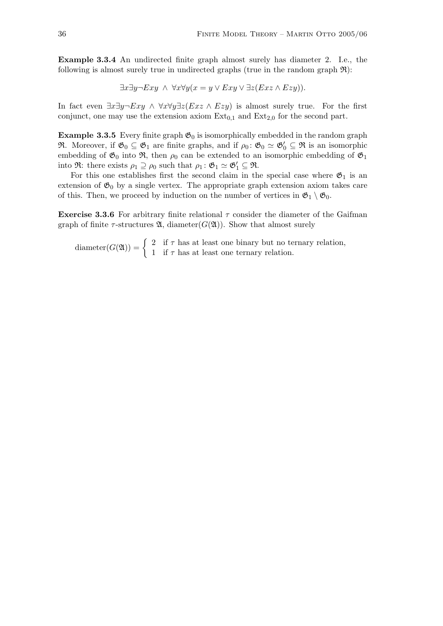Example 3.3.4 An undirected finite graph almost surely has diameter 2. I.e., the following is almost surely true in undirected graphs (true in the random graph  $\mathfrak{R}$ ):

$$
\exists x \exists y \neg Exy \land \forall x \forall y (x = y \lor Exy \lor \exists z (Exz \land Exy)).
$$

In fact even  $\exists x \exists y \neg Exy \land \forall x \forall y \exists z (Exz \land Ezy)$  is almost surely true. For the first conjunct, one may use the extension axiom  $Ext_{0,1}$  and  $Ext_{2,0}$  for the second part.

**Example 3.3.5** Every finite graph  $\mathfrak{G}_0$  is isomorphically embedded in the random graph **R.** Moreover, if  $\mathfrak{G}_0 \subseteq \mathfrak{G}_1$  are finite graphs, and if  $\rho_0: \mathfrak{G}_0 \simeq \mathfrak{G}'_0 \subseteq \mathfrak{R}$  is an isomorphic embedding of  $\mathfrak{G}_0$  into  $\mathfrak{R}$ , then  $\rho_0$  can be extended to an isomorphic embedding of  $\mathfrak{G}_1$ into  $\mathfrak{R}$ : there exists  $\rho_1 \supseteq \rho_0$  such that  $\rho_1 : \mathfrak{G}_1 \simeq \mathfrak{G}_1' \subseteq \mathfrak{R}$ .

For this one establishes first the second claim in the special case where  $\mathfrak{G}_1$  is an extension of  $\mathfrak{G}_0$  by a single vertex. The appropriate graph extension axiom takes care of this. Then, we proceed by induction on the number of vertices in  $\mathfrak{G}_1 \setminus \mathfrak{G}_0$ .

**Exercise 3.3.6** For arbitrary finite relational  $\tau$  consider the diameter of the Gaifman graph of finite  $\tau$ -structures  $\mathfrak{A}$ , diameter( $G(\mathfrak{A})$ ). Show that almost surely

diameter( $G(\mathfrak{A})$ ) =  $\begin{cases} 2 & \text{if } \tau \text{ has at least one binary but no ternary relation,} \\ 1 & \text{if } \tau \text{ has at least one binary but no ternary relation,} \end{cases}$ 1 if  $\tau$  has at least one ternary relation.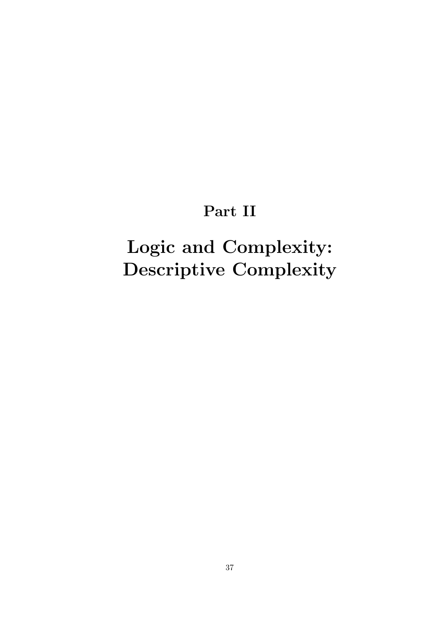# Part II

# <span id="page-38-0"></span>Logic and Complexity: Descriptive Complexity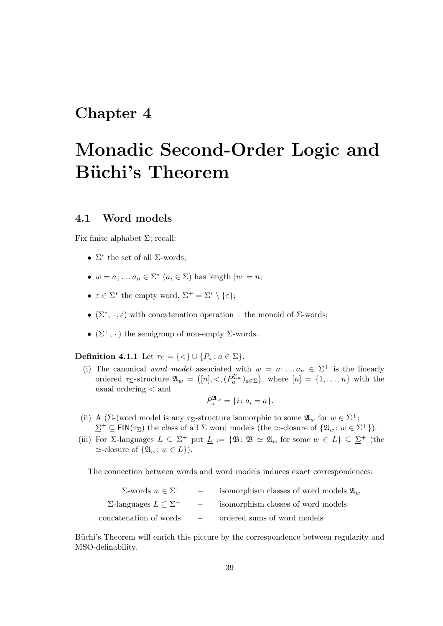# <span id="page-40-0"></span>Chapter 4

# Monadic Second-Order Logic and Büchi's Theorem

# 4.1 Word models

Fix finite alphabet  $Σ$ ; recall:

- $\Sigma^*$  the set of all  $\Sigma$ -words;
- $w = a_1 \dots a_n \in \Sigma^*$   $(a_i \in \Sigma)$  has length  $|w| = n$ ;
- $\varepsilon \in \Sigma^*$  the empty word,  $\Sigma^+ = \Sigma^* \setminus {\varepsilon};$
- $(\Sigma^*, \cdot, \varepsilon)$  with concatenation operation  $\cdot$  the monoid of  $\Sigma$ -words;
- $(\Sigma^+, \cdot)$  the semigroup of non-empty  $\Sigma$ -words.

Definition 4.1.1 Let  $\tau_{\Sigma} = \{ \langle \rangle \cup \{ P_a : a \in \Sigma \}.$ 

(i) The canonical *word model* associated with  $w = a_1 \dots a_n \in \Sigma^+$  is the linearly ordered  $\tau_{\Sigma}$ -structure  $\mathfrak{A}_w = ([n], <, (P_a^{\mathfrak{A}_w})_{a \in \Sigma}),$  where  $[n] = \{1, \ldots, n\}$  with the usual ordering < and

$$
P_a^{\mathfrak{A}_w} = \{i \colon a_i = a\}.
$$

- (ii) A ( $\Sigma$ -)word model is any  $\tau_{\Sigma}$ -structure isomorphic to some  $\mathfrak{A}_w$  for  $w \in \Sigma^+$ ;  $\Sigma^+ \subseteq \text{FIN}(\tau_\Sigma)$  the class of all  $\Sigma$  word models (the  $\simeq$ -closure of  $\{\mathfrak{A}_w : w \in \Sigma^+\}\)$ .
- (iii) For  $\Sigma$ -languages  $L \subseteq \Sigma^+$  put  $\underline{L} := {\mathfrak{B}} : \mathfrak{B} \simeq \mathfrak{A}_w$  for some  $w \in L$   $\subseteq \Sigma^+$  (the  $\simeq$ -closure of  $\{\mathfrak{A}_w : w \in L\}$ ).

The connection between words and word models induces exact correspondences:

| $\Sigma$ -words $w \in \Sigma^+$           | <b>Contract Contract State</b> | isomorphism classes of word models $\mathfrak{A}_w$ |
|--------------------------------------------|--------------------------------|-----------------------------------------------------|
| $\Sigma$ -languages $L \subseteq \Sigma^+$ | $\sim$ 100 $\sim$              | isomorphism classes of word models                  |
| concatenation of words                     | <b>Section</b>                 | ordered sums of word models                         |

Büchi's Theorem will enrich this picture by the correspondence between regularity and MSO-definability.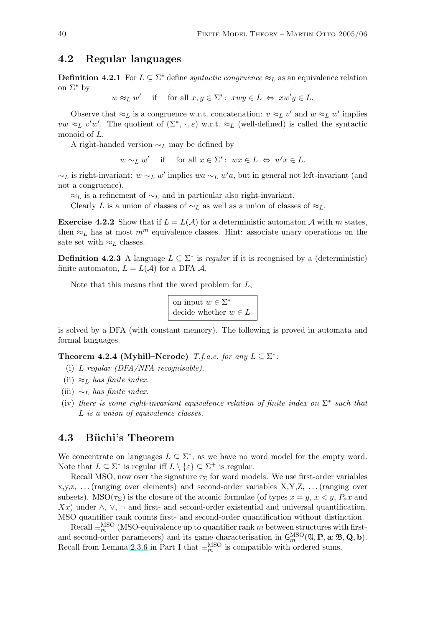# 4.2 Regular languages

**Definition 4.2.1** For  $L \subseteq \Sigma^*$  define *syntactic congruence*  $\approx_L$  as an equivalence relation on  $\Sigma^*$  by

<span id="page-41-0"></span> $40$  Finite Model Theory – Martin  $M$   $\sim$   $10^{10}$ 

 $w \approx_L w'$  if for all  $x, y \in \Sigma^*$ :  $xwy \in L \Leftrightarrow xw'y \in L$ .

Observe that  $\approx_L$  is a congruence w.r.t. concatenation:  $v \approx_L v'$  and  $w \approx_L w'$  implies  $vw \approx_L v'w'$ . The quotient of  $(\Sigma^*, \cdot, \varepsilon)$  w.r.t.  $\approx_L$  (well-defined) is called the syntactic monoid of L.

A right-handed version  $\sim_L$  may be defined by

 $w \sim_L w'$  if for all  $x \in \Sigma^*$ :  $wx \in L \Leftrightarrow w'x \in L$ .

 $\sim_L$  is right-invariant:  $w \sim_L w'$  implies  $wa \sim_L w'a$ , but in general not left-invariant (and not a congruence).

 $\approx_L$  is a refinement of  $\sim_L$  and in particular also right-invariant.

Clearly L is a union of classes of  $\sim_L$  as well as a union of classes of  $\approx_L$ .

**Exercise 4.2.2** Show that if  $L = L(\mathcal{A})$  for a deterministic automaton  $\mathcal{A}$  with m states, then  $\approx_L$  has at most  $m^m$  equivalence classes. Hint: associate unary operations on the sate set with  $\approx_L$  classes.

**Definition 4.2.3** A language  $L \subseteq \Sigma^*$  is regular if it is recognised by a (deterministic) finite automaton,  $L = L(\mathcal{A})$  for a DFA  $\mathcal{A}$ .

Note that this means that the word problem for  $L$ ,

on input  $w \in \Sigma^*$ decide whether  $w \in L$ 

is solved by a DFA (with constant memory). The following is proved in automata and formal languages.

Theorem 4.2.4 (Myhill–Nerode) T.f.a.e. for any  $L \subseteq \Sigma^*$ :

- (i) L regular (DFA/NFA recognisable).
- (ii)  $\approx_L$  has finite index.
- (iii)  $\sim_L$  has finite index.
- (iv) there is some right-invariant equivalence relation of finite index on  $\Sigma^*$  such that L is a union of equivalence classes.

## 4.3 Büchi's Theorem

We concentrate on languages  $L \subseteq \Sigma^*$ , as we have no word model for the empty word. Note that  $L \subseteq \Sigma^*$  is regular iff  $L \setminus \{\varepsilon\} \subseteq \Sigma^+$  is regular.

Recall MSO, now over the signature  $\tau_{\Sigma}$  for word models. We use first-order variables  $x,y,z$ , ... (ranging over elements) and second-order variables  $X,Y,Z$ , ... (ranging over subsets). MSO( $\tau_{\Sigma}$ ) is the closure of the atomic formulae (of types  $x = y, x < y, P_a x$  and  $Xx$ ) under  $\wedge$ ,  $\vee$ ,  $\neg$  and first- and second-order existential and universal quantification. MSO quantifier rank counts first- and second-order quantification without distinction.

Recall  $\equiv_m^{\text{MSO}}$  (MSO-equivalence up to quantifier rank m between structures with firstand second-order parameters) and its game characterisation in  $\mathsf{G}_m^{\rm MSO}(\mathfrak{A},\mathbf{P},\mathbf{a};\mathfrak{B},\mathbf{Q},\mathbf{b}).$ Recall from Lemma 2.3.6 in Part I that  $\equiv_m^{\text{MSO}}$  is compatible with ordered sums.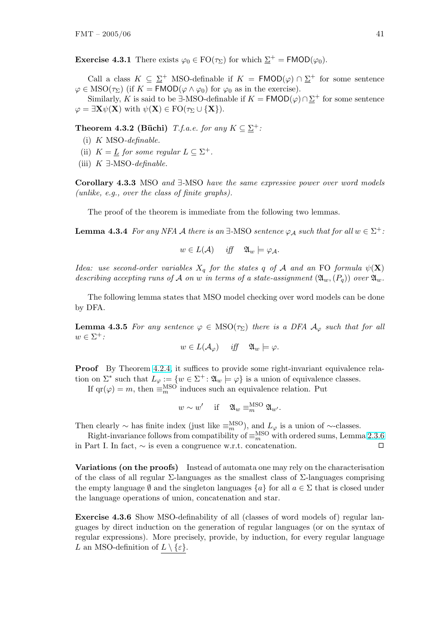**Exercise 4.3.1** There exists  $\varphi_0 \in \text{FO}(\tau_\Sigma)$  for which  $\Sigma^+ = \text{FMOD}(\varphi_0)$ .

Call a class  $K \subseteq \Sigma^+$  MSO-definable if  $K = \text{FMOD}(\varphi) \cap \Sigma^+$  for some sentence  $\varphi \in \text{MSO}(\tau_{\Sigma})$  (if  $K = \text{FMOD}(\varphi \wedge \varphi_0)$  for  $\varphi_0$  as in the exercise).

 $\mathcal{F}_{\mathcal{A}}$  ,  $\mathcal{F}_{\mathcal{A}}$  ,  $\mathcal{F}_{\mathcal{A}}$  ,  $\mathcal{F}_{\mathcal{A}}$  ,  $\mathcal{F}_{\mathcal{A}}$  ,  $\mathcal{F}_{\mathcal{A}}$  ,  $\mathcal{F}_{\mathcal{A}}$  ,  $\mathcal{F}_{\mathcal{A}}$  ,  $\mathcal{F}_{\mathcal{A}}$  ,  $\mathcal{F}_{\mathcal{A}}$  ,  $\mathcal{F}_{\mathcal{A}}$  ,  $\mathcal{F}_{\mathcal{A}}$  ,  $\mathcal{F}_{\mathcal{A}}$  ,

Similarly, K is said to be  $\exists$ -MSO-definable if  $K = \mathsf{FMOD}(\varphi) \cap \underline{\Sigma}^+$  for some sentence  $\varphi = \exists \mathbf{X} \psi(\mathbf{X})$  with  $\psi(\mathbf{X}) \in \mathrm{FO}(\tau_{\Sigma} \cup \{\mathbf{X}\}).$ 

**Theorem 4.3.2 (Büchi)** T.f.a.e. for any  $K \subseteq \Sigma^+$ :

- (i) K MSO-definable.
- (ii)  $K = L$  for some regular  $L \subseteq \Sigma^+$ .
- (iii)  $K \exists$ -MSO-definable.

Corollary 4.3.3 MSO and ∃-MSO have the same expressive power over word models (unlike, e.g., over the class of finite graphs).

The proof of the theorem is immediate from the following two lemmas.

**Lemma 4.3.4** For any NFA A there is an  $\exists$ -MSO sentence  $\varphi_A$  such that for all  $w \in \Sigma^+$ :

$$
w\in L(\mathcal{A})\hspace{0.4cm} \text{ iff } \hspace{0.4cm} \mathfrak{A}_w\models \varphi_\mathcal{A}.
$$

Idea: use second-order variables  $X_q$  for the states q of A and an FO formula  $\psi(\mathbf{X})$ describing accepting runs of A on w in terms of a state-assignment  $(\mathfrak{A}_w,(P_q))$  over  $\mathfrak{A}_w$ .

The following lemma states that MSO model checking over word models can be done by DFA.

**Lemma 4.3.5** For any sentence  $\varphi \in \text{MSO}(\tau_{\Sigma})$  there is a DFA  $\mathcal{A}_{\varphi}$  such that for all  $w \in \Sigma^+$ :

$$
w\in L(\mathcal{A}_{\varphi})\quad \text{ iff }\quad \mathfrak{A}_w\models\varphi.
$$

Proof By Theorem 4.2.4, it suffices to provide some right-invariant equivalence relation on  $\Sigma^*$  such that  $L_{\varphi} := \{w \in \Sigma^+ : \mathfrak{A}_w \models \varphi\}$  is a union of equivalence classes.

If  $qr(\varphi) = m$ , then  $\equiv_m^{MSO}$  induces such an equivalence relation. Put

$$
w \sim w'
$$
 if  $\mathfrak{A}_w \equiv_m^{\text{MSO}} \mathfrak{A}_{w'}$ .

Then clearly  $\sim$  has finite index (just like  $\equiv_m^{\text{MSO}}$ ), and  $L_{\varphi}$  is a union of  $\sim$ -classes.

Right-invariance follows from compatibility of  $\equiv_m^{\mathrm{MSO}}$  with ordered sums, Lemma 2.3.6 in Part I. In fact,  $\sim$  is even a congruence w.r.t. concatenation.  $\Box$ 

Variations (on the proofs) Instead of automata one may rely on the characterisation of the class of all regular Σ-languages as the smallest class of Σ-languages comp[rising](#page-25-0) the empty language  $\emptyset$  and the singleton languages  $\{a\}$  for all  $a \in \Sigma$  that is closed under the language operations of union, concatenation and star.

Exercise 4.3.6 Show MSO-definability of all (classes of word models of) regular languages by direct induction on the generation of regular languages (or on the syntax of regular expressions). More precisely, provide, by induction, for every regular language L an MSO-definition of  $L \setminus \{\varepsilon\}.$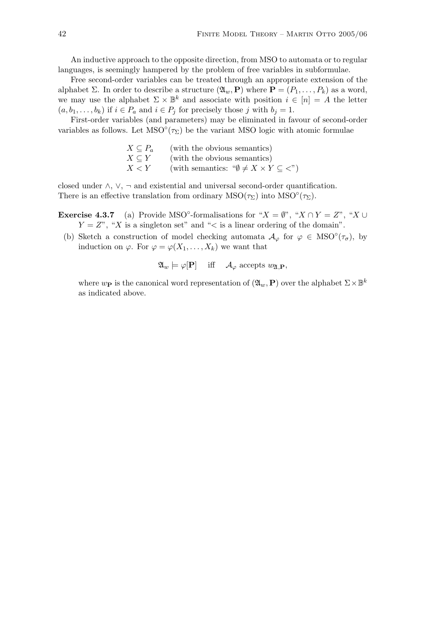An inductive approach to the opposite direction, from MSO to automata or to regular languages, is seemingly hampered by the problem of free variables in subformulae.

Free second-order variables can be treated through an appropriate extension of the alphabet Σ. In order to describe a structure  $(\mathfrak{A}_w, \mathbf{P})$  where  $\mathbf{P} = (P_1, \ldots, P_k)$  as a word, we may use the alphabet  $\Sigma \times \mathbb{B}^k$  and associate with position  $i \in [n] = A$  the letter  $(a, b_1, \ldots, b_k)$  if  $i \in P_a$  and  $i \in P_j$  for precisely those j with  $b_i = 1$ .

First-order variables (and parameters) may be eliminated in favour of second-order variables as follows. Let  $\text{MSO}^{\circ}(\tau_{\Sigma})$  be the variant MSO logic with atomic formulae

> $X \subseteq P_a$  (with the obvious semantics)<br> $X \subseteq Y$  (with the obvious semantics) (with the obvious semantics)  $X \leq Y$  (with semantics: " $\emptyset \neq X \times Y \subseteq \langle$ ")

closed under  $\wedge$ ,  $\vee$ ,  $\neg$  and existential and universal second-order quantification. There is an effective translation from ordinary  $\text{MSO}(\tau_{\Sigma})$  into  $\text{MSO}^{\circ}(\tau_{\Sigma})$ .

- Exercise 4.3.7 (a) Provide MSO°-formalisations for " $X = \emptyset$ ", " $X \cap Y = Z$ ", " $X \cup Y = Z$ ", "  $Y = Z$ ", "X is a singleton set" and "< is a linear ordering of the domain".
	- (b) Sketch a construction of model checking automata  $\mathcal{A}_{\varphi}$  for  $\varphi \in \mathrm{MSO}^{\circ}(\tau_{\sigma})$ , by induction on  $\varphi$ . For  $\varphi = \varphi(X_1, \ldots, X_k)$  we want that

$$
\mathfrak{A}_w \models \varphi[\mathbf{P}] \quad \text{ iff } \quad \mathcal{A}_{\varphi} \text{ accepts } w_{\mathfrak{A},\mathbf{P}},
$$

where  $w_{\mathbf{P}}$  is the canonical word representation of  $(\mathfrak{A}_w, \mathbf{P})$  over the alphabet  $\Sigma \times \mathbb{B}^k$ as indicated above.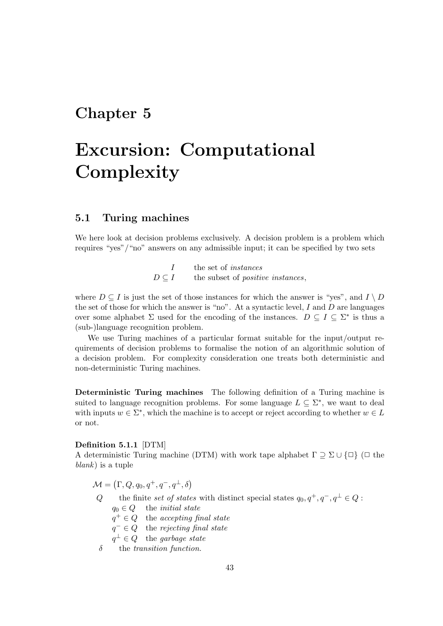# <span id="page-44-0"></span>Chapter 5

# Excursion: Computational **Complexity**

# 5.1 Turing machines

We here look at decision problems exclusively. A decision problem is a problem which requires "yes"/"no" answers on any admissible input; it can be specified by two sets

> I the set of instances  $D \subseteq I$  the subset of *positive instances*,

where  $D \subseteq I$  is just the set of those instances for which the answer is "yes", and  $I \setminus D$ the set of those for which the answer is "no". At a syntactic level,  $I$  and  $D$  are languages over some alphabet  $\Sigma$  used for the encoding of the instances.  $D \subseteq I \subseteq \Sigma^*$  is thus a (sub-)language recognition problem.

We use Turing machines of a particular format suitable for the input/output requirements of decision problems to formalise the notion of an algorithmic solution of a decision problem. For complexity consideration one treats both deterministic and non-deterministic Turing machines.

Deterministic Turing machines The following definition of a Turing machine is suited to language recognition problems. For some language  $L \subseteq \Sigma^*$ , we want to deal with inputs  $w \in \Sigma^*$ , which the machine is to accept or reject according to whether  $w \in L$ or not.

#### Definition 5.1.1 [DTM]

A deterministic Turing machine (DTM) with work tape alphabet  $\Gamma \supseteq \Sigma \cup {\square}$  ( $\Box$  the  $blank)$  is a tuple

$$
\mathcal{M}=\left(\Gamma,Q,q_0,q^+,q^-,q^\perp,\delta\right)
$$

- Q the finite set of states with distinct special states  $q_0, q^+, q^-, q^\perp \in Q$ :  $q_0 \in Q$  the *initial state* 
	- $q^+ \in Q$  the accepting final state
	- $q^- \in Q$  the rejecting final state

 $q^{\perp} \in Q$  the garbage state

 $\delta$  the transition function.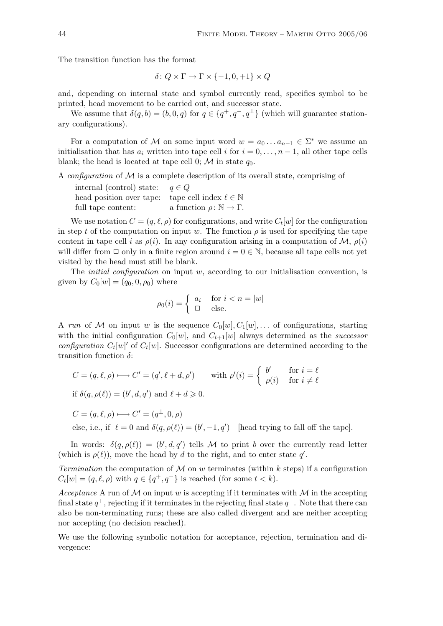The transition function has the format

$$
\delta \colon Q \times \Gamma \to \Gamma \times \{-1, 0, +1\} \times Q
$$

and, depending on internal state and symbol currently read, specifies symbol to be printed, head movement to be carried out, and successor state.

We assume that  $\delta(q, b) = (b, 0, q)$  for  $q \in \{q^+, q^-, q^\perp\}$  (which will guarantee stationary configurations).

For a computation of M on some input word  $w = a_0 \dots a_{n-1} \in \Sigma^*$  we assume an initialisation that has  $a_i$  written into tape cell i for  $i = 0, \ldots, n-1$ , all other tape cells blank; the head is located at tape cell 0; M in state  $q_0$ .

A configuration of  $\mathcal M$  is a complete description of its overall state, comprising of

| internal (control) state: $q \in Q$                            |                                            |
|----------------------------------------------------------------|--------------------------------------------|
| head position over tape: tape cell index $\ell \in \mathbb{N}$ |                                            |
| full tape content:                                             | a function $\rho: \mathbb{N} \to \Gamma$ . |

We use notation  $C = (q, \ell, \rho)$  for configurations, and write  $C_t[w]$  for the configuration in step t of the computation on input w. The function  $\rho$  is used for specifying the tape content in tape cell i as  $\rho(i)$ . In any configuration arising in a computation of M,  $\rho(i)$ will differ from  $\Box$  only in a finite region around  $i = 0 \in \mathbb{N}$ , because all tape cells not yet visited by the head must still be blank.

The *initial configuration* on input  $w$ , according to our initialisation convention, is given by  $C_0[w] = (q_0, 0, \rho_0)$  where

$$
\rho_0(i) = \begin{cases} a_i & \text{for } i < n = |w| \\ \Box & \text{else.} \end{cases}
$$

A run of M on input w is the sequence  $C_0[w], C_1[w], \ldots$  of configurations, starting with the initial configuration  $C_0[w]$ , and  $C_{t+1}[w]$  always determined as the *successor* configuration  $C_t[w]$  of  $C_t[w]$ . Successor configurations are determined according to the transition function  $\delta$ :

$$
C = (q, \ell, \rho) \longmapsto C' = (q', \ell + d, \rho') \quad \text{with } \rho'(i) = \begin{cases} b' & \text{for } i = \ell \\ \rho(i) & \text{for } i \neq \ell \end{cases}
$$

if  $\delta(q, \rho(\ell)) = (b', d, q')$  and  $\ell + d \geqslant 0$ .

$$
C = (q, \ell, \rho) \longmapsto C' = (q^{\perp}, 0, \rho)
$$
  
else, i.e., if  $\ell = 0$  and  $\delta(q, \rho(\ell)) = (b', -1, q')$  [head trying to fall off the tape].

In words:  $\delta(q, \rho(\ell)) = (b', d, q')$  tells M to print b over the currently read letter (which is  $\rho(\ell)$ ), move the head by d to the right, and to enter state q'.

Termination the computation of  $M$  on w terminates (within k steps) if a configuration  $C_t[w] = (q, \ell, \rho)$  with  $q \in \{q^+, q^-\}$  is reached (for some  $t < k$ ).

Acceptance A run of  $M$  on input w is accepting if it terminates with  $M$  in the accepting final state  $q^+$ , rejecting if it terminates in the rejecting final state  $q^-$ . Note that there can also be non-terminating runs; these are also called divergent and are neither accepting nor accepting (no decision reached).

We use the following symbolic notation for acceptance, rejection, termination and divergence: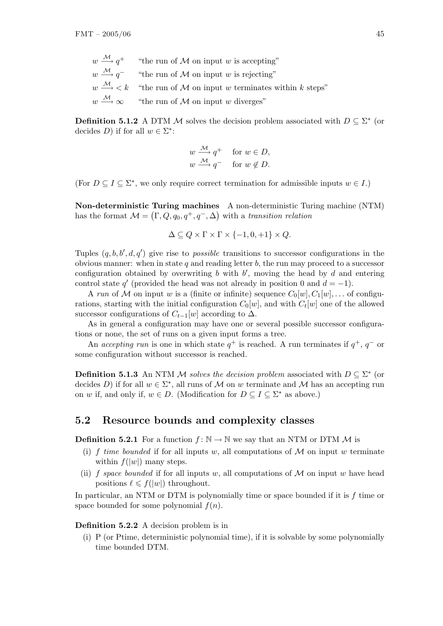<span id="page-46-0"></span>

| $w \stackrel{\mathcal{M}}{\longrightarrow} q^+$ "the run of M on input w is accepting"                           |
|------------------------------------------------------------------------------------------------------------------|
| $w \stackrel{\mathcal{M}}{\longrightarrow} q^{-}$ "the run of M on input w is rejecting"                         |
| $w \stackrel{\mathcal{M}}{\longrightarrow} \langle k \mid w$ "the run of M on input w terminates within k steps" |
| $w \stackrel{\mathcal{M}}{\longrightarrow} \infty$ "the run of M on input w diverges"                            |

**Definition 5.1.2** A DTM M solves the decision problem associated with  $D \subseteq \Sigma^*$  (or decides D) if for all  $w \in \Sigma^*$ :

$$
w \xrightarrow{M} q^{+} \quad \text{for } w \in D,
$$
  

$$
w \xrightarrow{M} q^{-} \quad \text{for } w \notin D.
$$

(For  $D \subseteq I \subseteq \Sigma^*$ , we only require correct termination for admissible inputs  $w \in I$ .)

Non-deterministic Turing machines A non-deterministic Turing machine (NTM) has the format  $\mathcal{M} = (\Gamma, Q, q_0, q^+, q^-, \Delta)$  with a transition relation

$$
\Delta \subseteq Q \times \Gamma \times \Gamma \times \{-1, 0, +1\} \times Q.
$$

Tuples  $(q, b, b', d, q')$  give rise to *possible* transitions to successor configurations in the obvious manner: when in state  $q$  and reading letter  $b$ , the run may proceed to a successor configuration obtained by overwriting  $b$  with  $b'$ , moving the head by  $d$  and entering control state q' (provided the head was not already in position 0 and  $d = -1$ ).

A run of M on input w is a (finite or infinite) sequence  $C_0[w], C_1[w], \ldots$  of configurations, starting with the initial configuration  $C_0[w]$ , and with  $C_t[w]$  one of the allowed successor configurations of  $C_{t-1}[w]$  according to  $\Delta$ .

As in general a configuration may have one or several possible successor configurations or none, the set of runs on a given input forms a tree.

An accepting run is one in which state  $q^+$  is reached. A run terminates if  $q^+$ ,  $q^-$  or some configuration without successor is reached.

**Definition 5.1.3** An NTM M solves the decision problem associated with  $D \subseteq \Sigma^*$  (or decides D) if for all  $w \in \Sigma^*$ , all runs of M on w terminate and M has an accepting run on w if, and only if,  $w \in D$ . (Modification for  $D \subseteq I \subseteq \Sigma^*$  as above.)

## 5.2 Resource bounds and complexity classes

**Definition 5.2.1** For a function  $f : \mathbb{N} \to \mathbb{N}$  we say that an NTM or DTM  $\mathcal{M}$  is

- (i) f time bounded if for all inputs w, all computations of M on input w terminate within  $f(|w|)$  many steps.
- (ii) f space bounded if for all inputs w, all computations of  $M$  on input w have head positions  $\ell \leq f(|w|)$  throughout.

In particular, an NTM or DTM is polynomially time or space bounded if it is  $f$  time or space bounded for some polynomial  $f(n)$ .

#### Definition 5.2.2 A decision problem is in

(i) P (or Ptime, deterministic polynomial time), if it is solvable by some polynomially time bounded DTM.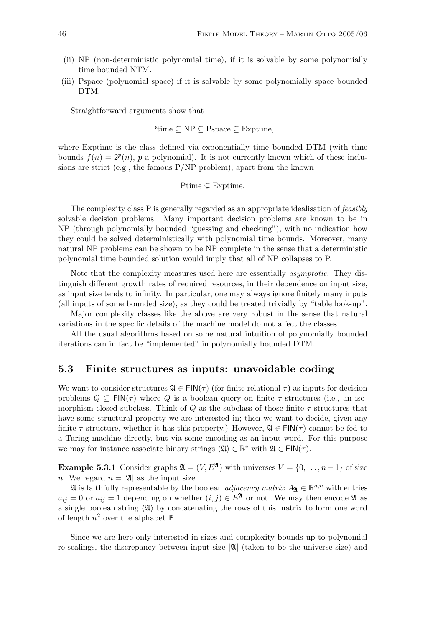- <span id="page-47-0"></span>(ii) NP (non-deterministic polynomial time), if it is solvable by some polynomially time bounded NTM.
- (iii) Pspace (polynomial space) if it is solvable by some polynomially space bounded DTM.

Straightforward arguments show that

Ptime  $\subseteq$  NP  $\subseteq$  Pspace  $\subseteq$  Exptime,

where Exptime is the class defined via exponentially time bounded DTM (with time bounds  $f(n) = 2^p(n)$ , p a polynomial). It is not currently known which of these inclusions are strict (e.g., the famous  $P/NP$  problem), apart from the known

Ptime  $\subset$  Exptime.

The complexity class P is generally regarded as an appropriate idealisation of *feasibly* solvable decision problems. Many important decision problems are known to be in NP (through polynomially bounded "guessing and checking"), with no indication how they could be solved deterministically with polynomial time bounds. Moreover, many natural NP problems can be shown to be NP complete in the sense that a deterministic polynomial time bounded solution would imply that all of NP collapses to P.

Note that the complexity measures used here are essentially asymptotic. They distinguish different growth rates of required resources, in their dependence on input size, as input size tends to infinity. In particular, one may always ignore finitely many inputs (all inputs of some bounded size), as they could be treated trivially by "table look-up".

Major complexity classes like the above are very robust in the sense that natural variations in the specific details of the machine model do not affect the classes.

All the usual algorithms based on some natural intuition of polynomially bounded iterations can in fact be "implemented" in polynomially bounded DTM.

### 5.3 Finite structures as inputs: unavoidable coding

We want to consider structures  $\mathfrak{A} \in \mathsf{FIN}(\tau)$  (for finite relational  $\tau$ ) as inputs for decision problems  $Q \subseteq FIN(\tau)$  where  $Q$  is a boolean query on finite  $\tau$ -structures (i.e., an isomorphism closed subclass. Think of  $Q$  as the subclass of those finite  $\tau$ -structures that have some structural property we are interested in; then we want to decide, given any finite  $\tau$ -structure, whether it has this property.) However,  $\mathfrak{A} \in \text{FIN}(\tau)$  cannot be fed to a Turing machine directly, but via some encoding as an input word. For this purpose we may for instance associate binary strings  $\langle \mathfrak{A} \rangle \in \mathbb{B}^*$  with  $\mathfrak{A} \in \mathsf{FIN}(\tau)$ .

**Example 5.3.1** Consider graphs  $\mathfrak{A} = (V, E^{\mathfrak{A}})$  with universes  $V = \{0, \ldots, n-1\}$  of size n. We regard  $n = |\mathfrak{A}|$  as the input size.

 $\mathfrak A$  is faithfully representable by the boolean *adjacency matrix*  $A_{\mathfrak A}\in\mathbb B^{n,n}$  with entries  $a_{ij} = 0$  or  $a_{ij} = 1$  depending on whether  $(i, j) \in E^{\mathfrak{A}}$  or not. We may then encode  $\mathfrak A$  as a single boolean string  $\langle \mathfrak{A} \rangle$  by concatenating the rows of this matrix to form one word of length  $n^2$  over the alphabet  $\mathbb{B}$ .

Since we are here only interested in sizes and complexity bounds up to polynomial re-scalings, the discrepancy between input size  $|\mathfrak{A}|$  (taken to be the universe size) and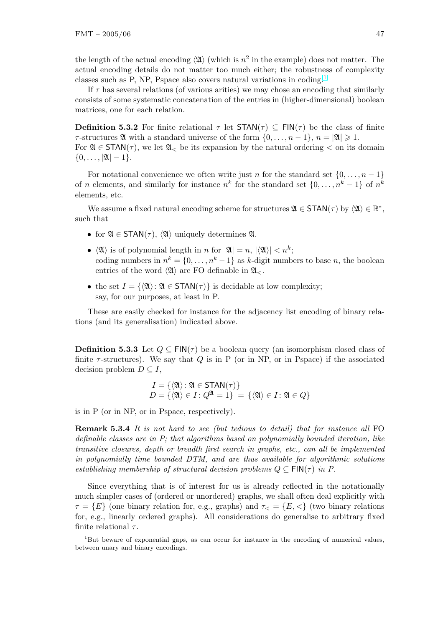the length of the actual encoding  $\langle \mathfrak{A} \rangle$  (which is  $n^2$  in the example) does not matter. The actual encoding details do not matter too much either; the robustness of complexity classes such as P, NP, Pspace also covers natural variations in coding.<sup>1</sup>

<span id="page-48-0"></span> $\mathcal{F}_{\mathcal{A}}$  ,  $\mathcal{F}_{\mathcal{A}}$  ,  $\mathcal{F}_{\mathcal{A}}$  ,  $\mathcal{F}_{\mathcal{A}}$  ,  $\mathcal{F}_{\mathcal{A}}$  ,  $\mathcal{F}_{\mathcal{A}}$  ,  $\mathcal{F}_{\mathcal{A}}$  ,  $\mathcal{F}_{\mathcal{A}}$  ,  $\mathcal{F}_{\mathcal{A}}$  ,  $\mathcal{F}_{\mathcal{A}}$  ,  $\mathcal{F}_{\mathcal{A}}$  ,  $\mathcal{F}_{\mathcal{A}}$  ,  $\mathcal{F}_{\mathcal{A}}$  ,

If  $\tau$  has several relations (of various arities) we may chose an encoding that similarly consists of some systematic concatenation of the entries in (higher-dimensional) boolean matrices, one for each relation.

**Definition 5.3.2** For finite relational  $\tau$  let  $STAN(\tau) \subseteq FIN(\tau)$  be the class of finite  $\tau$ -structures  $\mathfrak{A}$  with a standard universe of the form  $\{0, \ldots, n-1\}, n = |\mathfrak{A}| \geqslant 1$ . For  $\mathfrak{A} \in \text{STAN}(\tau)$ , we let  $\mathfrak{A}_{\leq}$  be its expansion by the natural ordering  $\leq$  on its domain  $\{0, \ldots, |\mathfrak{A}| - 1\}.$ 

For notational convenience we often write just n for the standard set  $\{0, \ldots, n-1\}$ of *n* elements, and similarly for instance  $n^k$  for the standard set  $\{0, \ldots, n^k-1\}$  of  $n^k$ elements, etc.

We assume a fixed natural encoding scheme for structures  $\mathfrak{A} \in \mathsf{STAN}(\tau)$  by  $\langle \mathfrak{A} \rangle \in \mathbb{B}^*$ , such that

- for  $\mathfrak{A} \in \mathsf{STAN}(\tau)$ ,  $\langle \mathfrak{A} \rangle$  uniquely determines  $\mathfrak{A}$ .
- $\langle \mathfrak{A} \rangle$  is of polynomial length in n for  $|\mathfrak{A}| = n, |\langle \mathfrak{A} \rangle| < n^k$ ; coding numbers in  $n^k = \{0, \ldots, n^k - 1\}$  as k-digit numbers to base n, the boolean entries of the word  $\langle \mathfrak{A} \rangle$  are FO definable in  $\mathfrak{A}_{\leq}$ .
- the set  $I = \{ \langle \mathfrak{A} \rangle : \mathfrak{A} \in \mathsf{STAN}(\tau) \}$  is decidable at low complexity; say, for our purposes, at least in P.

These are easily checked for instance for the adjacency list encoding of binary relations (and its generalisation) indicated above.

**Definition 5.3.3** Let  $Q \subseteq FIN(\tau)$  be a boolean query (an isomorphism closed class of finite  $\tau$ -structures). We say that Q is in P (or in NP, or in Pspace) if the associated decision problem  $D \subseteq I$ ,

$$
I = \{ \langle \mathfrak{A} \rangle : \mathfrak{A} \in \mathsf{STAN}(\tau) \}
$$
  

$$
D = \{ \langle \mathfrak{A} \rangle \in I : Q^{\mathfrak{A}} = 1 \} = \{ \langle \mathfrak{A} \rangle \in I : \mathfrak{A} \in Q \}
$$

is in P (or in NP, or in Pspace, respectively).

**Remark 5.3.4** It is not hard to see (but tedious to detail) that for instance all FO definable classes are in P; that algorithms based on polynomially bounded iteration, like transitive closures, depth or breadth first search in graphs, etc., can all be implemented in polynomially time bounded DTM, and are thus available for algorithmic solutions establishing membership of structural decision problems  $Q \subseteq FIN(\tau)$  in P.

Since everything that is of interest for us is already reflected in the notationally much simpler cases of (ordered or unordered) graphs, we shall often deal explicitly with  $\tau = \{E\}$  (one binary relation for, e.g., graphs) and  $\tau \langle E, \langle \rangle$  (two binary relations for, e.g., linearly ordered graphs). All considerations do generalise to arbitrary fixed finite relational  $\tau$ .

 $1$ But beware of exponential gaps, as can occur for instance in the encoding of numerical values, between unary and binary encodings.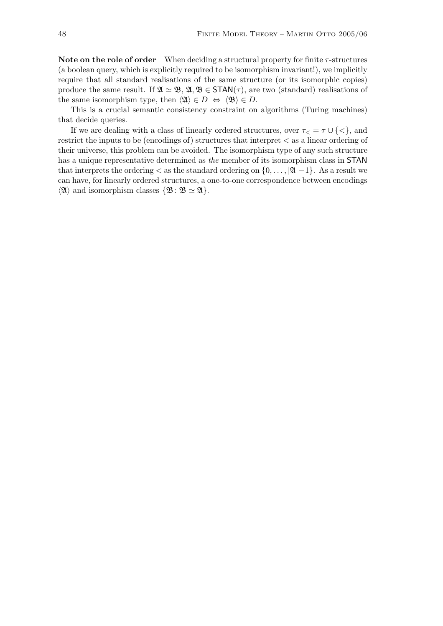Note on the role of order When deciding a structural property for finite  $\tau$ -structures (a boolean query, which is explicitly required to be isomorphism invariant!), we implicitly require that all standard realisations of the same structure (or its isomorphic copies) produce the same result. If  $\mathfrak{A} \simeq \mathfrak{B}$ ,  $\mathfrak{A}, \mathfrak{B} \in \mathsf{STAN}(\tau)$ , are two (standard) realisations of the same isomorphism type, then  $\langle \mathfrak{A} \rangle \in D \Leftrightarrow \langle \mathfrak{B} \rangle \in D$ .

This is a crucial semantic consistency constraint on algorithms (Turing machines) that decide queries.

If we are dealing with a class of linearly ordered structures, over  $\tau < \tau \cup \{<\}$ , and restrict the inputs to be (encodings of) structures that interpret < as a linear ordering of their universe, this problem can be avoided. The isomorphism type of any such structure has a unique representative determined as the member of its isomorphism class in STAN that interprets the ordering  $\lt$  as the standard ordering on  $\{0, \ldots, |\mathfrak{A}|-1\}$ . As a result we can have, for linearly ordered structures, a one-to-one correspondence between encodings  $\langle \mathfrak{A} \rangle$  and isomorphism classes  $\{ \mathfrak{B} : \mathfrak{B} \simeq \mathfrak{A} \}.$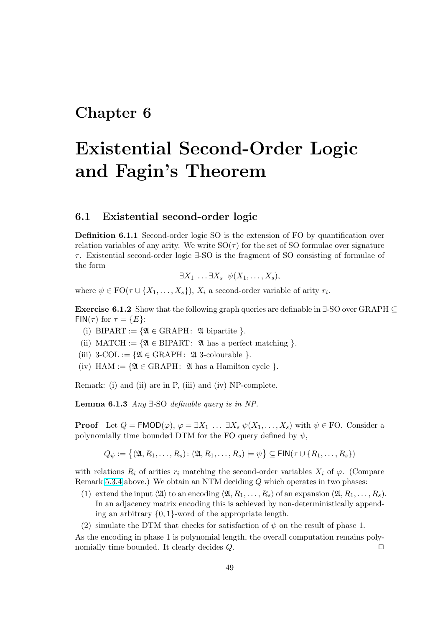# <span id="page-50-0"></span>Chapter 6

# Existential Second-Order Logic and Fagin's Theorem

## 6.1 Existential second-order logic

Definition 6.1.1 Second-order logic SO is the extension of FO by quantification over relation variables of any arity. We write  $SO(\tau)$  for the set of SO formulae over signature τ . Existential second-order logic ∃-SO is the fragment of SO consisting of formulae of the form

$$
\exists X_1 \ldots \exists X_s \ \psi(X_1, \ldots, X_s),
$$

where  $\psi \in \text{FO}(\tau \cup \{X_1, \ldots, X_s\}), X_i$  a second-order variable of arity  $r_i$ .

**Exercise 6.1.2** Show that the following graph queries are definable in  $\exists$ -SO over GRAPH  $\subseteq$ FIN( $\tau$ ) for  $\tau = \{E\}$ :

- (i) BIPART :=  $\{\mathfrak{A} \in \text{GRAPH}:\ \mathfrak{A} \text{ bipartite}\}.$
- (ii) MATCH :=  $\{\mathfrak{A} \in \text{BIPART}:\ \mathfrak{A} \text{ has a perfect matching }\}.$
- (iii)  $3\text{-COL} := \{ \mathfrak{A} \in \text{GRAPH}: \mathfrak{A} \text{ 3-colorable } \}.$
- (iv) HAM :=  $\{\mathfrak{A} \in \text{GRAPH}: \mathfrak{A} \text{ has a Hamilton cycle } \}.$

Remark: (i) and (ii) are in P, (iii) and (iv) NP-complete.

Lemma 6.1.3 Any  $\exists$ -SO definable query is in NP.

**Proof** Let  $Q = \text{FMOD}(\varphi), \varphi = \exists X_1 \dots \exists X_s \psi(X_1, \dots, X_s)$  with  $\psi \in \text{FO}$ . Consider a polynomially time bounded DTM for the FO query defined by  $\psi$ ,

 $Q_{\psi} := \{ (\mathfrak{A}, R_1, \ldots, R_s) : (\mathfrak{A}, R_1, \ldots, R_s) \models \psi \}$ ª  $\subseteq$  FIN( $\tau \cup \{R_1, \ldots, R_s\}$ )

with relations  $R_i$  of arities  $r_i$  matching the second-order variables  $X_i$  of  $\varphi$ . (Compare Remark 5.3.4 above.) We obtain an NTM deciding  $Q$  which operates in two phases:

- (1) extend the input  $\langle \mathfrak{A} \rangle$  to an encoding  $\langle \mathfrak{A}, R_1, \ldots, R_s \rangle$  of an expansion  $(\mathfrak{A}, R_1, \ldots, R_s)$ . In an adjacency matrix encoding this is achieved by non-deterministically appendin[g an a](#page-48-0)rbitrary  $\{0, 1\}$ -word of the appropriate length.
- (2) simulate the DTM that checks for satisfaction of  $\psi$  on the result of phase 1.

As the encoding in phase 1 is polynomial length, the overall computation remains polynomially time bounded. It clearly decides  $Q$ .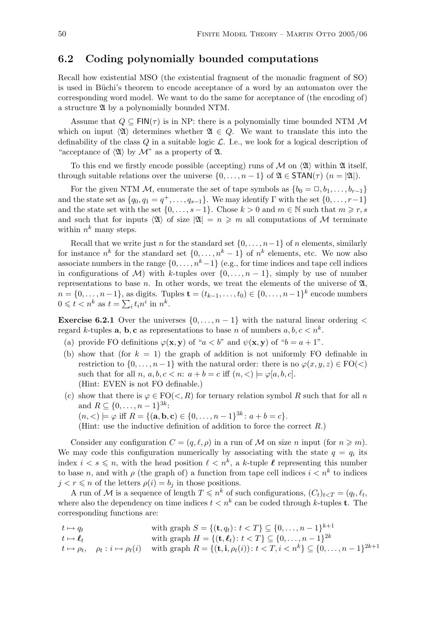# <span id="page-51-0"></span>6.2 Coding polynomially bounded computations

Recall how existential MSO (the existential fragment of the monadic fragment of SO) is used in Büchi's theorem to encode acceptance of a word by an automaton over the corresponding word model. We want to do the same for acceptance of (the encoding of) a structure A by a polynomially bounded NTM.

Assume that  $Q \subseteq FIN(\tau)$  is in NP: there is a polynomially time bounded NTM M which on input  $\langle \mathfrak{A} \rangle$  determines whether  $\mathfrak{A} \in Q$ . We want to translate this into the definability of the class  $Q$  in a suitable logic  $\mathcal{L}$ . I.e., we look for a logical description of "acceptance of  $\langle \mathfrak{A} \rangle$  by  $\mathcal{M}$ " as a property of  $\mathfrak{A}$ .

To this end we firstly encode possible (accepting) runs of M on  $\langle \mathfrak{A} \rangle$  within  $\mathfrak{A}$  itself, through suitable relations over the universe  $\{0, \ldots, n-1\}$  of  $\mathfrak{A} \in \mathsf{STAN}(\tau)$   $(n = |\mathfrak{A}|).$ 

For the given NTM M, enumerate the set of tape symbols as  $\{b_0 = \Box, b_1, \ldots, b_{r-1}\}\$ and the state set as  $\{q_0, q_1 = q^+, \ldots, q_{s-1}\}.$  We may identify  $\Gamma$  with the set  $\{0, \ldots, r-1\}$ and the state set with the set  $\{0, \ldots, s-1\}$ . Chose  $k > 0$  and  $m \in \mathbb{N}$  such that  $m \geq r, s$ and such that for inputs  $\langle \mathfrak{A} \rangle$  of size  $|\mathfrak{A}| = n \geqslant m$  all computations of M terminate within  $n^k$  many steps.

Recall that we write just n for the standard set  $\{0, \ldots, n-1\}$  of n elements, similarly for instance  $n^k$  for the standard set  $\{0, \ldots, n^k-1\}$  of  $n^k$  elements, etc. We now also associate numbers in the range  $\{0, \ldots, n^k-1\}$  (e.g., for time indices and tape cell indices in configurations of M) with k-tuples over  $\{0, \ldots, n-1\}$ , simply by use of number representations to base n. In other words, we treat the elements of the universe of  $\mathfrak{A}$ ,  $n = \{0, \ldots, n-1\}$ , as digits. Tuples  $\mathbf{t} = (t_{k-1}, \ldots, t_0) \in \{0, \ldots, n-1\}^k$  encode numbers  $0 \leqslant t < n^k$  as  $t = \sum_i t_i n^i$  in  $n^k$ .

Exercise 6.2.1 Over the universes  $\{0, \ldots, n-1\}$  with the natural linear ordering  $\leq$ regard k-tuples **a**, **b**, **c** as representations to base *n* of numbers  $a, b, c < n^k$ .

- (a) provide FO definitions  $\varphi(\mathbf{x}, \mathbf{y})$  of " $a < b$ " and  $\psi(\mathbf{x}, \mathbf{y})$  of " $b = a + 1$ ".
- (b) show that (for  $k = 1$ ) the graph of addition is not uniformly FO definable in restriction to  $\{0, \ldots, n-1\}$  with the natural order: there is no  $\varphi(x, y, z) \in \mathrm{FO}(\leq)$ such that for all n,  $a, b, c < n$ :  $a + b = c$  iff  $(n, <) \models \varphi[a, b, c]$ . (Hint: EVEN is not FO definable.)
- (c) show that there is  $\varphi \in FO(<, R)$  for ternary relation symbol R such that for all n and  $R \subseteq \{0, \ldots, n-1\}^{3k}$ :
	- $(n, <) \models \varphi$  iff  $R = \{(\mathbf{a}, \mathbf{b}, \mathbf{c}) \in \{0, \ldots, n-1\}^{3k} : a+b = c\}.$

(Hint: use the inductive definition of addition to force the correct  $R$ .)

Consider any configuration  $C = (q, \ell, \rho)$  in a run of M on size n input (for  $n \ge m$ ). We may code this configuration numerically by associating with the state  $q = q_i$  its index  $i < s \leq n$ , with the head position  $\ell < n^k$ , a k-tuple  $\ell$  representing this number to base n, and with  $\rho$  (the graph of) a function from tape cell indices  $i < n^k$  to indices  $j < r \leq n$  of the letters  $\rho(i) = b_j$  in those positions.

A run of M is a sequence of length  $T \leqslant n^k$  of such configurations,  $(C_t)_{t \leqslant T} = (q_t, \ell_t, \ell_t)$ where also the dependency on time indices  $t < n^k$  can be coded through k-tuples **t**. The corresponding functions are:

$$
t \mapsto q_t
$$
 with graph  $S = \{(\mathbf{t}, q_t) : t < T\} \subseteq \{0, \dots, n-1\}^{k+1}$   
\n $t \mapsto \ell_t$  with graph  $H = \{(\mathbf{t}, \ell_t) : t < T\} \subseteq \{0, \dots, n-1\}^{2k}$   
\n $t \mapsto \rho_t$ ,  $\rho_t : i \mapsto \rho_t(i)$  with graph  $R = \{(\mathbf{t}, \mathbf{i}, \rho_t(i)) : t < T, i < n^k\} \subseteq \{0, \dots, n-1\}^{2k+1}$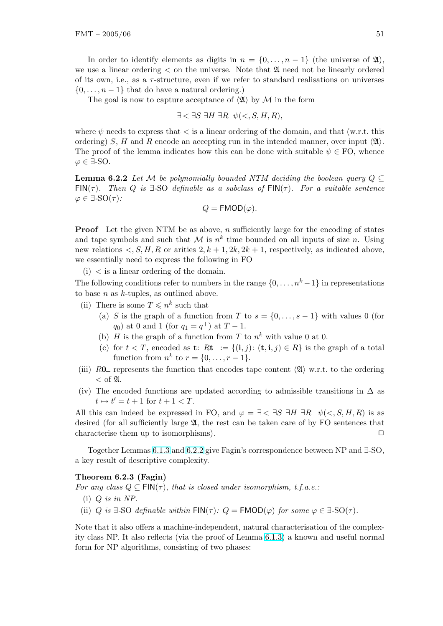In order to identify elements as digits in  $n = \{0, \ldots, n-1\}$  (the universe of  $\mathfrak{A}$ ), we use a linear ordering  $\lt$  on the universe. Note that  $\mathfrak A$  need not be linearly ordered of its own, i.e., as a  $\tau$ -structure, even if we refer to standard realisations on universes  $\{0, \ldots, n-1\}$  that do have a natural ordering.)

 $\mathcal{F}_{\mathcal{A}}$  ,  $\mathcal{F}_{\mathcal{A}}$  ,  $\mathcal{F}_{\mathcal{A}}$  ,  $\mathcal{F}_{\mathcal{A}}$  ,  $\mathcal{F}_{\mathcal{A}}$  ,  $\mathcal{F}_{\mathcal{A}}$  ,  $\mathcal{F}_{\mathcal{A}}$  ,  $\mathcal{F}_{\mathcal{A}}$  ,  $\mathcal{F}_{\mathcal{A}}$  ,  $\mathcal{F}_{\mathcal{A}}$  ,  $\mathcal{F}_{\mathcal{A}}$  ,  $\mathcal{F}_{\mathcal{A}}$  ,  $\mathcal{F}_{\mathcal{A}}$  ,

The goal is now to capture acceptance of  $\langle \mathfrak{A} \rangle$  by M in the form

$$
\exists < \exists S \; \exists H \; \exists R \; \psi(<, S, H, R),
$$

where  $\psi$  needs to express that  $\langle$  is a linear ordering of the domain, and that (w.r.t. this ordering) S, H and R encode an accepting run in the intended manner, over input  $\langle \mathfrak{A} \rangle$ . The proof of the lemma indicates how this can be done with suitable  $\psi \in FO$ , whence  $\varphi \in \exists$ -SO.

**Lemma 6.2.2** Let M be polynomially bounded NTM deciding the boolean query  $Q \subseteq$ FIN( $\tau$ ). Then Q is  $\exists$ -SO definable as a subclass of FIN( $\tau$ ). For a suitable sentence  $\varphi \in \exists$ -SO( $\tau$ ):

$$
Q = \mathsf{FMOD}(\varphi).
$$

**Proof** Let the given NTM be as above,  $n$  sufficiently large for the encoding of states and tape symbols and such that M is  $n^k$  time bounded on all inputs of size n. Using new relations  $\langle S, S, H, R \rangle$  or arities  $2, k+1, 2k, 2k+1$ , respectively, as indicated above, we essentially need to express the following in FO

 $(i)$   $\lt$  is a linear ordering of the domain.

The following conditions refer to numbers in the range  $\{0, \ldots, n^k-1\}$  in representations to base  $n$  as  $k$ -tuples, as outlined above.

- (ii) There is some  $T \leqslant n^k$  such that
	- (a) S is the graph of a function from T to  $s = \{0, \ldots, s-1\}$  with values 0 (for  $q_0$ ) at 0 and 1 (for  $q_1 = q^+$ ) at  $T - 1$ .
	- (b) H is the graph of a function from T to  $n^k$  with value 0 at 0.
	- (c) for  $t < T$ , encoded as  $\mathbf{t}: R\mathbf{t} = \{(\mathbf{i}, j): (\mathbf{t}, \mathbf{i}, j) \in R\}$  is the graph of a total function from  $n^k$  to  $r = \{0, \ldots, r-1\}.$
- (iii) RO represents the function that encodes tape content  $\langle \mathfrak{A} \rangle$  w.r.t. to the ordering  $<$  of  $\mathfrak{A}$ .
- (iv) The encoded functions are updated according to admissible transitions in  $\Delta$  as  $t \mapsto t' = t + 1$  for  $t + 1 < T$ .

All this can indeed be expressed in FO, and  $\varphi = \exists \langle \exists S \exists H \exists R \psi \langle \langle S, S, H, R \rangle \rangle$  is as desired (for all sufficiently large  $\mathfrak{A}$ , the rest can be taken care of by FO sentences that characterise them up to isomorphisms).  $\Box$ 

Together Lemmas 6.1.3 and 6.2.2 give Fagin's correspondence between NP and ∃-SO, a key result of descriptive complexity.

#### Theorem 6.2.3 (Fagin)

For any class  $Q \subseteq FIN(\tau)$ [,](#page-50-0) that is closed under isomorphism, t.f.a.e.:

- $(i)$  Q is in NP.
- (ii) Q is  $\exists$ -SO definable within  $\mathsf{FIN}(\tau)$ : Q =  $\mathsf{FMOD}(\varphi)$  for some  $\varphi \in \exists$ -SO( $\tau$ ).

Note that it also offers a machine-independent, natural characterisation of the complexity class NP. It also reflects (via the proof of Lemma 6.1.3) a known and useful normal form for NP algorithms, consisting of two phases: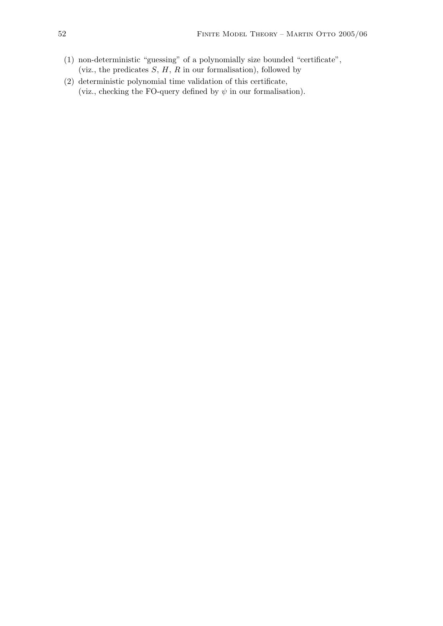- (1) non-deterministic "guessing" of a polynomially size bounded "certificate", (viz., the predicates  $S, H, R$  in our formalisation), followed by
- (2) deterministic polynomial time validation of this certificate, (viz., checking the FO-query defined by  $\psi$  in our formalisation).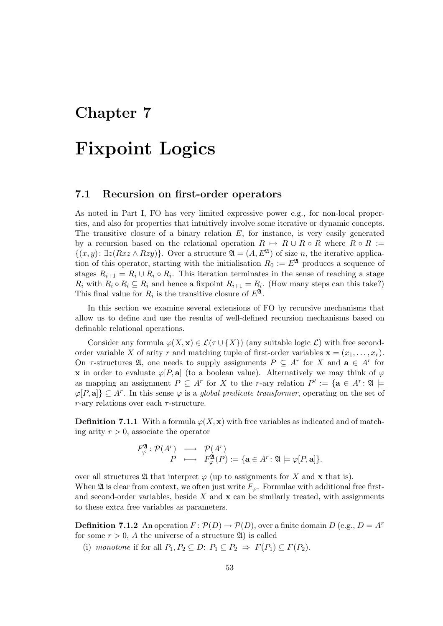# <span id="page-54-0"></span>Chapter 7

# Fixpoint Logics

# 7.1 Recursion on first-order operators

As noted in Part I, FO has very limited expressive power e.g., for non-local properties, and also for properties that intuitively involve some iterative or dynamic concepts. The transitive closure of a binary relation  $E$ , for instance, is very easily generated by a recursion based on the relational operation  $R \mapsto R \cup R \circ R$  where  $R \circ R :=$  $\{(x, y): \exists z(Rxz \wedge Rzy)\}.$  Over a structure  $\mathfrak{A} = (A, E^{\mathfrak{A}})$  of size *n*, the iterative application of this operator, starting with the initialisation  $R_0 := E^{\mathfrak{A}}$  produces a sequence of stages  $R_{i+1} = R_i \cup R_i \circ R_i$ . This iteration terminates in the sense of reaching a stage  $R_i$  with  $R_i \circ R_i \subseteq R_i$  and hence a fixpoint  $R_{i+1} = R_i$ . (How many steps can this take?) This final value for  $R_i$  is the transitive closure of  $E^{\mathfrak{A}}$ .

In this section we examine several extensions of FO by recursive mechanisms that allow us to define and use the results of well-defined recursion mechanisms based on definable relational operations.

Consider any formula  $\varphi(X, \mathbf{x}) \in \mathcal{L}(\tau \cup \{X\})$  (any suitable logic  $\mathcal{L}$ ) with free secondorder variable X of arity r and matching tuple of first-order variables  $\mathbf{x} = (x_1, \ldots, x_r)$ . On  $\tau$ -structures 24, one needs to supply assignments  $P \subseteq A^r$  for X and  $\mathbf{a} \in A^r$  for **x** in order to evaluate  $\varphi[P, a]$  (to a boolean value). Alternatively we may think of  $\varphi$ as mapping an assignment  $P \subseteq A^r$  for X to the r-ary relation  $P' := \{ \mathbf{a} \in A^r : \mathfrak{A} \models$  $\varphi[P,a] \subseteq A^r$ . In this sense  $\varphi$  is a global predicate transformer, operating on the set of  $r$ -ary relations over each  $\tau$ -structure.

**Definition 7.1.1** With a formula  $\varphi(X, \mathbf{x})$  with free variables as indicated and of matching arity  $r > 0$ , associate the operator

$$
F^{\mathfrak{A}}_{\varphi} : \mathcal{P}(A^{r}) \longrightarrow \mathcal{P}(A^{r})
$$
  
\n
$$
P \longrightarrow F^{\mathfrak{A}}_{\varphi}(P) := \{ \mathbf{a} \in A^{r} : \mathfrak{A} \models \varphi[P, \mathbf{a}]\}.
$$

over all structures  $\mathfrak A$  that interpret  $\varphi$  (up to assignments for X and **x** that is). When  $\mathfrak A$  is clear from context, we often just write  $F_{\varphi}$ . Formulae with additional free firstand second-order variables, beside  $X$  and  $x$  can be similarly treated, with assignments to these extra free variables as parameters.

**Definition 7.1.2** An operation  $F: \mathcal{P}(D) \to \mathcal{P}(D)$ , over a finite domain D (e.g.,  $D = A^r$ ) for some  $r > 0$ , A the universe of a structure  $\mathfrak{A}$  is called

(i) monotone if for all  $P_1, P_2 \subseteq D: P_1 \subseteq P_2 \Rightarrow F(P_1) \subseteq F(P_2)$ .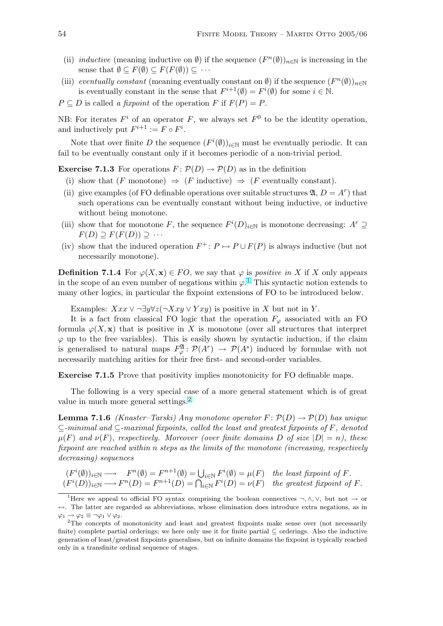(ii) *inductive* (meaning inductive on  $\emptyset$ ) if the sequence  $(F^n(\emptyset))_{n\in\mathbb{N}}$  is increasing in the sense that  $\emptyset \subseteq F(\emptyset) \subseteq F(F(\emptyset)) \subseteq \cdots$ 

54 Finite Model Theory – Martin Otto 2005/06

- (iii) eventually constant (meaning eventually constant on  $\emptyset$ ) if the sequence  $(F^n(\emptyset))_{n\in\mathbb{N}}$ is eventually constant in the sense that  $F^{i+1}(\emptyset) = F^{i}(\emptyset)$  for some  $i \in \mathbb{N}$ .
- $P \subseteq D$  is called a fixpoint of the operation F if  $F(P) = P$ .

NB: For iterates  $F^i$  of an operator F, we always set  $F^0$  to be the identity operation, and inductively put  $F^{i+1} := F \circ F^i$ .

Note that over finite D the sequence  $(F^i(\emptyset))_{i\in\mathbb{N}}$  must be eventually periodic. It can fail to be eventually constant only if it becomes periodic of a non-trivial period.

**Exercise 7.1.3** For operations  $F : \mathcal{P}(D) \to \mathcal{P}(D)$  as in the definition

- (i) show that (F monotone)  $\Rightarrow$  (F inductive)  $\Rightarrow$  (F eventually constant).
- (ii) give examples (of FO definable operations over suitable structures  $\mathfrak{A}, D = A^r$ ) that such operations can be eventually constant without being inductive, or inductive without being monotone.
- (iii) show that for monotone F, the sequence  $F^i(D)_{i\in\mathbb{N}}$  is monotone decreasing:  $A^r \supseteq$  $F(D) \supset F(F(D)) \supset \cdots$
- (iv) show that the induced operation  $F^+$ :  $P \mapsto P \cup F(P)$  is always inductive (but not necessarily monotone).

**Definition 7.1.4** For  $\varphi(X, x) \in FO$ , we say that  $\varphi$  is *positive in* X if X only appears in the scope of an even number of negations within  $\varphi$ <sup>1</sup>. This syntactic notion extends to many other logics, in particular the fixpoint extensions of FO to be introduced below.

Examples:  $Xxx \vee \neg \exists y \forall z (\neg Xxy \vee Yxy)$  is positive in X but not in Y.

It is a fact from classical FO logic that the operation  $F_{\varphi}$  associated with an FO formula  $\varphi(X, x)$  that is positive in X is monotone (over all structures that interpret  $\varphi$  up to the free variables). This is easily shown by syntactic induction, if the claim is generalised to natural maps  $F^{\mathfrak{A}}_{\varphi} : \mathcal{P}(A^r) \to \mathcal{P}(A^s)$  induced by formulae with not necessarily matching arities for their free first- and second-order variables.

Exercise 7.1.5 Prove that positivity implies monotonicity for FO definable maps.

The following is a very special case of a more general statement which is of great value in much more general settings.<sup>2</sup>

**Lemma 7.1.6** (Knaster–Tarski) Any monotone operator  $F : \mathcal{P}(D) \to \mathcal{P}(D)$  has unique  $\subset$ -minimal and  $\subset$ -maximal fixpoints, called the least and greatest fixpoints of F, denoted  $\mu(F)$  and  $\nu(F)$ , respectively. Moreover (over finite domains D of size  $|D| = n$ ), these fixpoint are reached within n steps as the limits of the monotone (increasing, respectively decreasing) sequences

$$
(F^i(\emptyset))_{i\in\mathbb{N}} \longrightarrow F^n(\emptyset) = F^{n+1}(\emptyset) = \bigcup_{i\in\mathbb{N}} F^i(\emptyset) = \mu(F) \quad \text{the least firpoint of } F.
$$
  

$$
(F^i(D))_{i\in\mathbb{N}} \longrightarrow F^n(D) = F^{n+1}(D) = \bigcap_{i\in\mathbb{N}} F^i(D) = \nu(F) \quad \text{the greatest firpoint of } F.
$$

<sup>&</sup>lt;sup>1</sup>Here we appeal to official FO syntax comprising the boolean connectives  $\neg, \wedge, \vee,$  but not  $\rightarrow$  or  $\leftrightarrow$ . The latter are regarded as abbreviations, whose elimination does introduce extra negations, as in  $\varphi_1 \to \varphi_2 \equiv \neg \varphi_1 \vee \varphi_2.$ 

<sup>&</sup>lt;sup>2</sup>The concepts of monotonicity and least and greatest fixpoints make sense over (not necessarily finite) complete partial orderings; we here only use it for finite partial ⊆ orderings. Also the inductive generation of least/greatest fixpoints generalises, but on infinite domains the fixpoint is typically reached only in a transfinite ordinal sequence of stages.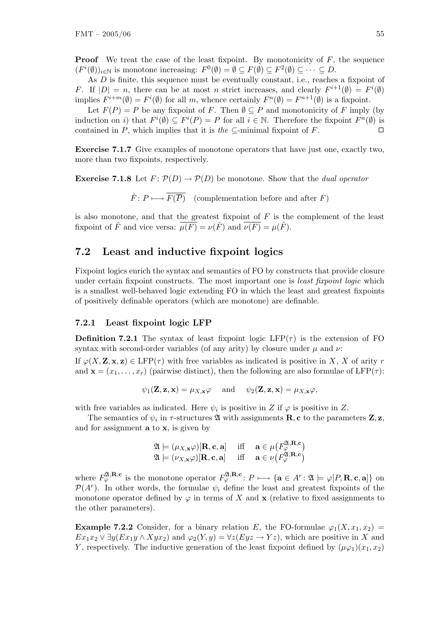<span id="page-56-0"></span>**Proof** We treat the case of the least fixpoint. By monotonicity of  $F$ , the sequence  $(F^{i}(\emptyset))_{i\in\mathbb{N}}$  is monotone increasing:  $F^{0}(\emptyset) = \emptyset \subseteq F(\emptyset) \subseteq F^{2}(\emptyset) \subseteq \cdots \subseteq D$ .

As D is finite, this sequence must be eventually constant, i.e., reaches a fixpoint of F. If  $|D| = n$ , there can be at most n strict increases, and clearly  $F^{i+1}(\emptyset) = F^{i}(\emptyset)$ implies  $F^{i+m}(\emptyset) = F^{i}(\emptyset)$  for all m, whence certainly  $F^{n}(\emptyset) = F^{n+1}(\emptyset)$  is a fixpoint.

Let  $F(P) = P$  be any fixpoint of F. Then  $\emptyset \subseteq P$  and monotonicity of F imply (by induction on i) that  $F^i(\emptyset) \subseteq F^i(P) = P$  for all  $i \in \mathbb{N}$ . Therefore the fixpoint  $F^n(\emptyset)$  is contained in P, which implies that it is the ⊂-minimal fixpoint of F.  $\Box$ 

Exercise 7.1.7 Give examples of monotone operators that have just one, exactly two, more than two fixpoints, respectively.

**Exercise 7.1.8** Let  $F: \mathcal{P}(D) \to \mathcal{P}(D)$  be monotone. Show that the *dual operator* 

 $\hat{F}: P \longmapsto \overline{F(\overline{P})}$  (complementation before and after F)

is also monotone, and that the greatest fixpoint of  $F$  is the complement of the least fixpoint of  $\hat{F}$  and vice versa:  $\overline{\mu(F)} = \nu(\hat{F})$  and  $\overline{\nu(F)} = \mu(\hat{F})$ .

## 7.2 Least and inductive fixpoint logics

Fixpoint logics enrich the syntax and semantics of FO by constructs that provide closure under certain fixpoint constructs. The most important one is *least fixpoint logic* which is a smallest well-behaved logic extending FO in which the least and greatest fixpoints of positively definable operators (which are monotone) are definable.

#### 7.2.1 Least fixpoint logic LFP

**Definition 7.2.1** The syntax of least fixpoint logic LFP $(\tau)$  is the extension of FO syntax with second-order variables (of any arity) by closure under  $\mu$  and  $\nu$ :

If  $\varphi(X, \mathbf{Z}, \mathbf{x}, \mathbf{z}) \in \text{LFP}(\tau)$  with free variables as indicated is positive in X, X of arity r and  $\mathbf{x} = (x_1, \ldots, x_r)$  (pairwise distinct), then the following are also formulae of LFP( $\tau$ ):

$$
\psi_1(\mathbf{Z}, \mathbf{z}, \mathbf{x}) = \mu_{X, \mathbf{x}} \varphi
$$
 and  $\psi_2(\mathbf{Z}, \mathbf{z}, \mathbf{x}) = \mu_{X, \mathbf{x}} \varphi$ ,

with free variables as indicated. Here  $\psi_i$  is positive in Z if  $\varphi$  is positive in Z.

The semantics of  $\psi_i$  in  $\tau$ -structures  $\mathfrak A$  with assignments  $\mathbf R, \mathbf c$  to the parameters  $\mathbf Z, \mathbf z$ , and for assignment a to x, is given by

$$
\mathfrak{A} \models (\mu_{X,\mathbf{x}} \varphi)[\mathbf{R}, \mathbf{c}, \mathbf{a}] \quad \text{iff} \quad \mathbf{a} \in \mu(F_{\varphi}^{\mathfrak{A}, \mathbf{R}, \mathbf{c}})
$$
  

$$
\mathfrak{A} \models (\nu_{X,\mathbf{x}} \varphi)[\mathbf{R}, \mathbf{c}, \mathbf{a}] \quad \text{iff} \quad \mathbf{a} \in \nu(F_{\varphi}^{\mathfrak{A}, \mathbf{R}, \mathbf{c}})
$$

where  $F^{\mathfrak{A},\mathbf{R},\mathbf{c}}_{\varphi}$  is the monotone operator  $F^{\mathfrak{A},\mathbf{R},\mathbf{c}}_{\varphi}: P \longmapsto {\mathbf{a} \in A^r : \mathfrak{A} \models \varphi[P,\mathbf{R},\mathbf{c},\mathbf{a}]}$  on  $\mathcal{P}(A^r)$ . In other words, the formulae  $\psi_i$  define the least and greatest fixpoints of the monotone operator defined by  $\varphi$  in terms of X and **x** (relative to fixed assignments to the other parameters).

**Example 7.2.2** Consider, for a binary relation E, the FO-formulae  $\varphi_1(X, x_1, x_2)$  =  $Ex_1x_2 \vee \exists y (Ex_1y \wedge Xyx_2)$  and  $\varphi_2(Y, y) = \forall z (Eyz \rightarrow Yz)$ , which are positive in X and Y, respectively. The inductive generation of the least fixpoint defined by  $(\mu \varphi_1)(x_1, x_2)$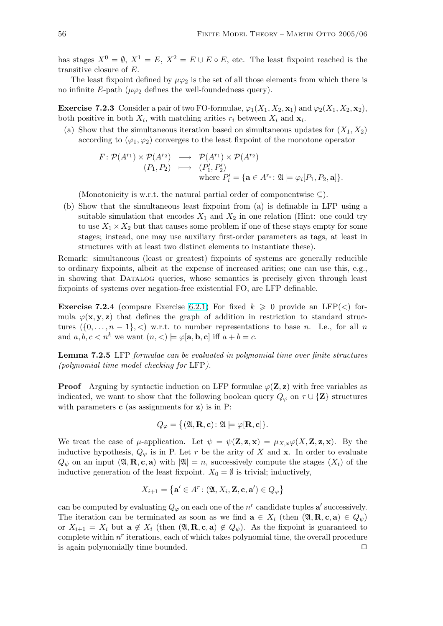<span id="page-57-0"></span>has stages  $X^0 = \emptyset$ ,  $X^1 = E$ ,  $X^2 = E \cup E \circ E$ , etc. The least fixpoint reached is the transitive closure of E.

56 Finite Model Theory – Martin Otto 2005/06

The least fixpoint defined by  $\mu \varphi_2$  is the set of all those elements from which there is no infinite E-path ( $\mu\varphi_2$  defines the well-foundedness query).

**Exercise 7.2.3** Consider a pair of two FO-formulae,  $\varphi_1(X_1, X_2, \mathbf{x}_1)$  and  $\varphi_2(X_1, X_2, \mathbf{x}_2)$ , both positive in both  $X_i$ , with matching arities  $r_i$  between  $X_i$  and  $\mathbf{x}_i$ .

(a) Show that the simultaneous iteration based on simultaneous updates for  $(X_1, X_2)$ according to  $(\varphi_1, \varphi_2)$  converges to the least fixpoint of the monotone operator

$$
F: \mathcal{P}(A^{r_1}) \times \mathcal{P}(A^{r_2}) \longrightarrow \mathcal{P}(A^{r_1}) \times \mathcal{P}(A^{r_2})
$$
  
\n
$$
(P_1, P_2) \longrightarrow (P'_1, P'_2)
$$
  
\nwhere  $P'_i = {\mathbf{a} \in A^{r_i} : \mathfrak{A} \models \varphi_i[P_1, P_2, \mathbf{a}] }.$ 

(Monotonicity is w.r.t. the natural partial order of componentwise  $\subseteq$ ).

(b) Show that the simultaneous least fixpoint from (a) is definable in LFP using a suitable simulation that encodes  $X_1$  and  $X_2$  in one relation (Hint: one could try to use  $X_1 \times X_2$  but that causes some problem if one of these stays empty for some stages; instead, one may use auxiliary first-order parameters as tags, at least in structures with at least two distinct elements to instantiate these).

Remark: simultaneous (least or greatest) fixpoints of systems are generally reducible to ordinary fixpoints, albeit at the expense of increased arities; one can use this, e.g., in showing that Datalog queries, whose semantics is precisely given through least fixpoints of systems over negation-free existential FO, are LFP definable.

**Exercise 7.2.4** (compare Exercise 6.2.1) For fixed  $k \geq 0$  provide an LFP( $\lt$ ) formula  $\varphi(\mathbf{x}, \mathbf{y}, \mathbf{z})$  that defines the graph of addition in restriction to standard structures  $({0, \ldots, n-1}, <)$  w.r.t. to number representations to base n. I.e., for all n and  $a, b, c < n^k$  $a, b, c < n^k$  $a, b, c < n^k$  we want  $(n, <) \models \varphi[\mathbf{a}, \mathbf{b}, \mathbf{c}]$  iff  $a + b = c$ .

Lemma 7.2.5 LFP formulae can be evaluated in polynomial time over finite structures (polynomial time model checking for LFP).

**Proof** Arguing by syntactic induction on LFP formulae  $\varphi(\mathbf{Z}, \mathbf{z})$  with free variables as indicated, we want to show that the following boolean query  $Q_{\varphi}$  on  $\tau \cup {\mathbf{Z}}$  structures with parameters  $\bf{c}$  (as assignments for  $\bf{z}$ ) is in P:

$$
Q_{\varphi} = \{ (\mathfrak{A}, \mathbf{R}, \mathbf{c}) : \mathfrak{A} \models \varphi[\mathbf{R}, \mathbf{c}] \}.
$$

We treat the case of  $\mu$ -application. Let  $\psi = \psi(\mathbf{Z}, \mathbf{z}, \mathbf{x}) = \mu_{X, \mathbf{x}} \varphi(X, \mathbf{Z}, \mathbf{z}, \mathbf{x})$ . By the inductive hypothesis,  $Q_{\varphi}$  is in P. Let r be the arity of X and **x**. In order to evaluate  $Q_{\psi}$  on an input  $(\mathfrak{A}, \mathbf{R}, \mathbf{c}, \mathbf{a})$  with  $|\mathfrak{A}| = n$ , successively compute the stages  $(X_i)$  of the inductive generation of the least fixpoint.  $X_0 = \emptyset$  is trivial; inductively,

$$
X_{i+1} = \{ \mathbf{a}' \in A^r : (\mathfrak{A}, X_i, \mathbf{Z}, \mathbf{c}, \mathbf{a}') \in Q_{\varphi} \}
$$

can be computed by evaluating  $Q_{\varphi}$  on each one of the  $n^r$  candidate tuples  $\mathbf{a}'$  successively. The iteration can be terminated as soon as we find  $\mathbf{a} \in X_i$  (then  $(\mathfrak{A}, \mathbf{R}, \mathbf{c}, \mathbf{a}) \in Q_{\psi}$ ) or  $X_{i+1} = X_i$  but  $\mathbf{a} \notin X_i$  (then  $(\mathfrak{A}, \mathbf{R}, \mathbf{c}, \mathbf{a}) \notin Q_{\psi}$ ). As the fixpoint is guaranteed to complete within  $n^r$  iterations, each of which takes polynomial time, the overall procedure is again polynomially time bounded.  $\Box$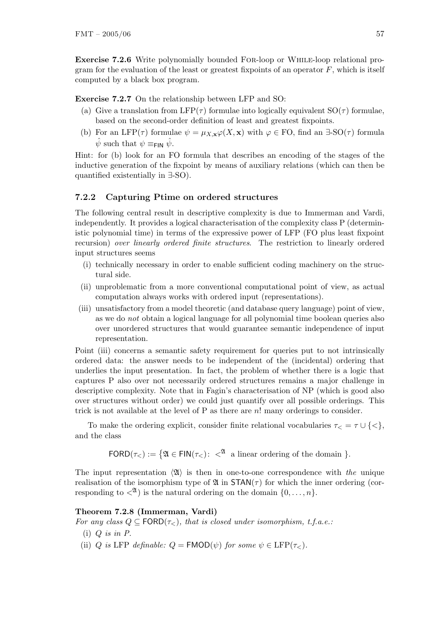<span id="page-58-0"></span>Exercise 7.2.6 Write polynomially bounded For-loop or While-loop relational program for the evaluation of the least or greatest fixpoints of an operator  $F$ , which is itself computed by a black box program.

Exercise 7.2.7 On the relationship between LFP and SO:

- (a) Give a translation from  $LFP(\tau)$  formulae into logically equivalent  $SO(\tau)$  formulae. based on the second-order definition of least and greatest fixpoints.
- (b) For an LFP( $\tau$ ) formulae  $\psi = \mu_{X,\mathbf{x}}\varphi(X,\mathbf{x})$  with  $\varphi \in \mathrm{FO}$ , find an  $\exists$ -SO( $\tau$ ) formula  $\hat{\psi}$  such that  $\psi \equiv_{\text{FIN}} \hat{\psi}$ .

Hint: for (b) look for an FO formula that describes an encoding of the stages of the inductive generation of the fixpoint by means of auxiliary relations (which can then be quantified existentially in ∃-SO).

### 7.2.2 Capturing Ptime on ordered structures

The following central result in descriptive complexity is due to Immerman and Vardi, independently. It provides a logical characterisation of the complexity class P (deterministic polynomial time) in terms of the expressive power of LFP (FO plus least fixpoint recursion) over linearly ordered finite structures. The restriction to linearly ordered input structures seems

- (i) technically necessary in order to enable sufficient coding machinery on the structural side.
- (ii) unproblematic from a more conventional computational point of view, as actual computation always works with ordered input (representations).
- (iii) unsatisfactory from a model theoretic (and database query language) point of view, as we do not obtain a logical language for all polynomial time boolean queries also over unordered structures that would guarantee semantic independence of input representation.

Point (iii) concerns a semantic safety requirement for queries put to not intrinsically ordered data: the answer needs to be independent of the (incidental) ordering that underlies the input presentation. In fact, the problem of whether there is a logic that captures P also over not necessarily ordered structures remains a major challenge in descriptive complexity. Note that in Fagin's characterisation of NP (which is good also over structures without order) we could just quantify over all possible orderings. This trick is not available at the level of P as there are n! many orderings to consider.

To make the ordering explicit, consider finite relational vocabularies  $\tau_{\leq} = \tau \cup \{ \leq \},\$ and the class

 $FORD(\tau_<):=\{ \mathfrak{A} \in FIN(\tau_<)\colon \right.^{\mathfrak{A}}$  a linear ordering of the domain }.

The input representation  $\langle \mathfrak{A} \rangle$  is then in one-to-one correspondence with the unique realisation of the isomorphism type of  $\mathfrak A$  in  $STAN(\tau)$  for which the inner ordering (corresponding to  $\langle \mathcal{A} \rangle$  is the natural ordering on the domain  $\{0, \ldots, n\}$ .

#### Theorem 7.2.8 (Immerman, Vardi)

For any class  $Q \subseteq \text{FORD}(\tau_<)$ , that is closed under isomorphism, t.f.a.e.:

- $(i)$  Q is in P.
- (ii) Q is LFP definable:  $Q = \text{FMOD}(\psi)$  for some  $\psi \in \text{LFP}(\tau_{\leq}).$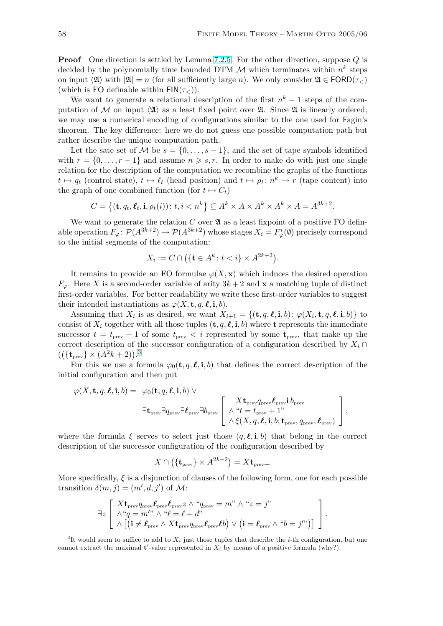Proof One direction is settled by Lemma 7.2.5. For the other direction, suppose Q is decided by the polynomially time bounded DTM  $\mathcal M$  which terminates within  $n^k$  steps on input  $\langle \mathfrak{A} \rangle$  with  $|\mathfrak{A}| = n$  (for all sufficiently large n). We only consider  $\mathfrak{A} \in \mathsf{FORD}(\tau_<)$ (which is FO definable within  $FIN(\tau_<)$ ).

We want to generate a relational descr[iption](#page-57-0) of the first  $n<sup>k</sup> - 1$  steps of the computation of M on input  $\langle \mathfrak{A} \rangle$  as a least fixed point over  $\mathfrak{A}$ . Since  $\mathfrak{A}$  is linearly ordered, we may use a numerical encoding of configurations similar to the one used for Fagin's theorem. The key difference: here we do not guess one possible computation path but rather describe the unique computation path.

Let the sate set of M be  $s = \{0, \ldots, s-1\}$ , and the set of tape symbols identified with  $r = \{0, \ldots, r-1\}$  and assume  $n \geqslant s, r$ . In order to make do with just one single relation for the description of the computation we recombine the graphs of the functions  $t \mapsto q_t$  (control state),  $t \mapsto \ell_t$  (head position) and  $t \mapsto \rho_t : n^k \to r$  (tape content) into the graph of one combined function (for  $t \mapsto C_t$ )

$$
C = \left\{ (\mathbf{t}, q_t, \boldsymbol{\ell}_t, \mathbf{i}, \rho_t(i)) : t, i < n^k \right\} \subseteq A^k \times A \times A^k \times A^k \times A = A^{3k+2}.
$$

We want to generate the relation C over  $\mathfrak A$  as a least fixpoint of a positive FO definable operation  $F_{\varphi} \colon \mathcal{P}(A^{3k+2}) \to \mathcal{P}(A^{3k+2})$  whose stages  $X_i = F_{\varphi}^i(\emptyset)$  precisely correspond to the initial segments of the computation:

$$
X_i := C \cap \left( \{ \mathbf{t} \in A^k \colon t < i \} \times A^{2k+2} \right).
$$

It remains to provide an FO formulae  $\varphi(X, x)$  which induces the desired operation  $F_{\varphi}$ . Here X is a second-order variable of arity  $3k + 2$  and **x** a matching tuple of distinct first-order variables. For better readability we write these first-order variables to suggest their intended instantiations as  $\varphi(X, \mathbf{t}, q, \ell, \mathbf{i}, b)$ .

Assuming that  $X_i$  is as desired, we want  $X_{i+1} = \{(\mathbf{t}, q, \ell, \mathbf{i}, b) : \varphi(X_i, \mathbf{t}, q, \ell, \mathbf{i}, b)\}\)$ consist of  $X_i$  together with all those tuples  $(\mathbf{t}, q, \ell, \mathbf{i}, b)$  where t represents the immediate successor  $t = t_{\text{prev}} + 1$  of some  $t_{\text{prev}} < i$  represented by some  $t_{\text{prev}}$ , that make up the correct description of the successor configuration of a configuration described by  $X_i \cap$ correct description of the  $(\{\mathbf{t}_{\text{prev}}\} \times (A^2k+2))^3$ 

For this we use a formula  $\varphi_0(\mathbf{t}, q, \ell, \mathbf{i}, b)$  that defines the correct description of the initial configuration and then put

$$
\varphi(X, \mathbf{t}, q, \boldsymbol{\ell}, \mathbf{i}, b) = \varphi_0(\mathbf{t}, q, \boldsymbol{\ell}, \mathbf{i}, b) \vee \n\exists \mathbf{t}_{\text{prev}} \exists q_{\text{prev}} \exists \ell_{\text{prev}} \exists b_{\text{prev}} \left[ \begin{array}{c} X \mathbf{t}_{\text{prev}} q_{\text{prev}} \ell_{\text{prev}} \mathbf{i} b_{\text{prev}} \\ \wedge \# t = t_{\text{prev}} + 1" \\ \wedge \xi(X, q, \boldsymbol{\ell}, \mathbf{i}, b; \mathbf{t}_{\text{prev}}, q_{\text{prev}}, \boldsymbol{\ell}_{\text{prev}}) \end{array} \right],
$$

where the formula  $\xi$  serves to select just those  $(q, \ell, i, b)$  that belong in the correct description of the successor configuration of the configuration described by

$$
X \cap (\{\mathbf{t}_{\text{prev}}\} \times A^{2k+2}) = X \mathbf{t}_{\text{prev-}}.
$$

More specifically,  $\xi$  is a disjunction of clauses of the following form, one for each possible transition  $\delta(m, j) = (m', d, j')$  of M:

$$
\exists z \left[ \begin{array}{l} X \mathbf{t}_{\mathrm{prev}} q_{\mathrm{prev}} \boldsymbol{\ell}_{\mathrm{prev}} z \wedge "q_{\mathrm{prev}} = m" \wedge "z = j" \\ \wedge "q = m" \wedge "l = l + d" \\ \wedge \left[ (\mathbf{i} \neq \boldsymbol{\ell}_{\mathrm{prev}} \wedge X \mathbf{t}_{\mathrm{prev}} q_{\mathrm{prev}} \boldsymbol{\ell}_{\mathrm{prev}} \boldsymbol{\ell}) \vee (\mathbf{i} = \boldsymbol{\ell}_{\mathrm{prev}} \wedge "b = j") \right] \end{array} \right].
$$

<sup>&</sup>lt;sup>3</sup>It would seem to suffice to add to  $X_i$  just those tuples that describe the *i*-th configuration, but one cannot extract the maximal  $t'$ -value represented in  $X_i$  by means of a positive formula (why?).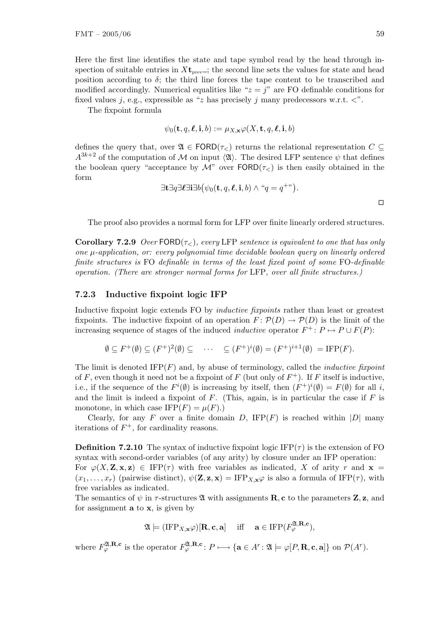<span id="page-60-0"></span>Here the first line identifies the state and tape symbol read by the head through inspection of suitable entries in  $Xt_{prev}$ ; the second line sets the values for state and head position according to  $\delta$ ; the third line forces the tape content to be transcribed and modified accordingly. Numerical equalities like " $z = j$ " are FO definable conditions for fixed values j, e.g., expressible as "z has precisely j many predecessors w.r.t.  $\langle$ ".

The fixpoint formula

$$
\psi_0({\bf t},q,\boldsymbol{\ell},{\bf i},b):=\mu_{X,\mathbf{x}}\varphi(X,{\bf t},q,\boldsymbol{\ell},{\bf i},b)
$$

defines the query that, over  $\mathfrak{A} \in \text{FORD}(\tau_{\leq})$  returns the relational representation  $C \subseteq$  $A^{3k+2}$  of the computation of M on input  $\langle \mathfrak{A} \rangle$ . The desired LFP sentence  $\psi$  that defines the boolean query "acceptance by  $\mathcal{M}$ " over  $FORD(\tau_{\leq})$  is then easily obtained in the form ¡ ¢

$$
\exists \mathbf{t} \exists q \exists \ell \exists \mathbf{i} \exists b \big( \psi_0(\mathbf{t}, q, \boldsymbol{\ell}, \mathbf{i}, b) \wedge "q = q^{+}) \big).
$$

The proof also provides a normal form for LFP over finite linearly ordered structures.

**Corollary 7.2.9** Over  $FORD(\tau_<)$ , every LFP sentence is equivalent to one that has only one  $\mu$ -application, or: every polynomial time decidable boolean query on linearly ordered finite structures is FO definable in terms of the least fixed point of some FO-definable operation. (There are stronger normal forms for LFP, over all finite structures.)

### 7.2.3 Inductive fixpoint logic IFP

Inductive fixpoint logic extends FO by *inductive fixpoints* rather than least or greatest fixpoints. The inductive fixpoint of an operation  $F: \mathcal{P}(D) \to \mathcal{P}(D)$  is the limit of the increasing sequence of stages of the induced *inductive* operator  $F^+$ :  $P \mapsto P \cup F(P)$ :

$$
\emptyset \subseteq F^+(\emptyset) \subseteq (F^+)^2(\emptyset) \subseteq \cdots \subseteq (F^+)^i(\emptyset) = (F^+)^{i+1}(\emptyset) = \text{IFP}(F).
$$

The limit is denoted IFP $(F)$  and, by abuse of terminology, called the *inductive fixpoint* of F, even though it need not be a fixpoint of F (but only of  $F^+$ ). If F itself is inductive, i.e., if the sequence of the  $F^i(\emptyset)$  is increasing by itself, then  $(F^+)^i(\emptyset) = F(\emptyset)$  for all i, and the limit is indeed a fixpoint of  $F$ . (This, again, is in particular the case if  $F$  is monotone, in which case  $IFP(F) = \mu(F)$ .

Clearly, for any F over a finite domain D,  $IFP(F)$  is reached within |D| many iterations of  $F^+$ , for cardinality reasons.

**Definition 7.2.10** The syntax of inductive fixpoint logic IFP( $\tau$ ) is the extension of FO syntax with second-order variables (of any arity) by closure under an IFP operation: For  $\varphi(X, \mathbf{Z}, \mathbf{x}, \mathbf{z}) \in \text{IFP}(\tau)$  with free variables as indicated, X of arity r and  $\mathbf{x} =$  $(x_1, \ldots, x_r)$  (pairwise distinct),  $\psi(\mathbf{Z}, \mathbf{z}, \mathbf{x}) = \text{IFP}_{X, \mathbf{x}} \varphi$  is also a formula of IFP( $\tau$ ), with free variables as indicated.

The semantics of  $\psi$  in  $\tau$ -structures  $\mathfrak{A}$  with assignments **R**, c to the parameters **Z**, z, and for assignment  $\bf{a}$  to  $\bf{x}$ , is given by

$$
\mathfrak{A} \models (\mathrm{IFP}_{X,\mathbf{x}} \varphi)[\mathbf{R}, \mathbf{c}, \mathbf{a}] \quad \text{ iff } \quad \mathbf{a} \in \mathrm{IFP}(F^{\mathfrak{A},\mathbf{R},\mathbf{c}}_{\varphi}),
$$

where  $F^{\mathfrak{A},\mathbf{R},\mathbf{c}}_{\varphi}$  is the operator  $F^{\mathfrak{A},\mathbf{R},\mathbf{c}}_{\varphi}: P \longmapsto {\mathbf{a} \in A^r : \mathfrak{A} \models \varphi[P,\mathbf{R},\mathbf{c},\mathbf{a}]}$  on  $\mathcal{P}(A^r)$ .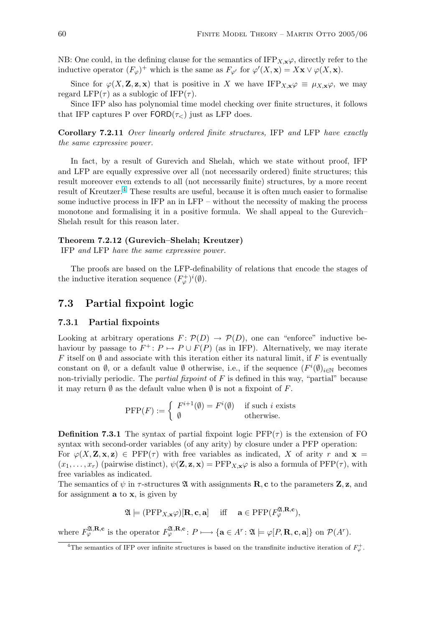<span id="page-61-0"></span>NB: One could, in the defining clause for the semantics of  $IFP_{X,\mathbf{x}}\varphi$ , directly refer to the inductive operator  $(F_{\varphi})^+$  which is the same as  $F_{\varphi'}$  for  $\varphi'(X, \mathbf{x}) = X\mathbf{x} \vee \varphi(X, \mathbf{x})$ .

Since for  $\varphi(X, \mathbf{Z}, \mathbf{z}, \mathbf{x})$  that is positive in X we have IFP $_{X,\mathbf{x}}\varphi \equiv \mu_{X,\mathbf{x}}\varphi$ , we may regard LFP( $\tau$ ) as a sublogic of IFP( $\tau$ ).

Since IFP also has polynomial time model checking over finite structures, it follows that IFP captures P over  $FORD(\tau_<)$  just as LFP does.

Corollary 7.2.11 Over linearly ordered finite structures, IFP and LFP have exactly the same expressive power.

In fact, by a result of Gurevich and Shelah, which we state without proof, IFP and LFP are equally expressive over all (not necessarily ordered) finite structures; this result moreover even extends to all (not necessarily finite) structures, by a more recent result of Kreutzer.<sup>4</sup> These results are useful, because it is often much easier to formalise some inductive process in IFP an in LFP – without the necessity of making the process monotone and formalising it in a positive formula. We shall appeal to the Gurevich– Shelah result for this reason later.

#### Theorem 7.2.12 (Gurevich–Shelah; Kreutzer)

IFP and LFP have the same expressive power.

The proofs are based on the LFP-definability of relations that encode the stages of the inductive iteration sequence  $(F_{\varphi}^+)^i(\emptyset)$ .

## 7.3 Partial fixpoint logic

#### 7.3.1 Partial fixpoints

Looking at arbitrary operations  $F: \mathcal{P}(D) \to \mathcal{P}(D)$ , one can "enforce" inductive behaviour by passage to  $F^+$ :  $P \mapsto P \cup F(P)$  (as in IFP). Alternatively, we may iterate F itself on  $\emptyset$  and associate with this iteration either its natural limit, if F is eventually constant on  $\emptyset$ , or a default value  $\emptyset$  otherwise, i.e., if the sequence  $(F^{i}(\emptyset)_{i\in\mathbb{N}})$  becomes non-trivially periodic. The partial fixpoint of  $F$  is defined in this way, "partial" because it may return  $\emptyset$  as the default value when  $\emptyset$  is not a fixpoint of F.

$$
\text{PFP}(F) := \begin{cases} F^{i+1}(\emptyset) = F^i(\emptyset) & \text{if such } i \text{ exists} \\ \emptyset & \text{otherwise.} \end{cases}
$$

**Definition 7.3.1** The syntax of partial fixpoint logic  $\text{PFP}(\tau)$  is the extension of FO syntax with second-order variables (of any arity) by closure under a PFP operation: For  $\varphi(X, \mathbf{Z}, \mathbf{x}, \mathbf{z}) \in \text{PFP}(\tau)$  with free variables as indicated, X of arity r and  $\mathbf{x} =$  $(x_1, \ldots, x_r)$  (pairwise distinct),  $\psi(\mathbf{Z}, \mathbf{z}, \mathbf{x}) = \text{PFP}_{X, \mathbf{x}} \varphi$  is also a formula of  $\text{PFP}(\tau)$ , with free variables as indicated.

The semantics of  $\psi$  in  $\tau$ -structures  $\mathfrak{A}$  with assignments **R**, c to the parameters **Z**, z, and for assignment  $\bf{a}$  to  $\bf{x}$ , is given by

$$
\mathfrak{A} \models (\operatorname{PFP}_{X, \mathbf{x}} \varphi)[\mathbf{R}, \mathbf{c}, \mathbf{a}] \quad \text{ iff } \quad \mathbf{a} \in \operatorname{PFP}(F^{\mathfrak{A}, \mathbf{R}, \mathbf{c}}_{\varphi}),
$$

where  $F^{\mathfrak{A},\mathbf{R},\mathbf{c}}_{\varphi}$  is the operator  $F^{\mathfrak{A},\mathbf{R},\mathbf{c}}_{\varphi}: P \longmapsto {\mathbf{a} \in A^r : \mathfrak{A} \models \varphi[P,\mathbf{R},\mathbf{c},\mathbf{a}]}$  on  $\mathcal{P}(A^r)$ .

<sup>&</sup>lt;sup>4</sup>The semantics of IFP over infinite structures is based on the transfinite inductive iteration of  $F^+_{\varphi}$ .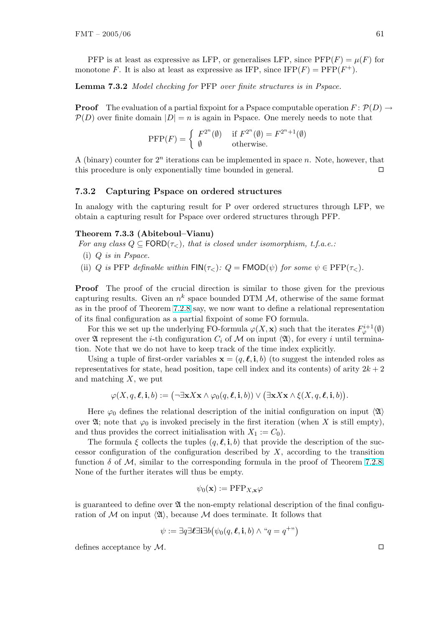PFP is at least as expressive as LFP, or generalises LFP, since  $PFP(F) = \mu(F)$  for monotone F. It is also at least as expressive as IFP, since  $IFP(F) = PFP(F^+)$ .

<span id="page-62-0"></span> $\mathcal{F}_{\mathcal{A}}$  ,  $\mathcal{F}_{\mathcal{A}}$  ,  $\mathcal{F}_{\mathcal{A}}$  ,  $\mathcal{F}_{\mathcal{A}}$  ,  $\mathcal{F}_{\mathcal{A}}$  ,  $\mathcal{F}_{\mathcal{A}}$  ,  $\mathcal{F}_{\mathcal{A}}$  ,  $\mathcal{F}_{\mathcal{A}}$  ,  $\mathcal{F}_{\mathcal{A}}$  ,  $\mathcal{F}_{\mathcal{A}}$  ,  $\mathcal{F}_{\mathcal{A}}$  ,  $\mathcal{F}_{\mathcal{A}}$  ,  $\mathcal{F}_{\mathcal{A}}$  ,

Lemma 7.3.2 Model checking for PFP over finite structures is in Pspace.

**Proof** The evaluation of a partial fixpoint for a Pspace computable operation  $F: \mathcal{P}(D) \rightarrow$  $\mathcal{P}(D)$  over finite domain  $|D| = n$  is again in Pspace. One merely needs to note that

$$
\text{PFP}(F) = \begin{cases} F^{2^n}(\emptyset) & \text{if } F^{2^n}(\emptyset) = F^{2^n+1}(\emptyset) \\ \emptyset & \text{otherwise.} \end{cases}
$$

A (binary) counter for  $2^n$  iterations can be implemented in space n. Note, however, that this procedure is only exponentially time bounded in general.  $\Box$ 

#### 7.3.2 Capturing Pspace on ordered structures

In analogy with the capturing result for P over ordered structures through LFP, we obtain a capturing result for Pspace over ordered structures through PFP.

### Theorem 7.3.3 (Abiteboul–Vianu)

For any class  $Q \subseteq \text{FORD}(\tau_<)$ , that is closed under isomorphism, t.f.a.e.:

(i) Q is in Pspace.

(ii) Q is PFP definable within  $\text{FIN}(\tau_<)$ :  $Q = \text{FMOD}(\psi)$  for some  $\psi \in \text{PFP}(\tau_<)$ .

Proof The proof of the crucial direction is similar to those given for the previous capturing results. Given an  $n^k$  space bounded DTM  $\mathcal{M}$ , otherwise of the same format as in the proof of Theorem 7.2.8 say, we now want to define a relational representation of its final configuration as a partial fixpoint of some FO formula.

For this we set up the underlying FO-formula  $\varphi(X, \mathbf{x})$  such that the iterates  $F^{i+1}_{\varphi}(\emptyset)$ over  $\mathfrak A$  represent the *i*-th configuration  $C_i$  of  $\mathcal M$  on input  $\langle \mathfrak A \rangle$ , for every *i* until termination. Note that we do not [have t](#page-58-0)o keep track of the time index explicitly.

Using a tuple of first-order variables  $\mathbf{x} = (q, \ell, \mathbf{i}, b)$  (to suggest the intended roles as representatives for state, head position, tape cell index and its contents) of arity  $2k + 2$ and matching  $X$ , we put

$$
\varphi(X,q,\boldsymbol{\ell},\mathbf{i},b) := \big(\neg \exists \mathbf{x} X \mathbf{x} \land \varphi_0(q,\boldsymbol{\ell},\mathbf{i},b)\big) \lor \big(\exists \mathbf{x} X \mathbf{x} \land \xi(X,q,\boldsymbol{\ell},\mathbf{i},b)\big).
$$

Here  $\varphi_0$  defines the relational description of the initial configuration on input  $\langle \mathfrak{A} \rangle$ over  $\mathfrak{A}$ ; note that  $\varphi_0$  is invoked precisely in the first iteration (when X is still empty), and thus provides the correct initialisation with  $X_1 := C_0$ .

The formula  $\xi$  collects the tuples  $(q, \ell, \mathbf{i}, b)$  that provide the description of the successor configuration of the configuration described by  $X$ , according to the transition function  $\delta$  of M, similar to the corresponding formula in the proof of Theorem 7.2.8. None of the further iterates will thus be empty.

$$
\psi_0(\mathbf{x}) := \mathrm{PFP}_{X, \mathbf{x}} \varphi
$$

is guaranteed to define over  $\mathfrak A$  the non-empty relational description of the final co[nfigu](#page-58-0)ration of M on input  $\langle \mathfrak{A} \rangle$ , because M does terminate. It follows that

$$
\psi := \exists q \exists \ell \exists \mathbf{i} \exists b (\psi_0(q, \ell, \mathbf{i}, b) \land \text{``} q = q^{+\text{''}})
$$

defines acceptance by  $M$ .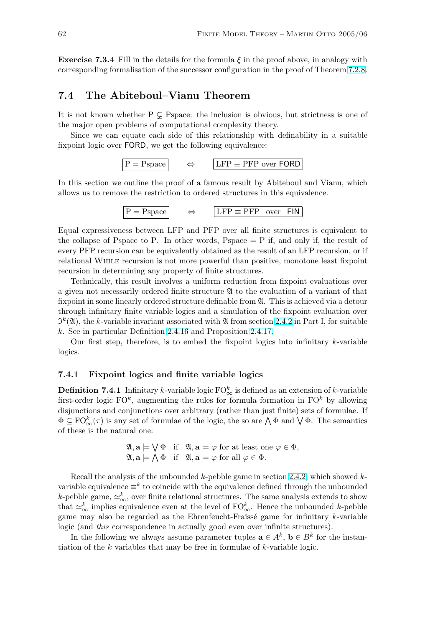# <span id="page-63-0"></span>7.4 The Abiteboul–Vianu Theorem

It is not known whether  $P \subsetneq P$  space: the inclusion is obvious, but strictness is one of the major open problems of computational complexity theory.

Since we can equate each side of this relationship with definability in a suitable fixpoint logic over FORD, we get the following equivalence:

$$
P = \text{Pspace} \qquad \Leftrightarrow \qquad \boxed{\text{LFP} \equiv \text{PFP over FORD}}
$$

In this section we outline the proof of a famous result by Abiteboul and Vianu, which allows us to remove the restriction to ordered structures in this equivalence.

$$
P = \text{Pspace} \qquad \Leftrightarrow \qquad \boxed{\text{LFP} \equiv \text{PFP} \quad \text{over} \quad \text{FIN}}
$$

Equal expressiveness between LFP and PFP over all finite structures is equivalent to the collapse of Pspace to P. In other words, Pspace  $=$  P if, and only if, the result of every PFP recursion can be equivalently obtained as the result of an LFP recursion, or if relational While recursion is not more powerful than positive, monotone least fixpoint recursion in determining any property of finite structures.

Technically, this result involves a uniform reduction from fixpoint evaluations over a given not necessarily ordered finite structure  $\mathfrak A$  to the evaluation of a variant of that fixpoint in some linearly ordered structure definable from A. This is achieved via a detour through infinitary finite variable logics and a simulation of the fixpoint evaluation over  $\mathfrak{I}^k(\mathfrak{A})$ , the k-variable invariant associated with  $\mathfrak{A}$  from section 2.4.2 in Part I, for suitable k. See in particular Definition 2.4.16 and Proposition 2.4.17.

Our first step, therefore, is to embed the fixpoint logics into infinitary  $k$ -variable logics.

### 7.4.1 Fixpoint logics a[nd fini](#page-30-0)te variable lo[gics](#page-30-0)

**Definition 7.4.1** Infinitary *k*-variable logic  $\mathrm{FO}_{\infty}^k$  is defined as an extension of *k*-variable first-order logic FO<sup>k</sup>, augmenting the rules for formula formation in FO<sup>k</sup> by allowing disjunctions and conjunctions over arbitrary (rather than just finite) sets of formulae. If  $\Phi \subseteq \mathrm{FO}_{\infty}^k(\tau)$  is any set of formulae of the logic, the so are  $\bigwedge \Phi$  and  $\bigvee \Phi$ . The semantics of these is the natural one:

$$
\mathfrak{A}, \mathbf{a} \models \bigvee \Phi \quad \text{if} \quad \mathfrak{A}, \mathbf{a} \models \varphi \text{ for at least one } \varphi \in \Phi,
$$
  

$$
\mathfrak{A}, \mathbf{a} \models \bigwedge \Phi \quad \text{if} \quad \mathfrak{A}, \mathbf{a} \models \varphi \text{ for all } \varphi \in \Phi.
$$

Recall the analysis of the unbounded k-pebble game in section 2.4.2, which showed  $k$ variable equivalence  $\equiv^k$  to coincide with the equivalence defined through the unbounded k-pebble game,  $\simeq^k_{\infty}$ , over finite relational structures. The same analysis extends to show that  $\simeq^k_{\infty}$  implies equivalence even at the level of FO<sub> $infty$ </sub>. Hence the unbounded k-pebble game may also be regarded as the Ehrenfeucht-Fraüssé game f[or infi](#page-27-0)nitary  $k$ -variable logic (and this correspondence in actually good even over infinite structures).

In the following we always assume parameter tuples  $\mathbf{a} \in A^k$ ,  $\mathbf{b} \in B^k$  for the instantiation of the  $k$  variables that may be free in formulae of  $k$ -variable logic.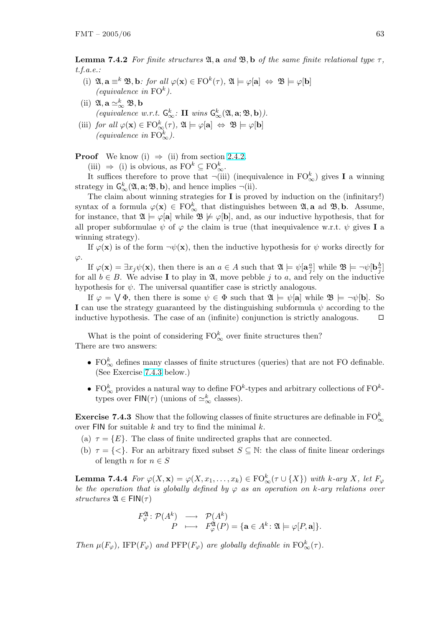$\mathcal{F}_{\mathcal{A}}$  ,  $\mathcal{F}_{\mathcal{A}}$  ,  $\mathcal{F}_{\mathcal{A}}$  ,  $\mathcal{F}_{\mathcal{A}}$  ,  $\mathcal{F}_{\mathcal{A}}$  ,  $\mathcal{F}_{\mathcal{A}}$  ,  $\mathcal{F}_{\mathcal{A}}$  ,  $\mathcal{F}_{\mathcal{A}}$  ,  $\mathcal{F}_{\mathcal{A}}$  ,  $\mathcal{F}_{\mathcal{A}}$  ,  $\mathcal{F}_{\mathcal{A}}$  ,  $\mathcal{F}_{\mathcal{A}}$  ,  $\mathcal{F}_{\mathcal{A}}$  ,

- (i)  $\mathfrak{A}, \mathbf{a} \equiv^k \mathfrak{B}, \mathbf{b}$ : for all  $\varphi(\mathbf{x}) \in \mathrm{FO}^k(\tau)$ ,  $\mathfrak{A} \models \varphi[\mathbf{a}] \Leftrightarrow \mathfrak{B} \models \varphi[\mathbf{b}]$ (equivalence in  $FO^k$ ).
- (ii)  $\mathfrak{A}, \mathbf{a} \simeq_{\infty}^k \mathfrak{B}, \mathbf{b}$ (equivalence w.r.t.  $G_{\infty}^k$ : **II** wins  $G_{\infty}^k(\mathfrak{A}, \mathbf{a}; \mathfrak{B}, \mathbf{b})$ ).
- (iii) for all  $\varphi(\mathbf{x}) \in \mathrm{FO}^k_{\infty}(\tau)$ ,  $\mathfrak{A} \models \varphi[\mathbf{a}] \Leftrightarrow \mathfrak{B} \models \varphi[\mathbf{b}]$ (equivalence in  $\mathrm{FO}_{\infty}^k$ ).

**Proof** We know (i)  $\Rightarrow$  (ii) from section 2.4.2.

(iii)  $\Rightarrow$  (i) is obvious, as  $FO^k \subseteq FO^k_{\infty}$ .

It suffices therefore to prove that  $\neg(iii)$  (inequivalence in  $FO_{\infty}^k$ ) gives **I** a winning strategy in  $\mathsf{G}^k_\infty(\mathfrak{A}, \mathbf{a}; \mathfrak{B}, \mathbf{b})$ , and hence implies  $\neg$ (ii).

The claim about winning strategies for I [is p](#page-27-0)roved by induction on the (infinitary!) syntax of a formula  $\varphi(\mathbf{x}) \in \mathrm{FO}_{\infty}^k$  that distinguishes between  $\mathfrak{A}, \mathbf{a}$  ad  $\mathfrak{B}, \mathbf{b}$ . Assume, for instance, that  $\mathfrak{A} \models \varphi[\mathbf{a}]$  while  $\mathfrak{B} \not\models \varphi[\mathbf{b}]$ , and, as our inductive hypothesis, that for all proper subformulae  $\psi$  of  $\varphi$  the claim is true (that inequivalence w.r.t.  $\psi$  gives **I** a winning strategy).

If  $\varphi(\mathbf{x})$  is of the form  $\neg \psi(\mathbf{x})$ , then the inductive hypothesis for  $\psi$  works directly for  $\varphi$ .

If  $\varphi(\mathbf{x}) = \exists x_j \psi(\mathbf{x})$ , then there is an  $a \in A$  such that  $\mathfrak{A} \models \psi[\mathbf{a}^{\frac{a}{i}}]$  $\frac{a}{j}$ ] while  $\mathfrak{B} \models \neg \psi[\mathbf{b}^{\frac{b}{j}}]$  $rac{b}{j}]$ for all  $b \in B$ . We advise **I** to play in  $\mathfrak{A}$ , move pebble j to a, and rely on the inductive hypothesis for  $\psi$ . The universal quantifier case is strictly analogous.

If  $\varphi = \bigvee \Phi$ , then there is some  $\psi \in \Phi$  such that  $\mathfrak{A} \models \psi[\mathbf{a}]$  while  $\mathfrak{B} \models \neg \psi[\mathbf{b}]$ . So I can use the strategy guaranteed by the distinguishing subformula  $\psi$  according to the inductive hypothesis. The case of an (infinite) conjunction is strictly analogous.  $\Box$ 

What is the point of considering  $\mathrm{FO}^k_\infty$  over finite structures then? There are two answers:

- $FO_{\infty}^k$  defines many classes of finite structures (queries) that are not FO definable. (See Exercise 7.4.3 below.)
- FO<sup>k</sup><sub>o</sub> provides a natural way to define FO<sup>k</sup>-types and arbitrary collections of FO<sup>k</sup>types over  $\mathsf{FIN}(\tau)$  (unions of  $\simeq_{\infty}^k$  classes).

**Exercise 7.4.3** Show that the following classes of finite structures are definable in  $\mathrm{FO}_\infty^k$ over FIN for suitable  $k$  and try to find the minimal  $k$ .

- (a)  $\tau = \{E\}$ . The class of finite undirected graphs that are connected.
- (b)  $\tau = \{\langle\}\.$  For an arbitrary fixed subset  $S \subseteq \mathbb{N}$ : the class of finite linear orderings of length n for  $n \in S$

**Lemma 7.4.4** For  $\varphi(X, \mathbf{x}) = \varphi(X, x_1, \dots, x_k) \in \mathrm{FO}^k_\infty(\tau \cup \{X\})$  with k-ary X, let  $F_\varphi$ be the operation that is globally defined by  $\varphi$  as an operation on k-ary relations over structures  $\mathfrak{A} \in \mathsf{FIN}(\tau)$ 

$$
F_{\varphi}^{\mathfrak{A}} \colon \mathcal{P}(A^{k}) \longrightarrow \mathcal{P}(A^{k})
$$
  
\n
$$
P \longrightarrow F_{\varphi}^{\mathfrak{A}}(P) = \{ \mathbf{a} \in A^{k} \colon \mathfrak{A} \models \varphi[P, \mathbf{a}] \}.
$$

Then  $\mu(F_{\varphi})$ , IFP( $F_{\varphi}$ ) and PFP( $F_{\varphi}$ ) are globally definable in FO $^k_{\infty}(\tau)$ .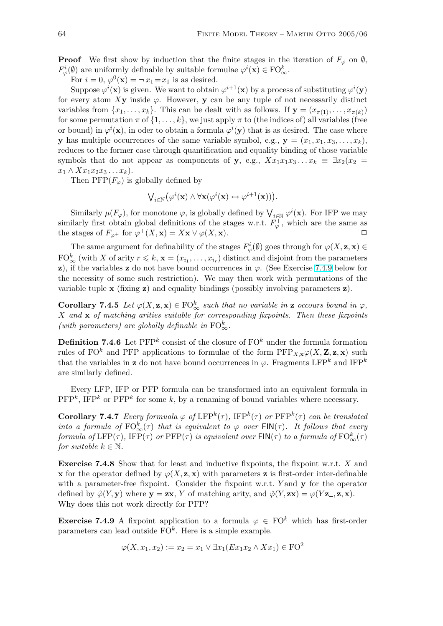64 Finite Model Theory – Martin Otto 2005/06

For  $i = 0$ ,  $\varphi^0(\mathbf{x}) = -x_1 = x_1$  is as desired.

Suppose  $\varphi^i(\mathbf{x})$  is given. We want to obtain  $\varphi^{i+1}(\mathbf{x})$  by a process of substituting  $\varphi^i(\mathbf{y})$ for every atom  $X$ y inside  $\varphi$ . However, y can be any tuple of not necessarily distinct variables from  $\{x_1, \ldots, x_k\}$ . This can be dealt with as follows. If  $\mathbf{y} = (x_{\pi(1)}, \ldots, x_{\pi(k)})$ for some permutation  $\pi$  of  $\{1, \ldots, k\}$ , we just apply  $\pi$  to (the indices of) all variables (free or bound) in  $\varphi^i(\mathbf{x})$ , in oder to obtain a formula  $\varphi^i(\mathbf{y})$  that is as desired. The case where **y** has multiple occurrences of the same variable symbol, e.g.,  $\mathbf{y} = (x_1, x_1, x_3, \dots, x_k)$ , reduces to the former case through quantification and equality binding of those variable symbols that do not appear as components of y, e.g.,  $Xx_1x_1x_3...x_k \equiv \exists x_2(x_2 =$  $x_1 \wedge Xx_1x_2x_3 \ldots x_k$ .

Then  $\text{PFP}(F_{\varphi})$  is globally defined by

$$
\bigvee\nolimits_{i\in\mathbb{N}}\bigl(\varphi^i(\mathbf{x})\wedge\forall \mathbf{x}\bigl(\varphi^i(\mathbf{x})\leftrightarrow\varphi^{i+1}(\mathbf{x})\bigr)\bigr).
$$

Similarly  $\mu(F_{\varphi})$ , for monotone  $\varphi$ , is globally defined by  $\bigvee_{i\in\mathbb{N}}\varphi^{i}(\mathbf{x})$ . For IFP we may similarly first obtain global definitions of the stages w.r.t.  $F_{\varphi}^{+}$ , which are the same as the stages of  $F_{\varphi^+}$  for  $\varphi^+(X, \mathbf{x}) = X\mathbf{x} \vee \varphi(X, \mathbf{x})$ .

The same argument for definability of the stages  $F^i_\varphi(\emptyset)$  goes through for  $\varphi(X, \mathbf{z}, \mathbf{x}) \in$  $\mathrm{FO}_{\infty}^k$  (with X of arity  $r \leqslant k$ ,  $\mathbf{x} = (x_{i_1}, \ldots, x_{i_r})$  distinct and disjoint from the parameters z), if the variables z do not have bound occurrences in  $\varphi$ . (See Exercise 7.4.9 below for the necessity of some such restriction). We may then work with permutations of the variable tuple  $\mathbf x$  (fixing  $\mathbf z$ ) and equality bindings (possibly involving parameters  $\mathbf z$ ).

**Corollary 7.4.5** Let  $\varphi(X, \mathbf{z}, \mathbf{x}) \in \mathrm{FO}_{\infty}^k$  such that no variable in **z** occours bound in  $\varphi$ ,  $X$  and  $x$  of matching arities suitable for corresponding fixpoints. Then these fixpoints (with parameters) are globally definable in  $\mathrm{FO}^\mathcal{k}_\infty.$ 

**Definition 7.4.6** Let  $\text{PFP}^k$  consist of the closure of  $\text{FO}^k$  under the formula formation rules of FO<sup>k</sup> and PFP applications to formulae of the form  $PFP_{X,\mathbf{x}}\varphi(X,\mathbf{Z},\mathbf{z},\mathbf{x})$  such that the variables in **z** do not have bound occurrences in  $\varphi$ . Fragments LFP<sup>k</sup> and IFP<sup>k</sup> are similarly defined.

Every LFP, IFP or PFP formula can be transformed into an equivalent formula in  $\text{PFP}^k$ , IFP<sup>k</sup> or PFP<sup>k</sup> for some k, by a renaming of bound variables where necessary.

**Corollary 7.4.7** Every formuala  $\varphi$  of LFP<sup>k</sup>( $\tau$ ), IFP<sup>k</sup>( $\tau$ ) or PFP<sup>k</sup>( $\tau$ ) can be translated into a formula of  $\mathrm{FO}^k_{\infty}(\tau)$  that is equivalent to  $\varphi$  over  $\mathsf{FIN}(\tau)$ . It follows that every formula of  $\text{LFP}(\tau)$ ,  $\text{IFP}(\tau)$  or  $\text{PFP}(\tau)$  is equivalent over  $\textsf{FIN}(\tau)$  to a formula of  $\text{FO}^k_\infty(\tau)$ for suitable  $k \in \mathbb{N}$ .

Exercise 7.4.8 Show that for least and inductive fixpoints, the fixpoint w.r.t. X and x for the operator defined by  $\varphi(X, \mathbf{z}, \mathbf{x})$  with parameters z is first-order inter-definable with a parameter-free fixpoint. Consider the fixpoint w.r.t. Y and y for the operator defined by  $\hat{\varphi}(Y, y)$  where  $y = zx$ , Y of matching arity, and  $\hat{\varphi}(Y, zx) = \varphi(Yz, x, x)$ . Why does this not work directly for PFP?

**Exercise 7.4.9** A fixpoint application to a formula  $\varphi \in \mathrm{FO}^k$  which has first-order parameters can lead outside  $FO<sup>k</sup>$ . Here is a simple example.

$$
\varphi(X, x_1, x_2) := x_2 = x_1 \lor \exists x_1 (Ex_1 x_2 \land X x_1) \in \mathrm{FO}^2
$$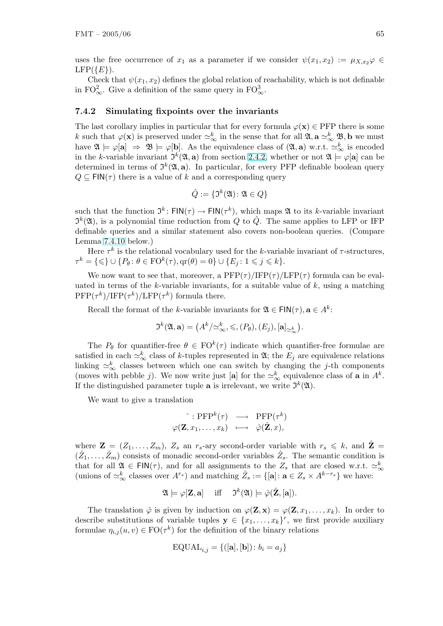uses the free occurrence of  $x_1$  as a parameter if we consider  $\psi(x_1, x_2) := \mu_{X,x_2} \varphi \in$  $LFP({E}).$ 

 $\mathcal{F}_{\mathcal{A}}$  ,  $\mathcal{F}_{\mathcal{A}}$  ,  $\mathcal{F}_{\mathcal{A}}$  ,  $\mathcal{F}_{\mathcal{A}}$  ,  $\mathcal{F}_{\mathcal{A}}$  ,  $\mathcal{F}_{\mathcal{A}}$  ,  $\mathcal{F}_{\mathcal{A}}$  ,  $\mathcal{F}_{\mathcal{A}}$  ,  $\mathcal{F}_{\mathcal{A}}$  ,  $\mathcal{F}_{\mathcal{A}}$  ,  $\mathcal{F}_{\mathcal{A}}$  ,  $\mathcal{F}_{\mathcal{A}}$  ,  $\mathcal{F}_{\mathcal{A}}$  ,

Check that  $\psi(x_1, x_2)$  defines the global relation of reachability, which is not definable in FO<sub> $\infty$ </sub>. Give a definition of the same query in FO<sub> $\infty$ </sub>.

#### 7.4.2 Simulating fixpoints over the invariants

The last corollary implies in particular that for every formula  $\varphi(\mathbf{x}) \in \mathrm{PFP}$  there is some k such that  $\varphi(\mathbf{x})$  is preserved under  $\sim_{\infty}^{k}$  in the sense that for all  $\mathfrak{A}, \mathbf{a} \sim_{\infty}^{k} \mathfrak{B}, \mathbf{b}$  we must have  $\mathfrak{A} \models \varphi[\mathbf{a}] \Rightarrow \mathfrak{B} \models \varphi[\mathbf{b}]$ . As the equivalence class of  $(\mathfrak{A}, \mathbf{a})$  w.r.t.  $\simeq_{\infty}^{k}$  is encoded in the k-variable invariant  $\mathfrak{I}^k(\mathfrak{A}, \mathbf{a})$  from section 2.4.2, whether or not  $\mathfrak{A} \models \varphi[\mathbf{a}]$  can be determined in terms of  $\mathfrak{I}^k(\mathfrak{A}, \mathbf{a})$ . In particular, for every PFP definable boolean query  $Q \subseteq FIN(\tau)$  there is a value of k and a corresponding query

$$
\hat{Q}:=\{\Im^k(\mathfrak{A})\colon \mathfrak{A}\in Q\}
$$

such that the function  $\mathfrak{I}^k$ :  $\text{FIN}(\tau) \to \text{FIN}(\tau^k)$ , which maps  $\mathfrak A$  to its k-variable invariant  $\mathfrak{I}^k(\mathfrak{A})$ , is a polynomial time reduction from  $Q$  to  $\hat{Q}$ . The same applies to LFP or IFP definable queries and a similar statement also covers non-boolean queries. (Compare Lemma 7.4.10 below.)

Here  $\tau^k$  is the relational vocabulary used for the k-variable invariant of  $\tau$ -structures,  $\tau^k = \{\leqslant\} \cup \{P_\theta \colon \theta \in \mathrm{FO}^k(\tau), \mathrm{qr}(\theta) = 0\} \cup \{E_j \colon 1 \leqslant j \leqslant k\}.$ 

We [now wa](#page-67-0)nt to see that, moreover, a  $\text{PFP}(\tau)/\text{IFP}(\tau)/\text{LFP}(\tau)$  formula can be evaluated in terms of the k-variable invariants, for a suitable value of  $k$ , using a matching  $\text{PFP}(\tau^k)/\text{IFP}(\tau^k)/\text{LFP}(\tau^k)$  formula there.

Recall the format of the k-variable invariants for  $\mathfrak{A} \in \mathsf{FIN}(\tau)$ ,  $\mathbf{a} \in A^k$ :

$$
\mathfrak{I}^k(\mathfrak{A},\mathbf{a})=\big(A^k/\simeq_\infty^k,\leqslant,(P_\theta),(E_j),[\mathbf{a}]_{\simeq_\infty^k}\big).
$$

The  $P_{\theta}$  for quantifier-free  $\theta \in \mathrm{FO}^k(\tau)$  indicate which quantifier-free formulae are satisfied in each  $\sim_{\infty}^{k}$  class of k-tuples represented in  $\mathfrak{A}$ ; the  $E_j$  are equivalence relations linking  $\sim_{\infty}^{k}$  classes between which one can switch by changing the j-th components (moves with pebble j). We now write just [a] for the  $\sim_{\infty}^{k}$  equivalence class of a in  $A^{k}$ . If the distinguished parameter tuple **a** is irrelevant, we write  $\mathfrak{I}^k(\mathfrak{A})$ .

We want to give a translation

$$
\begin{array}{rccc}\n\hat{\cdot} : \operatorname{PFP}^k(\tau) & \longrightarrow & \operatorname{PFP}(\tau^k) \\
\varphi(\mathbf{Z}, x_1, \dots, x_k) & \longmapsto & \hat{\varphi}(\hat{\mathbf{Z}}, x),\n\end{array}
$$

where  $\mathbf{Z} = (Z_1, \ldots, Z_m)$ ,  $Z_s$  an  $r_s$ -ary second-order variable with  $r_s \leq k$ , and  $\mathbf{Z} =$  $(\hat{Z}_1,\ldots,\hat{Z}_m)$  consists of monadic second-order variables  $\hat{Z}_s$ . The semantic condition is that for all  $\mathfrak{A} \in \text{FIN}(\tau)$ , and for all assignments to the  $Z_s$  that are closed w.r.t.  $\simeq_{\infty}^k$ (unions of  $\sim_{\infty}^k$  classes over  $A^{r_s}$ ) and matching  $\hat{Z}_s := \{[\mathbf{a}] : \mathbf{a} \in Z_s \times A^{k-r_s}\}\$  we have:

$$
\mathfrak{A} \models \varphi[\mathbf{Z}, \mathbf{a}]
$$
 iff  $\mathfrak{I}^k(\mathfrak{A}) \models \hat{\varphi}(\hat{\mathbf{Z}}, [\mathbf{a}]).$ 

The translation  $\hat{\varphi}$  is given by induction on  $\varphi(\mathbf{Z}, \mathbf{x}) = \varphi(\mathbf{Z}, x_1, \dots, x_k)$ . In order to describe substitutions of variable tuples  $\mathbf{y} \in \{x_1, \ldots, x_k\}^r$ , we first provide auxiliary formulae  $\eta_{i,j}(u,v) \in \mathrm{FO}(\tau^k)$  for the definition of the binary relations

$$
EQUAL_{i,j} = \{([\mathbf{a}], [\mathbf{b}]): b_i = a_j\}
$$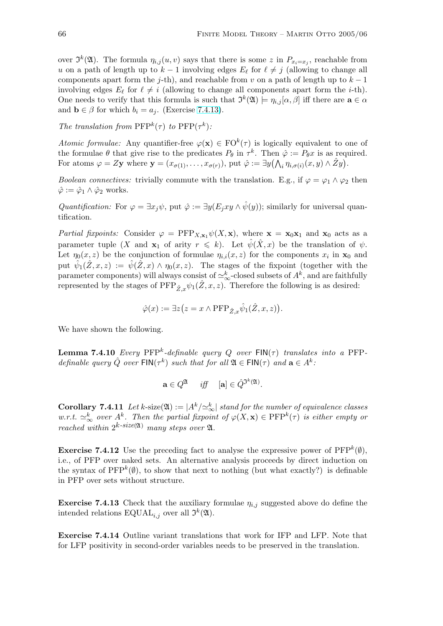over  $\mathfrak{I}^k(\mathfrak{A})$ . The formula  $\eta_{i,j}(u,v)$  says that there is some z in  $P_{x_i=x_j}$ , reachable from u on a path of length up to  $k-1$  involving edges  $E_\ell$  for  $\ell \neq j$  (allowing to change all components apart form the j-th), and reachable from v on a path of length up to  $k-1$ involving edges  $E_\ell$  for  $\ell \neq i$  (allowing to change all components apart form the *i*-th). One needs to verify that this formula is such that  $\mathfrak{I}^k(\mathfrak{A}) \models \eta_{i,j}[\alpha,\beta]$  iff there are  $\mathbf{a} \in \alpha$ and  $\mathbf{b} \in \beta$  for which  $b_i = a_j$ . (Exercise 7.4.13).

<span id="page-67-0"></span>66 Finite Model Theory – Martin Otto 2005/06

The translation from  $\text{PFP}^k(\tau)$  to  $\text{PFP}(\tau^k)$ :

Atomic formulae: Any quantifier-free  $\varphi(\mathbf{x}) \in \mathrm{FO}^k(\tau)$  is logically equivalent to one of the formulae  $\theta$  that give rise to the predicates  $P_{\theta}$  in  $\tau^k$ . Then  $\hat{\varphi} := P_{\theta} x$  is as required. For atoms  $\varphi = Z$ **y** where  $\mathbf{y} = (x_{\sigma(1)}, \dots, x_{\sigma(r)})$ , put  $\hat{\varphi} := \exists y (\bigwedge_i \eta_{i, \sigma(i)}(x, y) \wedge \hat{Z}y)$ .

Boolean connectives: trivially commute with the translation. E.g., if  $\varphi = \varphi_1 \wedge \varphi_2$  then  $\hat{\varphi} := \hat{\varphi}_1 \wedge \hat{\varphi}_2$  works.

Quantification: For  $\varphi = \exists x_j \psi$ , put  $\hat{\varphi} := \exists y (E_j xy \wedge \hat{\psi}(y))$ ; similarly for universal quantification.

Partial fixpoints: Consider  $\varphi = \text{PFP}_{X,\mathbf{x}_1}\psi(X,\mathbf{x})$ , where  $\mathbf{x} = \mathbf{x}_0\mathbf{x}_1$  and  $\mathbf{x}_0$  acts as a parameter tuple (X and  $\mathbf{x}_1$  of arity  $r \leq k$ ). Let  $\psi(\hat{X},x)$  be the translation of  $\psi$ . Let  $\eta_0(x, z)$  be the conjunction of formulae  $\eta_{i,i}(x, z)$  for the components  $x_i$  in  $\mathbf{x}_0$  and put  $\hat{\psi}_1(\hat{Z},x,z) := \hat{\psi}(\hat{Z},x) \wedge \eta_0(x,z)$ . The stages of the fixpoint (together with the parameter components) will always consist of  $\simeq_\infty^k$ -closed subsets of  $A^k$ , and are faithfully represented by the stages of  $\text{PFP}_{\hat{Z},x} \psi_1(\hat{Z}, x, z)$ . Therefore the following is as desired:

$$
\hat{\varphi}(x) := \exists z (z = x \land \text{PFP}_{\hat{Z},x} \hat{\psi}_1(\hat{Z}, x, z)).
$$

We have shown the following.

**Lemma 7.4.10** Every PFP<sup>k</sup>-definable query Q over  $\text{FIN}(\tau)$  translates into a PFPdefinable query  $\hat{Q}$  over  $\text{FIN}(\tau^k)$  such that for all  $\mathfrak{A} \in \text{FIN}(\tau)$  and  $\mathbf{a} \in A^k$ :

$$
\mathbf{a} \in Q^{\mathfrak{A}} \quad \text{ iff } \quad [\mathbf{a}] \in \hat{Q}^{\mathfrak{I}^k(\mathfrak{A})}.
$$

**Corollary 7.4.11** Let k-size $(\mathfrak{A}) := |A^k/\simeq_{\infty}^k|$  stand for the number of equivalence classes w.r.t.  $\cong_{\infty}^k$  over  $A^k$ . Then the partial fixpoint of  $\varphi(X, \mathbf{x}) \in \text{PFP}^k(\tau)$  is either empty or reached within  $2^{k-size(\mathfrak{A})}$  many steps over  $\mathfrak{A}$ .

**Exercise 7.4.12** Use the preceding fact to analyse the expressive power of  $\text{PFP}^k(\emptyset)$ , i.e., of PFP over naked sets. An alternative analysis proceeds by direct induction on the syntax of  $\text{PFP}^k(\emptyset)$ , to show that next to nothing (but what exactly?) is definable in PFP over sets without structure.

**Exercise 7.4.13** Check that the auxiliary formulae  $\eta_{i,j}$  suggested above do define the intended relations  $\text{EQUAL}_{i,j}$  over all  $\mathfrak{I}^k(\mathfrak{A})$ .

Exercise 7.4.14 Outline variant translations that work for IFP and LFP. Note that for LFP positivity in second-order variables needs to be preserved in the translation.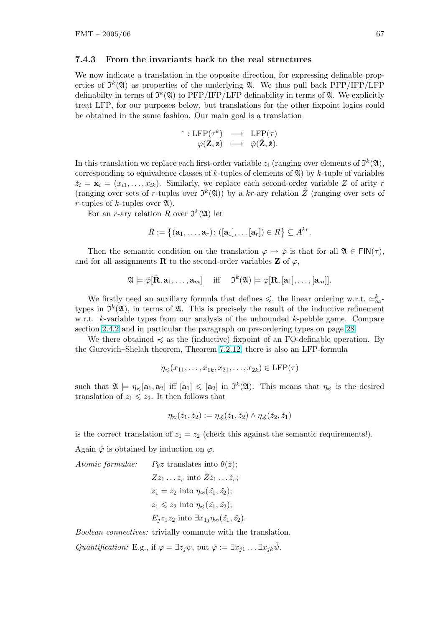### 7.4.3 From the invariants back to the real structures

We now indicate a translation in the opposite direction, for expressing definable properties of  $\mathfrak{I}^k(\mathfrak{A})$  as properties of the underlying  $\mathfrak{A}$ . We thus pull back PFP/IFP/LFP definabilty in terms of  $\mathfrak{I}^k(\mathfrak{A})$  to PFP/IFP/LFP definability in terms of  $\mathfrak{A}$ . We explicitly treat LFP, for our purposes below, but translations for the other fixpoint logics could be obtained in the same fashion. Our main goal is a translation

 $\mathcal{F}_{\mathcal{A}}$  ,  $\mathcal{F}_{\mathcal{A}}$  ,  $\mathcal{F}_{\mathcal{A}}$  ,  $\mathcal{F}_{\mathcal{A}}$  ,  $\mathcal{F}_{\mathcal{A}}$  ,  $\mathcal{F}_{\mathcal{A}}$  ,  $\mathcal{F}_{\mathcal{A}}$  ,  $\mathcal{F}_{\mathcal{A}}$  ,  $\mathcal{F}_{\mathcal{A}}$  ,  $\mathcal{F}_{\mathcal{A}}$  ,  $\mathcal{F}_{\mathcal{A}}$  ,  $\mathcal{F}_{\mathcal{A}}$  ,  $\mathcal{F}_{\mathcal{A}}$  ,

$$
\begin{array}{cccc} \check{\phantom{a}}: \mathrm{LFP}(\tau^k) & \longrightarrow & \mathrm{LFP}(\tau) \\ \varphi(\mathbf{Z}, \mathbf{z}) & \longmapsto & \check{\varphi}(\check{\mathbf{Z}}, \check{\mathbf{z}}). \end{array}
$$

In this translation we replace each first-order variable  $z_i$  (ranging over elements of  $\mathfrak{I}^k(\mathfrak{A}),$ corresponding to equivalence classes of k-tuples of elements of  $\mathfrak{A}$ ) by k-tuple of variables  $\check{z}_i = \mathbf{x}_i = (x_{i1}, \dots, x_{ik})$ . Similarly, we replace each second-order variable Z of arity r (ranging over sets of r-tuples over  $\mathfrak{I}^k(\mathfrak{A})$ ) by a kr-ary relation  $\check{Z}$  (ranging over sets of r-tuples of k-tuples over  $\mathfrak{A}$ ).

For an *r*-ary relation R over  $\mathfrak{I}^k(\mathfrak{A})$  let

$$
\check{R} := \big\{(\mathbf{a}_1, \dots, \mathbf{a}_r) \colon ([\mathbf{a}_1], \dots [\mathbf{a}_r]) \in R\big\} \subseteq A^{kr}.
$$

Then the semantic condition on the translation  $\varphi \mapsto \check{\varphi}$  is that for all  $\mathfrak{A} \in \mathsf{FIN}(\tau)$ , and for all assignments **R** to the second-order variables **Z** of  $\varphi$ ,

$$
\mathfrak{A}\models \check{\varphi}[\check{\mathbf{R}},\mathbf{a}_1,\ldots,\mathbf{a}_m]\quad\text{ iff }\quad \mathfrak{I}^k(\mathfrak{A})\models \varphi[\mathbf{R},[\mathbf{a}_1],\ldots,[\mathbf{a}_m]].
$$

We firstly need an auxiliary formula that defines  $\leq$ , the linear ordering w.r.t.  $\sim_{\infty}^{k}$ . types in  $\mathfrak{I}^k(\mathfrak{A})$ , in terms of  $\mathfrak{A}$ . This is precisely the result of the inductive refinement w.r.t.  $k$ -variable types from our analysis of the unbounded  $k$ -pebble game. Compare section 2.4.2 and in particular the paragraph on pre-ordering types on page 28.

We there obtained  $\leq$  as the (inductive) fixpoint of an FO-definable operation. By the Gurevich–Shelah theorem, Theorem 7.2.12, there is also an LFP-formula

$$
\eta_{\preccurlyeq}(x_{11},\ldots,x_{1k},x_{21},\ldots,x_{2k}) \in \text{LFP}(\tau)
$$

such that  $\mathfrak{A} \models \eta_{\preccurlyeq}[\mathbf{a}_1, \mathbf{a}_2]$  iff  $[\mathbf{a}_1] \leq \mathfrak{a}_2$  [in](#page-61-0)  $\mathfrak{I}^k(\mathfrak{A})$ . This means that  $\eta_{\preccurlyeq}$  is the desired translation of  $z_1 \leq z_2$ . It then follows that

$$
\eta_{\approx}(\check{z}_1,\check{z}_2):=\eta_{\preccurlyeq}(\check{z}_1,\check{z}_2)\land\eta_{\preccurlyeq}(\check{z}_2,\check{z}_1)
$$

is the correct translation of  $z_1 = z_2$  (check this against the semantic requirements!).

Again  $\check{\varphi}$  is obtained by induction on  $\varphi$ .

*Atomic formulae:* 
$$
P_{\theta}z
$$
 translates into  $\theta(\check{z})$ ;  
\n $Zz_1 \ldots z_r$  into  $\check{Z}\check{z}_1 \ldots \check{z}_r$ ;  
\n $z_1 = z_2$  into  $\eta_{\approx}(\check{z}_1, \check{z}_2)$ ;  
\n $z_1 \leq z_2$  into  $\eta_{\preccurlyeq}(\check{z}_1, \check{z}_2)$ ;  
\n $E_j z_1 z_2$  into  $\exists x_{1j} \eta_{\approx}(\check{z}_1, \check{z}_2)$ .

Boolean connectives: trivially commute with the translation.

Quantification: E.g., if  $\varphi = \exists z_j \psi$ , put  $\check{\varphi} := \exists x_{j1} \dots \exists x_{jk} \psi$ .